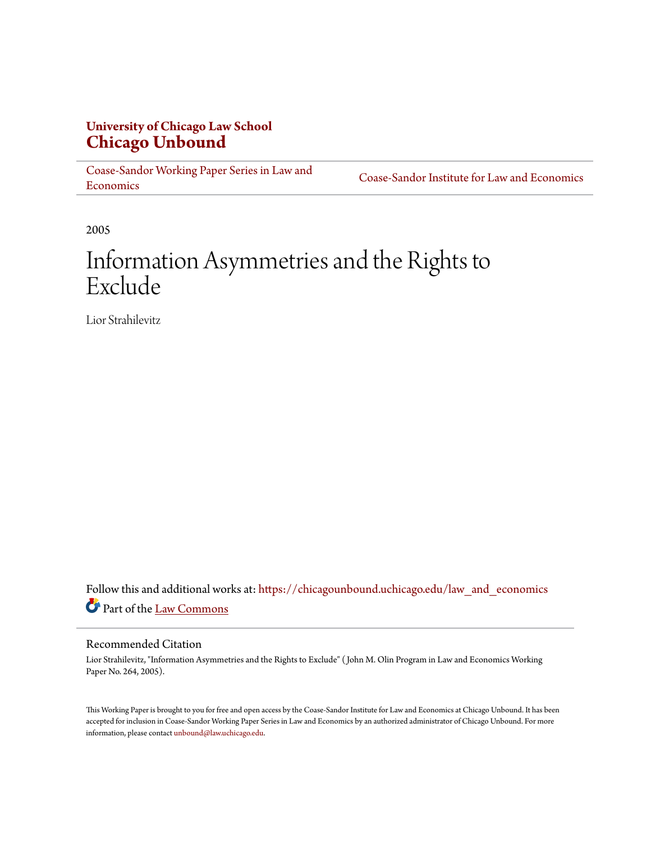## **University of Chicago Law School [Chicago Unbound](https://chicagounbound.uchicago.edu?utm_source=chicagounbound.uchicago.edu%2Flaw_and_economics%2F268&utm_medium=PDF&utm_campaign=PDFCoverPages)**

[Coase-Sandor Working Paper Series in Law and](https://chicagounbound.uchicago.edu/law_and_economics?utm_source=chicagounbound.uchicago.edu%2Flaw_and_economics%2F268&utm_medium=PDF&utm_campaign=PDFCoverPages) [Economics](https://chicagounbound.uchicago.edu/law_and_economics?utm_source=chicagounbound.uchicago.edu%2Flaw_and_economics%2F268&utm_medium=PDF&utm_campaign=PDFCoverPages)

[Coase-Sandor Institute for Law and Economics](https://chicagounbound.uchicago.edu/coase_sandor_institute?utm_source=chicagounbound.uchicago.edu%2Flaw_and_economics%2F268&utm_medium=PDF&utm_campaign=PDFCoverPages)

2005

# Information Asymmetries and the Rights to Exclude

Lior Strahilevitz

Follow this and additional works at: [https://chicagounbound.uchicago.edu/law\\_and\\_economics](https://chicagounbound.uchicago.edu/law_and_economics?utm_source=chicagounbound.uchicago.edu%2Flaw_and_economics%2F268&utm_medium=PDF&utm_campaign=PDFCoverPages) Part of the [Law Commons](http://network.bepress.com/hgg/discipline/578?utm_source=chicagounbound.uchicago.edu%2Flaw_and_economics%2F268&utm_medium=PDF&utm_campaign=PDFCoverPages)

#### Recommended Citation

Lior Strahilevitz, "Information Asymmetries and the Rights to Exclude" ( John M. Olin Program in Law and Economics Working Paper No. 264, 2005).

This Working Paper is brought to you for free and open access by the Coase-Sandor Institute for Law and Economics at Chicago Unbound. It has been accepted for inclusion in Coase-Sandor Working Paper Series in Law and Economics by an authorized administrator of Chicago Unbound. For more information, please contact [unbound@law.uchicago.edu.](mailto:unbound@law.uchicago.edu)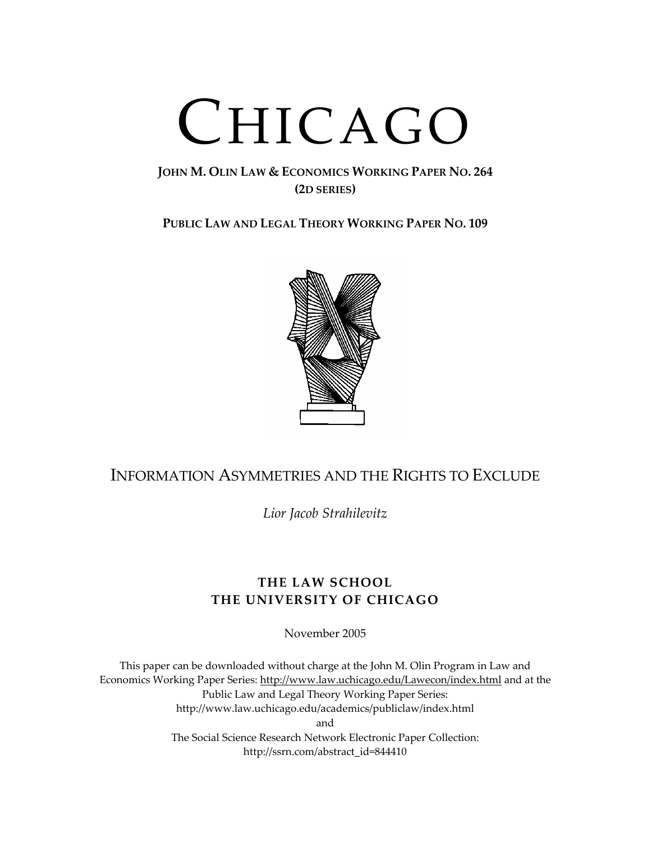# CHICAGO

#### **JOHN M. OLIN LAW & ECONOMICS WORKING PAPER NO. 264 (2D SERIES)**

**PUBLIC LAW AND LEGAL THEORY WORKING PAPER NO. 109**



# INFORMATION ASYMMETRIES AND THE RIGHTS TO EXCLUDE

*Lior Jacob Strahilevitz*

### **THE LAW SCHOOL THE UNIVERSITY OF CHICAGO**

November 2005

This paper can be downloaded without charge at the John M. Olin Program in Law and Economics Working Paper Series: http://www.law.uchicago.edu/Lawecon/index.html and at the Public Law and Legal Theory Working Paper Series: http://www.law.uchicago.edu/academics/publiclaw/index.html and The Social Science Research Network Electronic Paper Collection: http://ssrn.com/abstract\_id=844410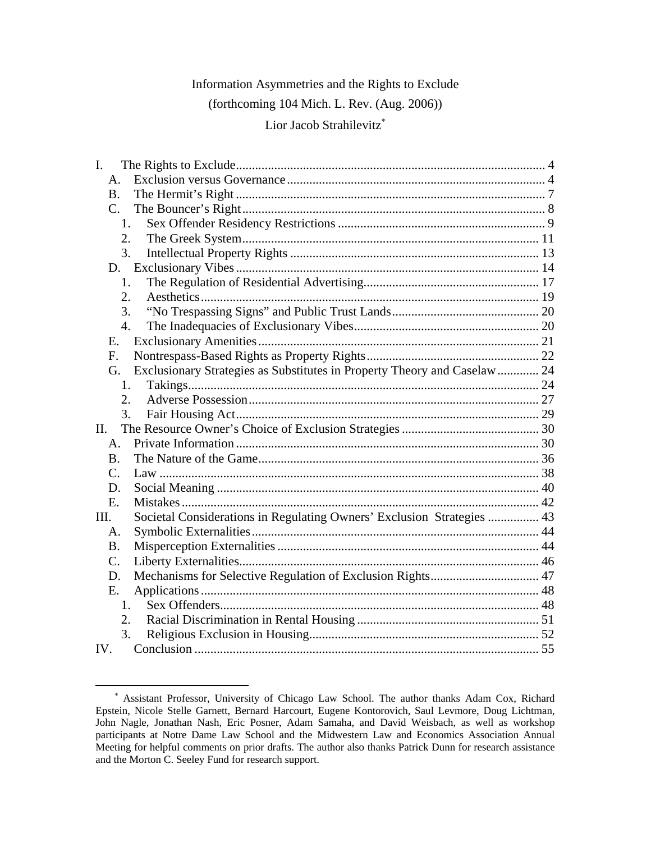# Information Asymmetries and the Rights to Exclude (forthcoming 104 Mich. L. Rev. (Aug. 2006)) Lior Jacob Strahilevitz<sup>\*</sup>

| I.   |                  |                                                                           |  |
|------|------------------|---------------------------------------------------------------------------|--|
|      | A.               |                                                                           |  |
|      | <b>B.</b>        |                                                                           |  |
|      | $C_{\cdot}$      |                                                                           |  |
|      | 1.               |                                                                           |  |
|      | $\overline{2}$ . |                                                                           |  |
|      | 3.               |                                                                           |  |
|      | D.               |                                                                           |  |
|      | 1.               |                                                                           |  |
|      | 2.               |                                                                           |  |
|      | 3.               |                                                                           |  |
|      | $\overline{4}$ . |                                                                           |  |
|      | E.               |                                                                           |  |
|      | F.               |                                                                           |  |
|      | G.               | Exclusionary Strategies as Substitutes in Property Theory and Caselaw  24 |  |
|      | 1.               |                                                                           |  |
|      | $\overline{2}$ . |                                                                           |  |
|      | 3.               |                                                                           |  |
| II.  |                  |                                                                           |  |
|      | A <sub>1</sub>   |                                                                           |  |
|      | B.               |                                                                           |  |
|      | $\mathcal{C}$ .  |                                                                           |  |
|      | D.               |                                                                           |  |
|      | E.               |                                                                           |  |
| III. |                  | Societal Considerations in Regulating Owners' Exclusion Strategies  43    |  |
|      | A.               |                                                                           |  |
|      | <b>B.</b>        |                                                                           |  |
|      | C.               |                                                                           |  |
|      | D.               |                                                                           |  |
|      | Ε.               |                                                                           |  |
|      | 1.               |                                                                           |  |
|      | 2.               |                                                                           |  |
|      | 3.               |                                                                           |  |
| IV.  |                  |                                                                           |  |
|      |                  |                                                                           |  |

1

<sup>∗</sup> Assistant Professor, University of Chicago Law School. The author thanks Adam Cox, Richard Epstein, Nicole Stelle Garnett, Bernard Harcourt, Eugene Kontorovich, Saul Levmore, Doug Lichtman, John Nagle, Jonathan Nash, Eric Posner, Adam Samaha, and David Weisbach, as well as workshop participants at Notre Dame Law School and the Midwestern Law and Economics Association Annual Meeting for helpful comments on prior drafts. The author also thanks Patrick Dunn for research assistance and the Morton C. Seeley Fund for research support.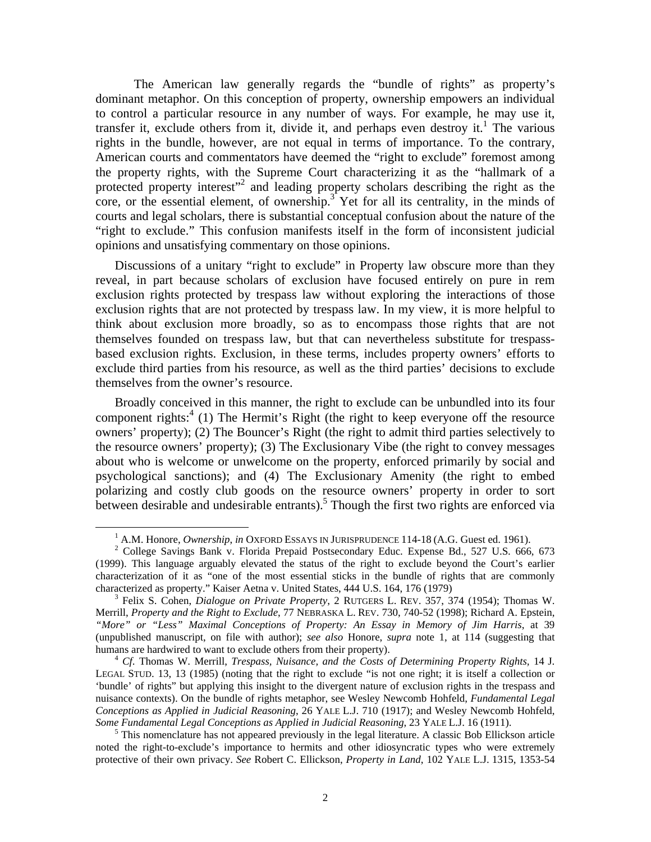The American law generally regards the "bundle of rights" as property's dominant metaphor. On this conception of property, ownership empowers an individual to control a particular resource in any number of ways. For example, he may use it, transfer it, exclude others from it, divide it, and perhaps even destroy it.<sup>1</sup> The various rights in the bundle, however, are not equal in terms of importance. To the contrary, American courts and commentators have deemed the "right to exclude" foremost among the property rights, with the Supreme Court characterizing it as the "hallmark of a protected property interest"<sup>2</sup> and leading property scholars describing the right as the core, or the essential element, of ownership.<sup>3</sup> Yet for all its centrality, in the minds of courts and legal scholars, there is substantial conceptual confusion about the nature of the "right to exclude." This confusion manifests itself in the form of inconsistent judicial opinions and unsatisfying commentary on those opinions.

Discussions of a unitary "right to exclude" in Property law obscure more than they reveal, in part because scholars of exclusion have focused entirely on pure in rem exclusion rights protected by trespass law without exploring the interactions of those exclusion rights that are not protected by trespass law. In my view, it is more helpful to think about exclusion more broadly, so as to encompass those rights that are not themselves founded on trespass law, but that can nevertheless substitute for trespassbased exclusion rights. Exclusion, in these terms, includes property owners' efforts to exclude third parties from his resource, as well as the third parties' decisions to exclude themselves from the owner's resource.

Broadly conceived in this manner, the right to exclude can be unbundled into its four component rights: $4(1)$  The Hermit's Right (the right to keep everyone off the resource owners' property); (2) The Bouncer's Right (the right to admit third parties selectively to the resource owners' property); (3) The Exclusionary Vibe (the right to convey messages about who is welcome or unwelcome on the property, enforced primarily by social and psychological sanctions); and (4) The Exclusionary Amenity (the right to embed polarizing and costly club goods on the resource owners' property in order to sort between desirable and undesirable entrants).<sup>5</sup> Though the first two rights are enforced via

 <sup>1</sup> <sup>1</sup> A.M. Honore, *Ownership*, *in* OXFORD ESSAYS IN JURISPRUDENCE 114-18 (A.G. Guest ed. 1961).

<sup>&</sup>lt;sup>2</sup> College Savings Bank v. Florida Prepaid Postsecondary Educ. Expense Bd., 527 U.S. 666, 673 (1999). This language arguably elevated the status of the right to exclude beyond the Court's earlier characterization of it as "one of the most essential sticks in the bundle of rights that are commonly characterized as property." Kaiser Aetna v. United States, 444 U.S. 164, 176 (1979)

Felix S. Cohen, *Dialogue on Private Property*, 2 RUTGERS L. REV. 357, 374 (1954); Thomas W. Merrill, *Property and the Right to Exclude*, 77 NEBRASKA L. REV. 730, 740-52 (1998); Richard A. Epstein, *"More" or "Less" Maximal Conceptions of Property: An Essay in Memory of Jim Harris*, at 39 (unpublished manuscript, on file with author); *see also* Honore, *supra* note 1, at 114 (suggesting that humans are hardwired to want to exclude others from their property). 4 *Cf*. Thomas W. Merrill, *Trespass, Nuisance, and the Costs of Determining Property Rights,* <sup>14</sup> J.

LEGAL STUD. 13, 13 (1985) (noting that the right to exclude "is not one right; it is itself a collection or 'bundle' of rights" but applying this insight to the divergent nature of exclusion rights in the trespass and nuisance contexts). On the bundle of rights metaphor, see Wesley Newcomb Hohfeld, *Fundamental Legal Conceptions as Applied in Judicial Reasoning*, 26 YALE L.J. 710 (1917); and Wesley Newcomb Hohfeld, *Some Fundamental Legal Conceptions as Applied in Judicial Reasoning*, 23 YALE L.J. 16 (1911).

<sup>&</sup>lt;sup>5</sup> This nomenclature has not appeared previously in the legal literature. A classic Bob Ellickson article noted the right-to-exclude's importance to hermits and other idiosyncratic types who were extremely protective of their own privacy. *See* Robert C. Ellickson, *Property in Land*, 102 YALE L.J. 1315, 1353-54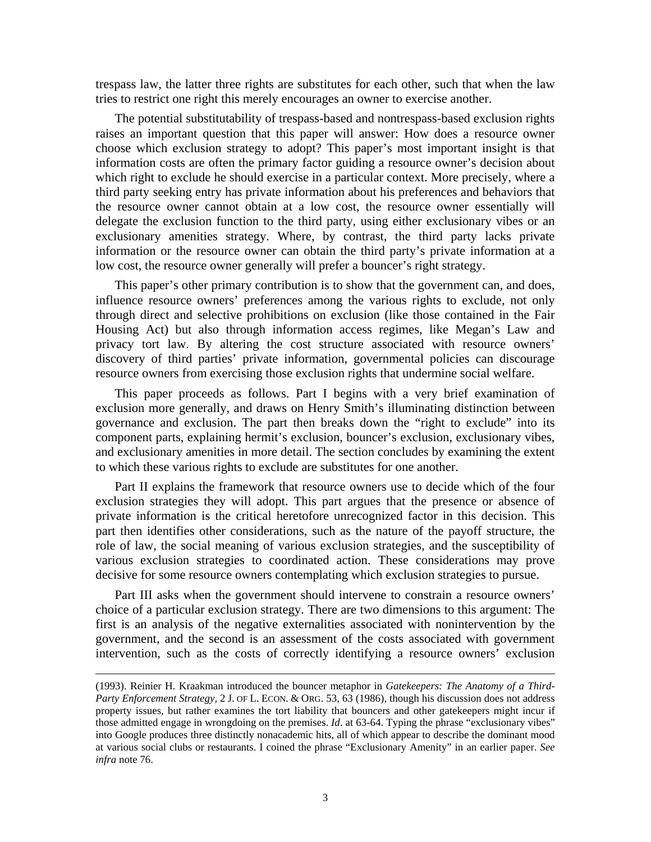trespass law, the latter three rights are substitutes for each other, such that when the law tries to restrict one right this merely encourages an owner to exercise another.

The potential substitutability of trespass-based and nontrespass-based exclusion rights raises an important question that this paper will answer: How does a resource owner choose which exclusion strategy to adopt? This paper's most important insight is that information costs are often the primary factor guiding a resource owner's decision about which right to exclude he should exercise in a particular context. More precisely, where a third party seeking entry has private information about his preferences and behaviors that the resource owner cannot obtain at a low cost, the resource owner essentially will delegate the exclusion function to the third party, using either exclusionary vibes or an exclusionary amenities strategy. Where, by contrast, the third party lacks private information or the resource owner can obtain the third party's private information at a low cost, the resource owner generally will prefer a bouncer's right strategy.

This paper's other primary contribution is to show that the government can, and does, influence resource owners' preferences among the various rights to exclude, not only through direct and selective prohibitions on exclusion (like those contained in the Fair Housing Act) but also through information access regimes, like Megan's Law and privacy tort law. By altering the cost structure associated with resource owners' discovery of third parties' private information, governmental policies can discourage resource owners from exercising those exclusion rights that undermine social welfare.

This paper proceeds as follows. Part I begins with a very brief examination of exclusion more generally, and draws on Henry Smith's illuminating distinction between governance and exclusion. The part then breaks down the "right to exclude" into its component parts, explaining hermit's exclusion, bouncer's exclusion, exclusionary vibes, and exclusionary amenities in more detail. The section concludes by examining the extent to which these various rights to exclude are substitutes for one another.

Part II explains the framework that resource owners use to decide which of the four exclusion strategies they will adopt. This part argues that the presence or absence of private information is the critical heretofore unrecognized factor in this decision. This part then identifies other considerations, such as the nature of the payoff structure, the role of law, the social meaning of various exclusion strategies, and the susceptibility of various exclusion strategies to coordinated action. These considerations may prove decisive for some resource owners contemplating which exclusion strategies to pursue.

Part III asks when the government should intervene to constrain a resource owners' choice of a particular exclusion strategy. There are two dimensions to this argument: The first is an analysis of the negative externalities associated with nonintervention by the government, and the second is an assessment of the costs associated with government intervention, such as the costs of correctly identifying a resource owners' exclusion

 <sup>(1993).</sup> Reinier H. Kraakman introduced the bouncer metaphor in *Gatekeepers: The Anatomy of a Third-Party Enforcement Strategy*, 2 J. OF L. ECON. & ORG. 53, 63 (1986), though his discussion does not address property issues, but rather examines the tort liability that bouncers and other gatekeepers might incur if those admitted engage in wrongdoing on the premises. *Id*. at 63-64. Typing the phrase "exclusionary vibes" into Google produces three distinctly nonacademic hits, all of which appear to describe the dominant mood at various social clubs or restaurants. I coined the phrase "Exclusionary Amenity" in an earlier paper. *See infra* note 76.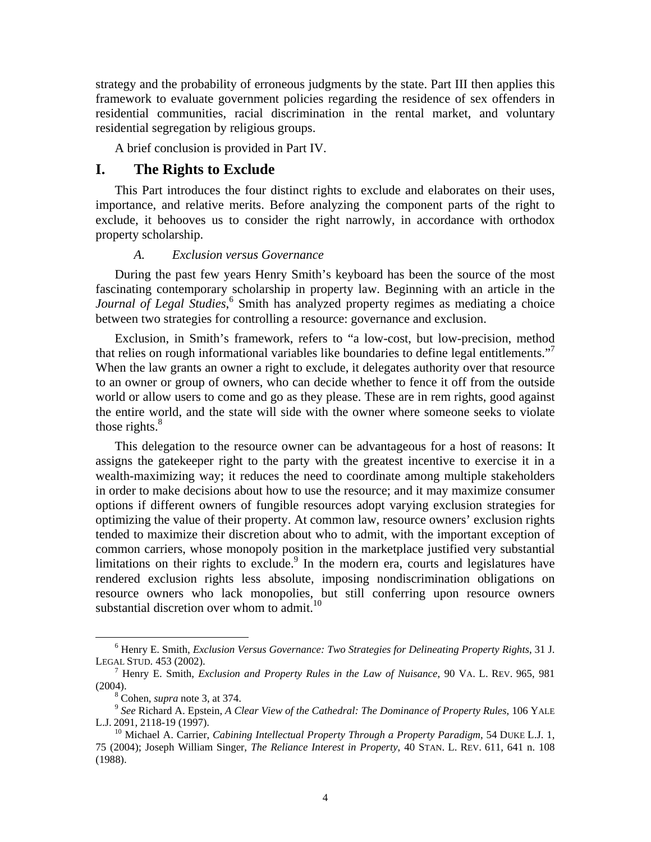strategy and the probability of erroneous judgments by the state. Part III then applies this framework to evaluate government policies regarding the residence of sex offenders in residential communities, racial discrimination in the rental market, and voluntary residential segregation by religious groups.

A brief conclusion is provided in Part IV.

#### **I. The Rights to Exclude**

This Part introduces the four distinct rights to exclude and elaborates on their uses, importance, and relative merits. Before analyzing the component parts of the right to exclude, it behooves us to consider the right narrowly, in accordance with orthodox property scholarship.

#### *A. Exclusion versus Governance*

During the past few years Henry Smith's keyboard has been the source of the most fascinating contemporary scholarship in property law. Beginning with an article in the Journal of Legal Studies,<sup>6</sup> Smith has analyzed property regimes as mediating a choice between two strategies for controlling a resource: governance and exclusion.

Exclusion, in Smith's framework, refers to "a low-cost, but low-precision, method that relies on rough informational variables like boundaries to define legal entitlements."7 When the law grants an owner a right to exclude, it delegates authority over that resource to an owner or group of owners, who can decide whether to fence it off from the outside world or allow users to come and go as they please. These are in rem rights, good against the entire world, and the state will side with the owner where someone seeks to violate those rights. $8<sup>8</sup>$ 

This delegation to the resource owner can be advantageous for a host of reasons: It assigns the gatekeeper right to the party with the greatest incentive to exercise it in a wealth-maximizing way; it reduces the need to coordinate among multiple stakeholders in order to make decisions about how to use the resource; and it may maximize consumer options if different owners of fungible resources adopt varying exclusion strategies for optimizing the value of their property. At common law, resource owners' exclusion rights tended to maximize their discretion about who to admit, with the important exception of common carriers, whose monopoly position in the marketplace justified very substantial limitations on their rights to exclude.<sup>9</sup> In the modern era, courts and legislatures have rendered exclusion rights less absolute, imposing nondiscrimination obligations on resource owners who lack monopolies, but still conferring upon resource owners substantial discretion over whom to admit.<sup>10</sup>

 <sup>6</sup> Henry E. Smith, *Exclusion Versus Governance: Two Strategies for Delineating Property Rights*, 31 J. LEGAL STUD. 453 (2002).

Henry E. Smith, *Exclusion and Property Rules in the Law of Nuisance*, 90 VA. L. REV. 965, 981  $(2004)$ .<br><sup>8</sup> Cohen, *supra* note 3, at 374.

<sup>&</sup>lt;sup>9</sup> See Richard A. Epstein, *A Clear View of the Cathedral: The Dominance of Property Rules*, 106 YALE L.J. 2091, 2118-19 (1997).

<sup>&</sup>lt;sup>10</sup> Michael A. Carrier, *Cabining Intellectual Property Through a Property Paradigm*, 54 DUKE L.J. 1, 75 (2004); Joseph William Singer, *The Reliance Interest in Property*, 40 STAN. L. REV. 611, 641 n. 108 (1988).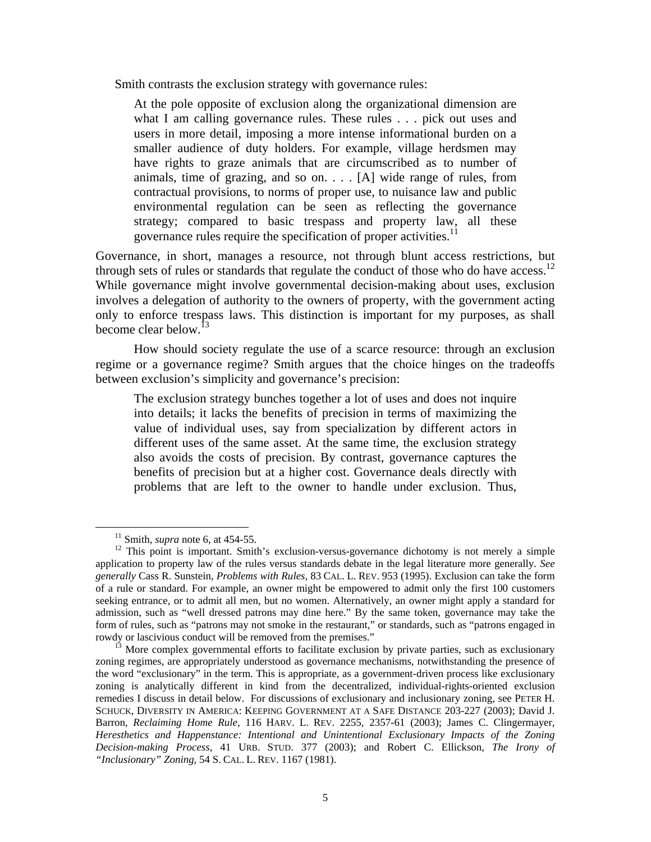Smith contrasts the exclusion strategy with governance rules:

At the pole opposite of exclusion along the organizational dimension are what I am calling governance rules. These rules . . . pick out uses and users in more detail, imposing a more intense informational burden on a smaller audience of duty holders. For example, village herdsmen may have rights to graze animals that are circumscribed as to number of animals, time of grazing, and so on.  $\ldots$  [A] wide range of rules, from contractual provisions, to norms of proper use, to nuisance law and public environmental regulation can be seen as reflecting the governance strategy; compared to basic trespass and property law, all these governance rules require the specification of proper activities. $^{11}$ 

Governance, in short, manages a resource, not through blunt access restrictions, but through sets of rules or standards that regulate the conduct of those who do have access.<sup>12</sup> While governance might involve governmental decision-making about uses, exclusion involves a delegation of authority to the owners of property, with the government acting only to enforce trespass laws. This distinction is important for my purposes, as shall become clear below. $13$ 

How should society regulate the use of a scarce resource: through an exclusion regime or a governance regime? Smith argues that the choice hinges on the tradeoffs between exclusion's simplicity and governance's precision:

The exclusion strategy bunches together a lot of uses and does not inquire into details; it lacks the benefits of precision in terms of maximizing the value of individual uses, say from specialization by different actors in different uses of the same asset. At the same time, the exclusion strategy also avoids the costs of precision. By contrast, governance captures the benefits of precision but at a higher cost. Governance deals directly with problems that are left to the owner to handle under exclusion. Thus,

<sup>&</sup>lt;sup>11</sup> Smith, *supra* note 6, at 454-55.<br><sup>12</sup> This point is important. Smith's exclusion-versus-governance dichotomy is not merely a simple application to property law of the rules versus standards debate in the legal literature more generally. *See generally* Cass R. Sunstein, *Problems with Rules*, 83 CAL. L. REV. 953 (1995). Exclusion can take the form of a rule or standard. For example, an owner might be empowered to admit only the first 100 customers seeking entrance, or to admit all men, but no women. Alternatively, an owner might apply a standard for admission, such as "well dressed patrons may dine here." By the same token, governance may take the form of rules, such as "patrons may not smoke in the restaurant," or standards, such as "patrons engaged in rowdy or lascivious conduct will be removed from the premises."<br><sup>13</sup> More complex governmental efforts to facilitate exclusion by private parties, such as exclusionary

zoning regimes, are appropriately understood as governance mechanisms, notwithstanding the presence of the word "exclusionary" in the term. This is appropriate, as a government-driven process like exclusionary zoning is analytically different in kind from the decentralized, individual-rights-oriented exclusion remedies I discuss in detail below. For discussions of exclusionary and inclusionary zoning, see PETER H. SCHUCK, DIVERSITY IN AMERICA: KEEPING GOVERNMENT AT A SAFE DISTANCE 203-227 (2003); David J. Barron, *Reclaiming Home Rule*, 116 HARV. L. REV. 2255, 2357-61 (2003); James C. Clingermayer, *Heresthetics and Happenstance: Intentional and Unintentional Exclusionary Impacts of the Zoning Decision-making Process*, 41 URB. STUD. 377 (2003); and Robert C. Ellickson, *The Irony of "Inclusionary" Zoning*, 54 S. CAL. L. REV. 1167 (1981).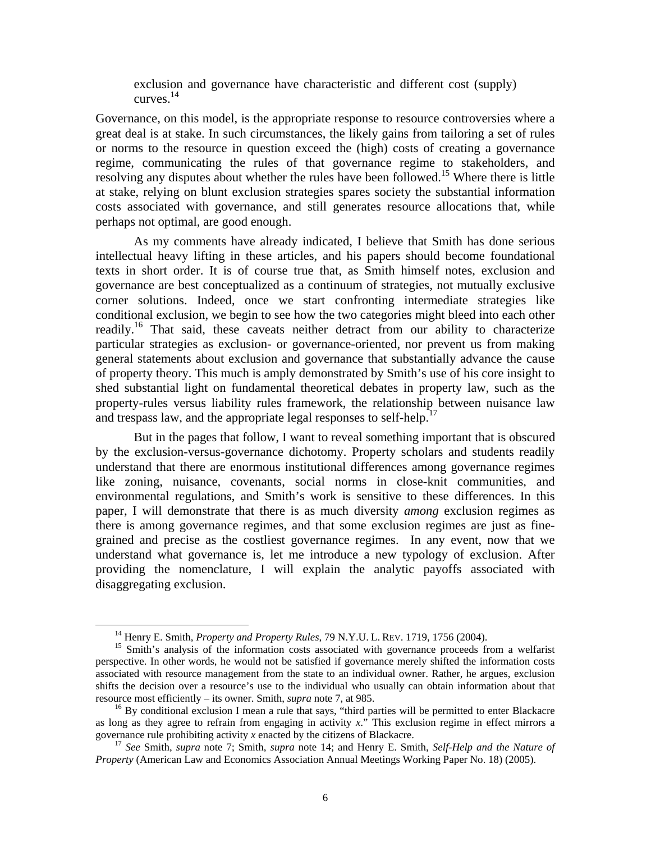exclusion and governance have characteristic and different cost (supply) curves.14

Governance, on this model, is the appropriate response to resource controversies where a great deal is at stake. In such circumstances, the likely gains from tailoring a set of rules or norms to the resource in question exceed the (high) costs of creating a governance regime, communicating the rules of that governance regime to stakeholders, and resolving any disputes about whether the rules have been followed.15 Where there is little at stake, relying on blunt exclusion strategies spares society the substantial information costs associated with governance, and still generates resource allocations that, while perhaps not optimal, are good enough.

 As my comments have already indicated, I believe that Smith has done serious intellectual heavy lifting in these articles, and his papers should become foundational texts in short order. It is of course true that, as Smith himself notes, exclusion and governance are best conceptualized as a continuum of strategies, not mutually exclusive corner solutions. Indeed, once we start confronting intermediate strategies like conditional exclusion, we begin to see how the two categories might bleed into each other readily.<sup>16</sup> That said, these caveats neither detract from our ability to characterize particular strategies as exclusion- or governance-oriented, nor prevent us from making general statements about exclusion and governance that substantially advance the cause of property theory. This much is amply demonstrated by Smith's use of his core insight to shed substantial light on fundamental theoretical debates in property law, such as the property-rules versus liability rules framework, the relationship between nuisance law and trespass law, and the appropriate legal responses to self-help.<sup>17</sup>

 But in the pages that follow, I want to reveal something important that is obscured by the exclusion-versus-governance dichotomy. Property scholars and students readily understand that there are enormous institutional differences among governance regimes like zoning, nuisance, covenants, social norms in close-knit communities, and environmental regulations, and Smith's work is sensitive to these differences. In this paper, I will demonstrate that there is as much diversity *among* exclusion regimes as there is among governance regimes, and that some exclusion regimes are just as finegrained and precise as the costliest governance regimes. In any event, now that we understand what governance is, let me introduce a new typology of exclusion. After providing the nomenclature, I will explain the analytic payoffs associated with disaggregating exclusion.

<sup>&</sup>lt;sup>14</sup> Henry E. Smith, *Property and Property Rules*, 79 N.Y.U. L. REV. 1719, 1756 (2004).<br><sup>15</sup> Smith's analysis of the information costs associated with governance proceeds from a welfarist perspective. In other words, he would not be satisfied if governance merely shifted the information costs associated with resource management from the state to an individual owner. Rather, he argues, exclusion shifts the decision over a resource's use to the individual who usually can obtain information about that resource most efficiently – its owner. Smith, *supra* note 7, at 985.<br><sup>16</sup> By conditional exclusion I mean a rule that says, "third parties will be permitted to enter Blackacre

as long as they agree to refrain from engaging in activity  $x$ ." This exclusion regime in effect mirrors a governance rule prohibiting activity  $x$  enacted by the citizens of Blackacre.

<sup>&</sup>lt;sup>17</sup> See Smith, *supra* note 7; Smith, *supra* note 14; and Henry E. Smith, *Self-Help and the Nature of Property* (American Law and Economics Association Annual Meetings Working Paper No. 18) (2005).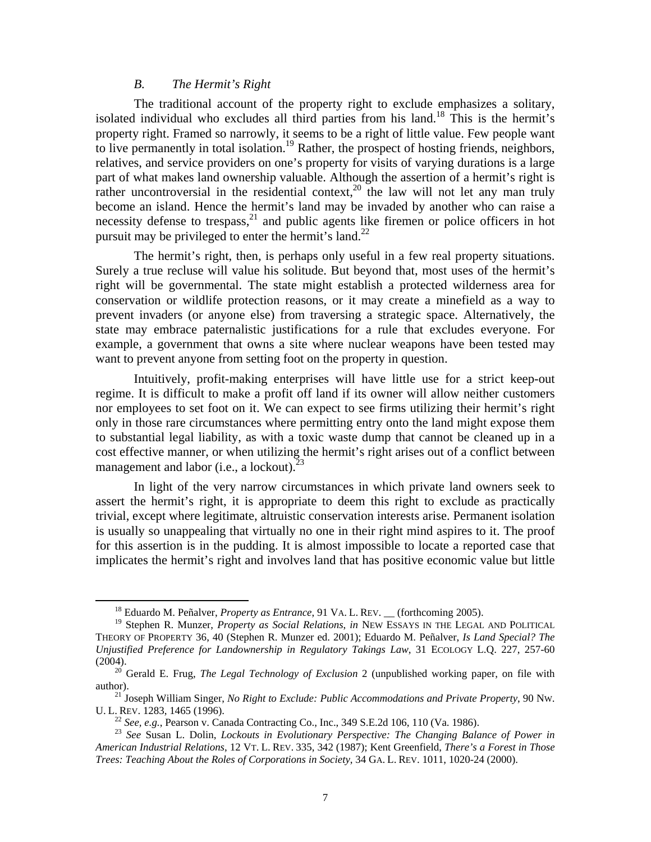#### *B. The Hermit's Right*

The traditional account of the property right to exclude emphasizes a solitary, isolated individual who excludes all third parties from his land.<sup>18</sup> This is the hermit's property right. Framed so narrowly, it seems to be a right of little value. Few people want to live permanently in total isolation.<sup>19</sup> Rather, the prospect of hosting friends, neighbors, relatives, and service providers on one's property for visits of varying durations is a large part of what makes land ownership valuable. Although the assertion of a hermit's right is rather uncontroversial in the residential context,<sup>20</sup> the law will not let any man truly become an island. Hence the hermit's land may be invaded by another who can raise a necessity defense to trespass, $^{21}$  and public agents like firemen or police officers in hot pursuit may be privileged to enter the hermit's land.<sup>22</sup>

The hermit's right, then, is perhaps only useful in a few real property situations. Surely a true recluse will value his solitude. But beyond that, most uses of the hermit's right will be governmental. The state might establish a protected wilderness area for conservation or wildlife protection reasons, or it may create a minefield as a way to prevent invaders (or anyone else) from traversing a strategic space. Alternatively, the state may embrace paternalistic justifications for a rule that excludes everyone. For example, a government that owns a site where nuclear weapons have been tested may want to prevent anyone from setting foot on the property in question.

Intuitively, profit-making enterprises will have little use for a strict keep-out regime. It is difficult to make a profit off land if its owner will allow neither customers nor employees to set foot on it. We can expect to see firms utilizing their hermit's right only in those rare circumstances where permitting entry onto the land might expose them to substantial legal liability, as with a toxic waste dump that cannot be cleaned up in a cost effective manner, or when utilizing the hermit's right arises out of a conflict between management and labor (i.e., a lockout). $^{23}$ 

In light of the very narrow circumstances in which private land owners seek to assert the hermit's right, it is appropriate to deem this right to exclude as practically trivial, except where legitimate, altruistic conservation interests arise. Permanent isolation is usually so unappealing that virtually no one in their right mind aspires to it. The proof for this assertion is in the pudding. It is almost impossible to locate a reported case that implicates the hermit's right and involves land that has positive economic value but little

<sup>&</sup>lt;sup>18</sup> Eduardo M. Peñalver, *Property as Entrance*, 91 VA. L. REV. \_\_ (forthcoming 2005).

<sup>&</sup>lt;sup>19</sup> Stephen R. Munzer, *Property as Social Relations*, *in* NEW ESSAYS IN THE LEGAL AND POLITICAL THEORY OF PROPERTY 36, 40 (Stephen R. Munzer ed. 2001); Eduardo M. Peñalver, *Is Land Special? The Unjustified Preference for Landownership in Regulatory Takings Law*, 31 ECOLOGY L.Q. 227, 257-60 (2004). 20 Gerald E. Frug, *The Legal Technology of Exclusion* 2 (unpublished working paper, on file with

author). 21 Joseph William Singer, *No Right to Exclude: Public Accommodations and Private Property*, 90 NW.

U. L. REV. 1283, 1465 (1996).<br><sup>22</sup> See, e.g., Pearson v. Canada Contracting Co., Inc., 349 S.E.2d 106, 110 (Va. 1986).<br><sup>23</sup> See Susan L. Dolin, *Lockouts in Evolutionary Perspective: The Changing Balance of Power in American Industrial Relations*, 12 VT. L. REV. 335, 342 (1987); Kent Greenfield, *There's a Forest in Those Trees: Teaching About the Roles of Corporations in Society*, 34 GA. L. REV. 1011, 1020-24 (2000).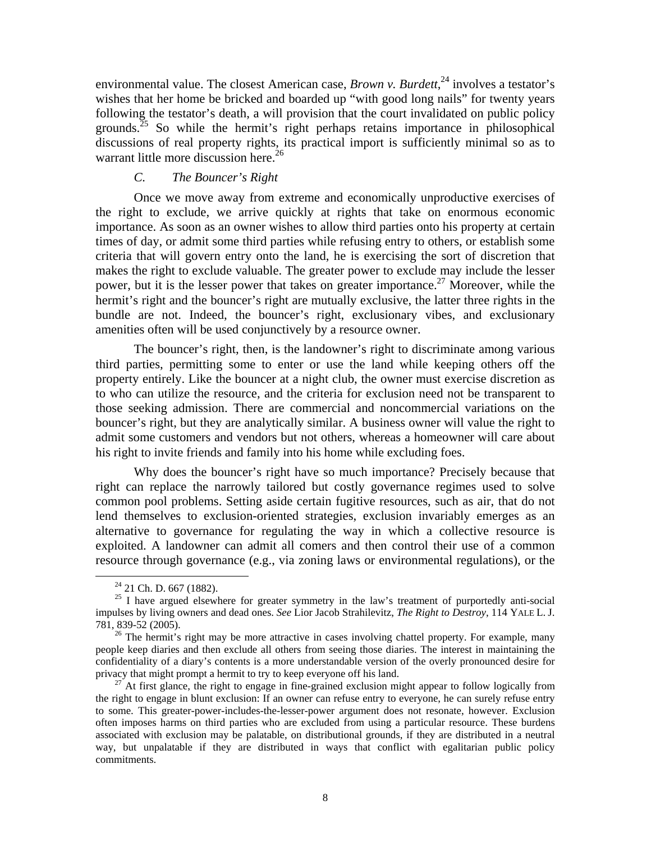environmental value. The closest American case, *Brown v. Burdett*,<sup>24</sup> involves a testator's wishes that her home be bricked and boarded up "with good long nails" for twenty years following the testator's death, a will provision that the court invalidated on public policy grounds.25 So while the hermit's right perhaps retains importance in philosophical discussions of real property rights, its practical import is sufficiently minimal so as to warrant little more discussion here.<sup>26</sup>

#### *C. The Bouncer's Right*

Once we move away from extreme and economically unproductive exercises of the right to exclude, we arrive quickly at rights that take on enormous economic importance. As soon as an owner wishes to allow third parties onto his property at certain times of day, or admit some third parties while refusing entry to others, or establish some criteria that will govern entry onto the land, he is exercising the sort of discretion that makes the right to exclude valuable. The greater power to exclude may include the lesser power, but it is the lesser power that takes on greater importance.<sup>27</sup> Moreover, while the hermit's right and the bouncer's right are mutually exclusive, the latter three rights in the bundle are not. Indeed, the bouncer's right, exclusionary vibes, and exclusionary amenities often will be used conjunctively by a resource owner.

The bouncer's right, then, is the landowner's right to discriminate among various third parties, permitting some to enter or use the land while keeping others off the property entirely. Like the bouncer at a night club, the owner must exercise discretion as to who can utilize the resource, and the criteria for exclusion need not be transparent to those seeking admission. There are commercial and noncommercial variations on the bouncer's right, but they are analytically similar. A business owner will value the right to admit some customers and vendors but not others, whereas a homeowner will care about his right to invite friends and family into his home while excluding foes.

Why does the bouncer's right have so much importance? Precisely because that right can replace the narrowly tailored but costly governance regimes used to solve common pool problems. Setting aside certain fugitive resources, such as air, that do not lend themselves to exclusion-oriented strategies, exclusion invariably emerges as an alternative to governance for regulating the way in which a collective resource is exploited. A landowner can admit all comers and then control their use of a common resource through governance (e.g., via zoning laws or environmental regulations), or the

 $24$  21 Ch. D. 667 (1882).

 $25$  I have argued elsewhere for greater symmetry in the law's treatment of purportedly anti-social impulses by living owners and dead ones. *See* Lior Jacob Strahilevitz, *The Right to Destroy*, 114 YALE L. J. 781, 839-52 (2005).<br><sup>26</sup> The hermit's right may be more attractive in cases involving chattel property. For example, many

people keep diaries and then exclude all others from seeing those diaries. The interest in maintaining the confidentiality of a diary's contents is a more understandable version of the overly pronounced desire for privacy that might prompt a hermit to try to keep everyone off his land.  $27 \text{ At first glance, the right to engage in fine-grained exclusion might appear to follow logically from }$ 

the right to engage in blunt exclusion: If an owner can refuse entry to everyone, he can surely refuse entry to some. This greater-power-includes-the-lesser-power argument does not resonate, however. Exclusion often imposes harms on third parties who are excluded from using a particular resource. These burdens associated with exclusion may be palatable, on distributional grounds, if they are distributed in a neutral way, but unpalatable if they are distributed in ways that conflict with egalitarian public policy commitments.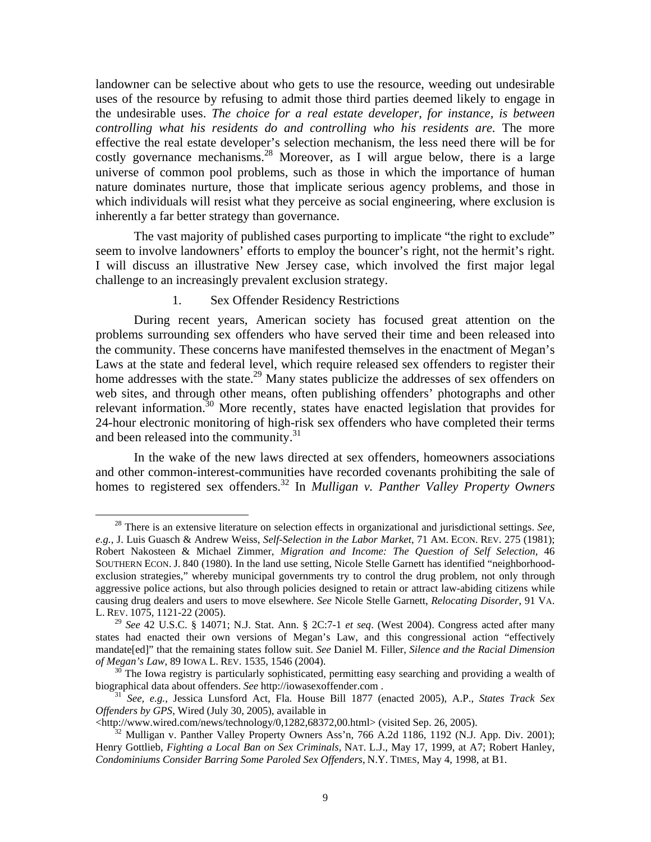landowner can be selective about who gets to use the resource, weeding out undesirable uses of the resource by refusing to admit those third parties deemed likely to engage in the undesirable uses. *The choice for a real estate developer, for instance, is between controlling what his residents do and controlling who his residents are.* The more effective the real estate developer's selection mechanism, the less need there will be for costly governance mechanisms.<sup>28</sup> Moreover, as I will argue below, there is a large universe of common pool problems, such as those in which the importance of human nature dominates nurture, those that implicate serious agency problems, and those in which individuals will resist what they perceive as social engineering, where exclusion is inherently a far better strategy than governance.

The vast majority of published cases purporting to implicate "the right to exclude" seem to involve landowners' efforts to employ the bouncer's right, not the hermit's right. I will discuss an illustrative New Jersey case, which involved the first major legal challenge to an increasingly prevalent exclusion strategy.

#### 1. Sex Offender Residency Restrictions

During recent years, American society has focused great attention on the problems surrounding sex offenders who have served their time and been released into the community. These concerns have manifested themselves in the enactment of Megan's Laws at the state and federal level, which require released sex offenders to register their home addresses with the state.<sup>29</sup> Many states publicize the addresses of sex offenders on web sites, and through other means, often publishing offenders' photographs and other relevant information.<sup>30</sup> More recently, states have enacted legislation that provides for 24-hour electronic monitoring of high-risk sex offenders who have completed their terms and been released into the community.<sup>31</sup>

In the wake of the new laws directed at sex offenders, homeowners associations and other common-interest-communities have recorded covenants prohibiting the sale of homes to registered sex offenders.<sup>32</sup> In *Mulligan v. Panther Valley Property Owners* 

 <sup>28</sup> There is an extensive literature on selection effects in organizational and jurisdictional settings. *See, e.g.*, J. Luis Guasch & Andrew Weiss, *Self-Selection in the Labor Market*, 71 AM. ECON. REV. 275 (1981); Robert Nakosteen & Michael Zimmer, *Migration and Income: The Question of Self Selection*, 46 SOUTHERN ECON. J. 840 (1980). In the land use setting, Nicole Stelle Garnett has identified "neighborhoodexclusion strategies," whereby municipal governments try to control the drug problem, not only through aggressive police actions, but also through policies designed to retain or attract law-abiding citizens while causing drug dealers and users to move elsewhere. *See* Nicole Stelle Garnett, *Relocating Disorder*, 91 VA. L. REV. 1075, 1121-22 (2005).

<sup>29</sup> *See* 42 U.S.C. § 14071; N.J. Stat. Ann. § 2C:7-1 *et seq*. (West 2004). Congress acted after many states had enacted their own versions of Megan's Law, and this congressional action "effectively mandate[ed]" that the remaining states follow suit. *See* Daniel M. Filler, *Silence and the Racial Dimension* 

*of Megan's Law*, 89 IOWA L. REV. 1535, 1546 (2004).<br><sup>30</sup> The Iowa registry is particularly sophisticated, permitting easy searching and providing a wealth of biographical data about offenders. *See* http://iowasexoffender

biographical data about offenders. *See* http://iowasexoffender.com . 31 *See, e.g.*, Jessica Lunsford Act, Fla. House Bill 1877 (enacted 2005), A.P., *States Track Sex Offenders by GPS*, Wired (July 30, 2005), available in <br>
http://www.wired.com/news/technology/0,1282,68372,00.html> (visited Sep. 26, 2005).

 $32$  Mulligan v. Panther Valley Property Owners Ass'n, 766 A.2d 1186, 1192 (N.J. App. Div. 2001); Henry Gottlieb, *Fighting a Local Ban on Sex Criminals*, NAT. L.J., May 17, 1999, at A7; Robert Hanley, *Condominiums Consider Barring Some Paroled Sex Offenders*, N.Y. TIMES, May 4, 1998, at B1.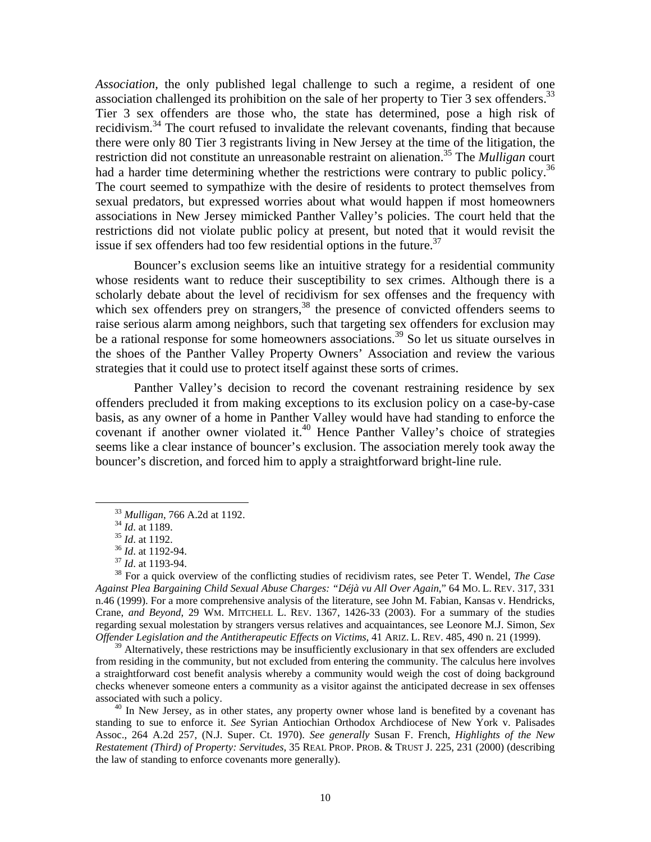*Association,* the only published legal challenge to such a regime, a resident of one association challenged its prohibition on the sale of her property to Tier  $3 \text{ sex}$  offenders.<sup>33</sup> Tier 3 sex offenders are those who, the state has determined, pose a high risk of recidivism.<sup>34</sup> The court refused to invalidate the relevant covenants, finding that because there were only 80 Tier 3 registrants living in New Jersey at the time of the litigation, the restriction did not constitute an unreasonable restraint on alienation.<sup>35</sup> The *Mulligan* court had a harder time determining whether the restrictions were contrary to public policy.<sup>36</sup> The court seemed to sympathize with the desire of residents to protect themselves from sexual predators, but expressed worries about what would happen if most homeowners associations in New Jersey mimicked Panther Valley's policies. The court held that the restrictions did not violate public policy at present, but noted that it would revisit the issue if sex offenders had too few residential options in the future.<sup>37</sup>

 Bouncer's exclusion seems like an intuitive strategy for a residential community whose residents want to reduce their susceptibility to sex crimes. Although there is a scholarly debate about the level of recidivism for sex offenses and the frequency with which sex offenders prey on strangers,  $38$  the presence of convicted offenders seems to raise serious alarm among neighbors, such that targeting sex offenders for exclusion may be a rational response for some homeowners associations.<sup>39</sup> So let us situate ourselves in the shoes of the Panther Valley Property Owners' Association and review the various strategies that it could use to protect itself against these sorts of crimes.

 Panther Valley's decision to record the covenant restraining residence by sex offenders precluded it from making exceptions to its exclusion policy on a case-by-case basis, as any owner of a home in Panther Valley would have had standing to enforce the covenant if another owner violated it.<sup>40</sup> Hence Panther Valley's choice of strategies seems like a clear instance of bouncer's exclusion. The association merely took away the bouncer's discretion, and forced him to apply a straightforward bright-line rule.

 $39$  Alternatively, these restrictions may be insufficiently exclusionary in that sex offenders are excluded from residing in the community, but not excluded from entering the community. The calculus here involves a straightforward cost benefit analysis whereby a community would weigh the cost of doing background checks whenever someone enters a community as a visitor against the anticipated decrease in sex offenses associated with such a policy.<br><sup>40</sup> In New Jersey, as in other states, any property owner whose land is benefited by a covenant has

standing to sue to enforce it. *See* Syrian Antiochian Orthodox Archdiocese of New York v. Palisades Assoc., 264 A.2d 257, (N.J. Super. Ct. 1970). *See generally* Susan F. French, *Highlights of the New Restatement (Third) of Property: Servitudes*, 35 REAL PROP. PROB. & TRUST J. 225, 231 (2000) (describing the law of standing to enforce covenants more generally).

<sup>&</sup>lt;sup>33</sup> Mulligan, 766 A.2d at 1192.<br><sup>34</sup> *Id.* at 1189.<br><sup>35</sup> *Id.* at 1192.<br><sup>35</sup> *Id.* at 1192-94.<br><sup>37</sup> *Id.* at 1193-94.<br><sup>37</sup> *Id.* at 1193-94.<br><sup>38</sup> For a quick overview of the conflicting studies of recidivism rates, see P *Against Plea Bargaining Child Sexual Abuse Charges: "Déjà vu All Over Again*," 64 MO. L. REV. 317, 331 n.46 (1999). For a more comprehensive analysis of the literature, see John M. Fabian, Kansas v. Hendricks, Crane, *and Beyond*, 29 WM. MITCHELL L. REV. 1367, 1426-33 (2003). For a summary of the studies regarding sexual molestation by strangers versus relatives and acquaintances, see Leonore M.J. Simon, *Sex Offender Legislation and the Antitherapeutic Effects on Victims*, 41 ARIZ. L. REV. 485, 490 n. 21 (1999).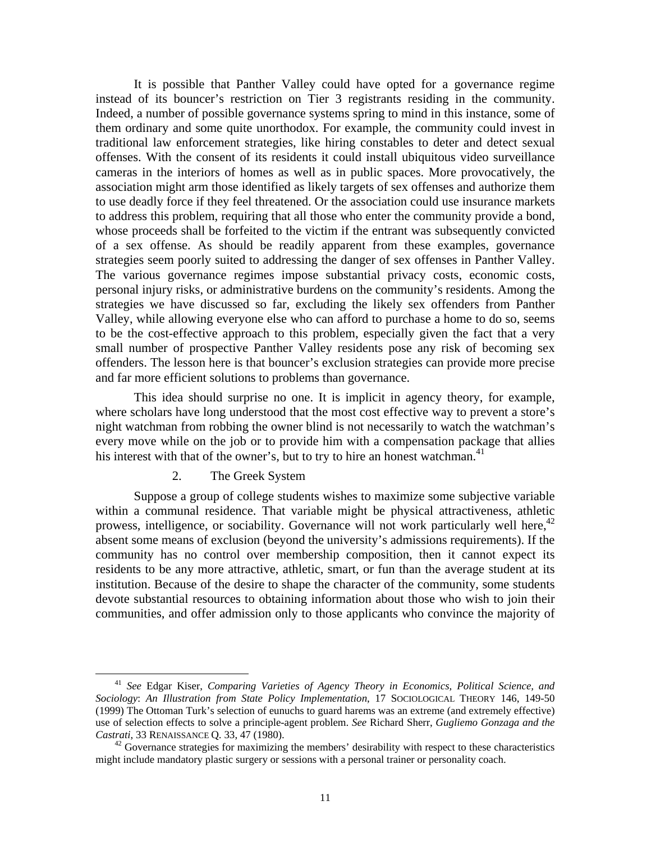It is possible that Panther Valley could have opted for a governance regime instead of its bouncer's restriction on Tier 3 registrants residing in the community. Indeed, a number of possible governance systems spring to mind in this instance, some of them ordinary and some quite unorthodox. For example, the community could invest in traditional law enforcement strategies, like hiring constables to deter and detect sexual offenses. With the consent of its residents it could install ubiquitous video surveillance cameras in the interiors of homes as well as in public spaces. More provocatively, the association might arm those identified as likely targets of sex offenses and authorize them to use deadly force if they feel threatened. Or the association could use insurance markets to address this problem, requiring that all those who enter the community provide a bond, whose proceeds shall be forfeited to the victim if the entrant was subsequently convicted of a sex offense. As should be readily apparent from these examples, governance strategies seem poorly suited to addressing the danger of sex offenses in Panther Valley. The various governance regimes impose substantial privacy costs, economic costs, personal injury risks, or administrative burdens on the community's residents. Among the strategies we have discussed so far, excluding the likely sex offenders from Panther Valley, while allowing everyone else who can afford to purchase a home to do so, seems to be the cost-effective approach to this problem, especially given the fact that a very small number of prospective Panther Valley residents pose any risk of becoming sex offenders. The lesson here is that bouncer's exclusion strategies can provide more precise and far more efficient solutions to problems than governance.

 This idea should surprise no one. It is implicit in agency theory, for example, where scholars have long understood that the most cost effective way to prevent a store's night watchman from robbing the owner blind is not necessarily to watch the watchman's every move while on the job or to provide him with a compensation package that allies his interest with that of the owner's, but to try to hire an honest watchman.<sup>41</sup>

#### 2. The Greek System

Suppose a group of college students wishes to maximize some subjective variable within a communal residence. That variable might be physical attractiveness, athletic prowess, intelligence, or sociability. Governance will not work particularly well here,  $42$ absent some means of exclusion (beyond the university's admissions requirements). If the community has no control over membership composition, then it cannot expect its residents to be any more attractive, athletic, smart, or fun than the average student at its institution. Because of the desire to shape the character of the community, some students devote substantial resources to obtaining information about those who wish to join their communities, and offer admission only to those applicants who convince the majority of

 <sup>41</sup> *See* Edgar Kiser, *Comparing Varieties of Agency Theory in Economics, Political Science, and Sociology*: *An Illustration from State Policy Implementation*, 17 SOCIOLOGICAL THEORY 146, 149-50 (1999) The Ottoman Turk's selection of eunuchs to guard harems was an extreme (and extremely effective) use of selection effects to solve a principle-agent problem. *See* Richard Sherr, *Gugliemo Gonzaga and the Castrati*, 33 RENAISSANCE Q. 33, 47 (1980). 42 Governance strategies for maximizing the members' desirability with respect to these characteristics

might include mandatory plastic surgery or sessions with a personal trainer or personality coach.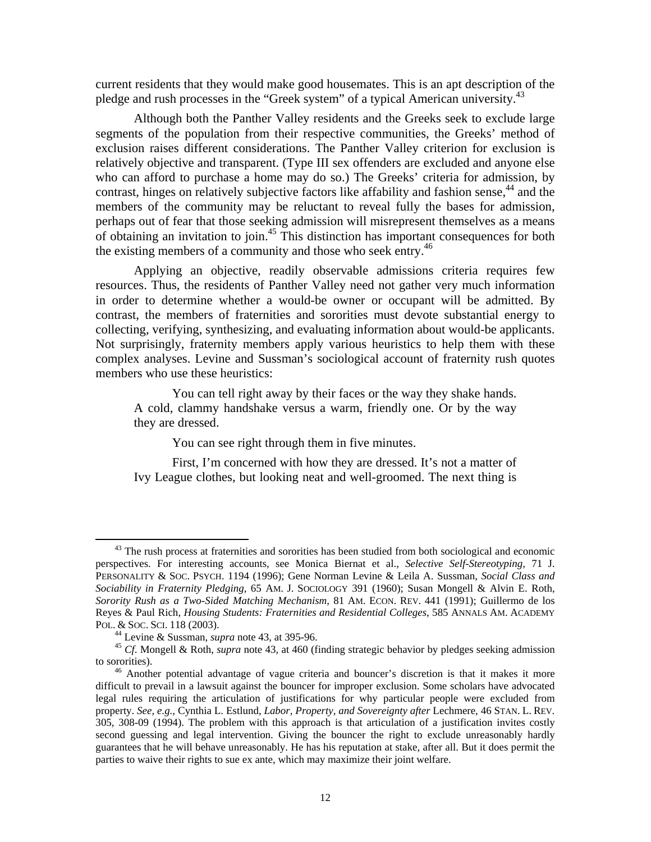current residents that they would make good housemates. This is an apt description of the pledge and rush processes in the "Greek system" of a typical American university.<sup>43</sup>

Although both the Panther Valley residents and the Greeks seek to exclude large segments of the population from their respective communities, the Greeks' method of exclusion raises different considerations. The Panther Valley criterion for exclusion is relatively objective and transparent. (Type III sex offenders are excluded and anyone else who can afford to purchase a home may do so.) The Greeks' criteria for admission, by contrast, hinges on relatively subjective factors like affability and fashion sense,<sup>44</sup> and the members of the community may be reluctant to reveal fully the bases for admission, perhaps out of fear that those seeking admission will misrepresent themselves as a means of obtaining an invitation to join. $45$  This distinction has important consequences for both the existing members of a community and those who seek entry.<sup>46</sup>

Applying an objective, readily observable admissions criteria requires few resources. Thus, the residents of Panther Valley need not gather very much information in order to determine whether a would-be owner or occupant will be admitted. By contrast, the members of fraternities and sororities must devote substantial energy to collecting, verifying, synthesizing, and evaluating information about would-be applicants. Not surprisingly, fraternity members apply various heuristics to help them with these complex analyses. Levine and Sussman's sociological account of fraternity rush quotes members who use these heuristics:

You can tell right away by their faces or the way they shake hands. A cold, clammy handshake versus a warm, friendly one. Or by the way they are dressed.

You can see right through them in five minutes.

First, I'm concerned with how they are dressed. It's not a matter of Ivy League clothes, but looking neat and well-groomed. The next thing is

 $43$  The rush process at fraternities and sororities has been studied from both sociological and economic perspectives. For interesting accounts, see Monica Biernat et al., *Selective Self-Stereotyping*, 71 J. PERSONALITY & SOC. PSYCH. 1194 (1996); Gene Norman Levine & Leila A. Sussman, *Social Class and Sociability in Fraternity Pledging*, 65 AM. J. SOCIOLOGY 391 (1960); Susan Mongell & Alvin E. Roth, *Sorority Rush as a Two-Sided Matching Mechanism*, 81 AM. ECON. REV. 441 (1991); Guillermo de los Reyes & Paul Rich, *Housing Students: Fraternities and Residential Colleges*, 585 ANNALS AM. ACADEMY POL. & SOC. SCI. 118 (2003). 44 Levine & Sussman, *supra* note 43, at 395-96. 45 *Cf*. Mongell & Roth, *supra* note 43, at 460 (finding strategic behavior by pledges seeking admission

to sororities). 46 Another potential advantage of vague criteria and bouncer's discretion is that it makes it more

difficult to prevail in a lawsuit against the bouncer for improper exclusion. Some scholars have advocated legal rules requiring the articulation of justifications for why particular people were excluded from property. *See, e.g.*, Cynthia L. Estlund, *Labor, Property, and Sovereignty after* Lechmere, 46 STAN. L. REV. 305, 308-09 (1994). The problem with this approach is that articulation of a justification invites costly second guessing and legal intervention. Giving the bouncer the right to exclude unreasonably hardly guarantees that he will behave unreasonably. He has his reputation at stake, after all. But it does permit the parties to waive their rights to sue ex ante, which may maximize their joint welfare.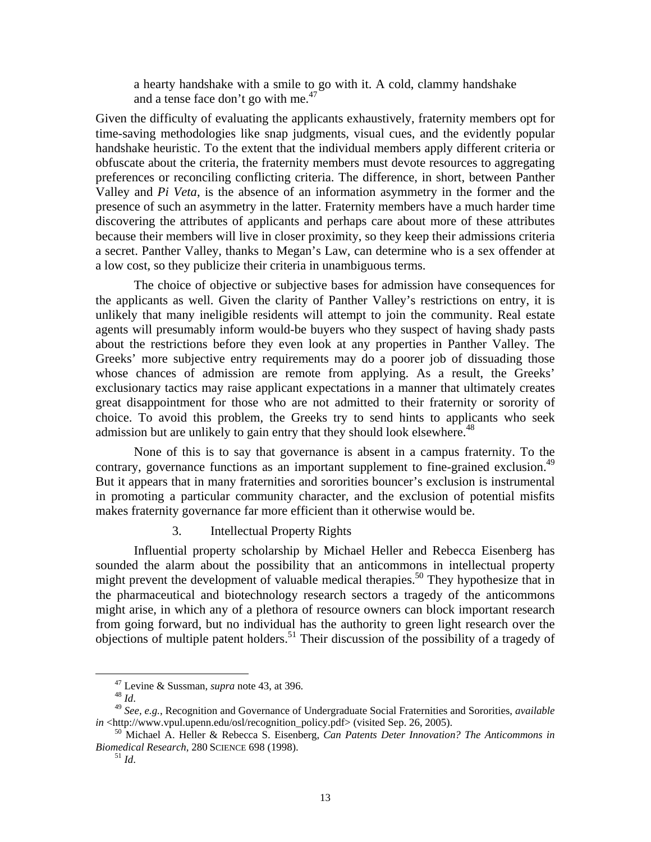a hearty handshake with a smile to go with it. A cold, clammy handshake and a tense face don't go with me. $47$ 

Given the difficulty of evaluating the applicants exhaustively, fraternity members opt for time-saving methodologies like snap judgments, visual cues, and the evidently popular handshake heuristic. To the extent that the individual members apply different criteria or obfuscate about the criteria, the fraternity members must devote resources to aggregating preferences or reconciling conflicting criteria. The difference, in short, between Panther Valley and *Pi Veta*, is the absence of an information asymmetry in the former and the presence of such an asymmetry in the latter. Fraternity members have a much harder time discovering the attributes of applicants and perhaps care about more of these attributes because their members will live in closer proximity, so they keep their admissions criteria a secret. Panther Valley, thanks to Megan's Law, can determine who is a sex offender at a low cost, so they publicize their criteria in unambiguous terms.

The choice of objective or subjective bases for admission have consequences for the applicants as well. Given the clarity of Panther Valley's restrictions on entry, it is unlikely that many ineligible residents will attempt to join the community. Real estate agents will presumably inform would-be buyers who they suspect of having shady pasts about the restrictions before they even look at any properties in Panther Valley. The Greeks' more subjective entry requirements may do a poorer job of dissuading those whose chances of admission are remote from applying. As a result, the Greeks' exclusionary tactics may raise applicant expectations in a manner that ultimately creates great disappointment for those who are not admitted to their fraternity or sorority of choice. To avoid this problem, the Greeks try to send hints to applicants who seek admission but are unlikely to gain entry that they should look elsewhere.<sup>48</sup>

None of this is to say that governance is absent in a campus fraternity. To the contrary, governance functions as an important supplement to fine-grained exclusion.<sup>49</sup> But it appears that in many fraternities and sororities bouncer's exclusion is instrumental in promoting a particular community character, and the exclusion of potential misfits makes fraternity governance far more efficient than it otherwise would be.

#### 3. Intellectual Property Rights

Influential property scholarship by Michael Heller and Rebecca Eisenberg has sounded the alarm about the possibility that an anticommons in intellectual property might prevent the development of valuable medical therapies.<sup>50</sup> They hypothesize that in the pharmaceutical and biotechnology research sectors a tragedy of the anticommons might arise, in which any of a plethora of resource owners can block important research from going forward, but no individual has the authority to green light research over the objections of multiple patent holders.<sup>51</sup> Their discussion of the possibility of a tragedy of

<sup>&</sup>lt;sup>47</sup> Levine & Sussman, *supra* note 43, at 396.<br><sup>48</sup> *Id*. <sup>49</sup> *See, e.g.*, Recognition and Governance of Undergraduate Social Fraternities and Sororities, *available in* <http://www.ypul.upenn.edu/osl/recognition polic

<sup>&</sup>lt;sup>50</sup> Michael A. Heller & Rebecca S. Eisenberg, *Can Patents Deter Innovation? The Anticommons in Biomedical Research*, 280 SCIENCE 698 (1998). 51 *Id*.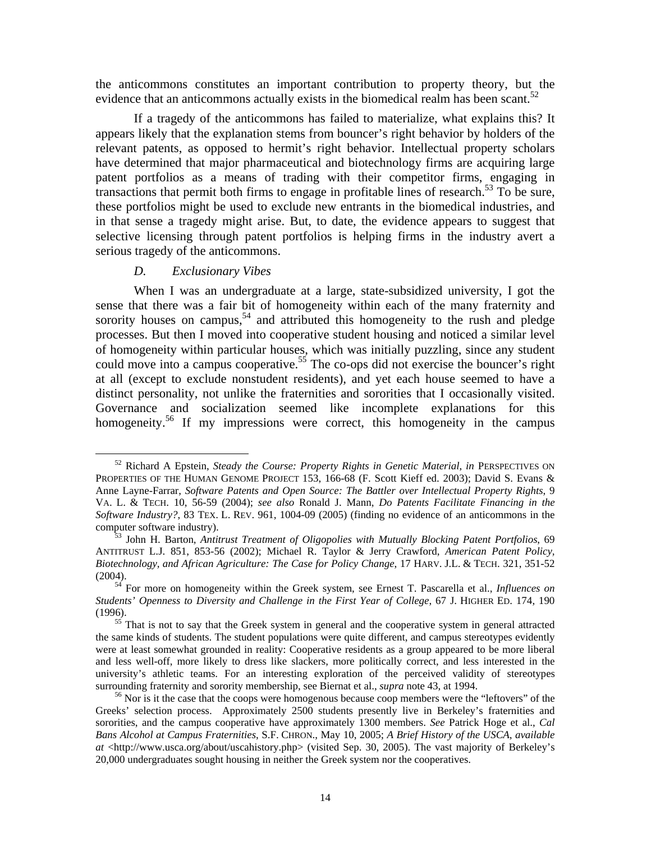the anticommons constitutes an important contribution to property theory, but the evidence that an anticommons actually exists in the biomedical realm has been scant. $52$ 

If a tragedy of the anticommons has failed to materialize, what explains this? It appears likely that the explanation stems from bouncer's right behavior by holders of the relevant patents, as opposed to hermit's right behavior. Intellectual property scholars have determined that major pharmaceutical and biotechnology firms are acquiring large patent portfolios as a means of trading with their competitor firms, engaging in transactions that permit both firms to engage in profitable lines of research.<sup>53</sup> To be sure, these portfolios might be used to exclude new entrants in the biomedical industries, and in that sense a tragedy might arise. But, to date, the evidence appears to suggest that selective licensing through patent portfolios is helping firms in the industry avert a serious tragedy of the anticommons.

#### *D. Exclusionary Vibes*

When I was an undergraduate at a large, state-subsidized university, I got the sense that there was a fair bit of homogeneity within each of the many fraternity and sorority houses on campus,<sup>54</sup> and attributed this homogeneity to the rush and pledge processes. But then I moved into cooperative student housing and noticed a similar level of homogeneity within particular houses, which was initially puzzling, since any student could move into a campus cooperative.<sup>55</sup> The co-ops did not exercise the bouncer's right at all (except to exclude nonstudent residents), and yet each house seemed to have a distinct personality, not unlike the fraternities and sororities that I occasionally visited. Governance and socialization seemed like incomplete explanations for this homogeneity.<sup>56</sup> If my impressions were correct, this homogeneity in the campus

 <sup>52</sup> Richard A Epstein, *Steady the Course: Property Rights in Genetic Material*, *in* PERSPECTIVES ON PROPERTIES OF THE HUMAN GENOME PROJECT 153, 166-68 (F. Scott Kieff ed. 2003); David S. Evans & Anne Layne-Farrar, *Software Patents and Open Source: The Battler over Intellectual Property Rights*, 9 VA. L. & TECH. 10, 56-59 (2004); *see also* Ronald J. Mann, *Do Patents Facilitate Financing in the Software Industry?*, 83 TEX. L. REV. 961, 1004-09 (2005) (finding no evidence of an anticommons in the computer software industry).<br><sup>53</sup> John H. Barton, *Antitrust Treatment of Oligopolies with Mutually Blocking Patent Portfolios*, 69

ANTITRUST L.J. 851, 853-56 (2002); Michael R. Taylor & Jerry Crawford, *American Patent Policy, Biotechnology, and African Agriculture: The Case for Policy Change*, 17 HARV. J.L. & TECH. 321, 351-52 (2004). 54 For more on homogeneity within the Greek system, see Ernest T. Pascarella et al., *Influences on* 

*Students' Openness to Diversity and Challenge in the First Year of College*, 67 J. HIGHER ED. 174, 190

 $55$  That is not to say that the Greek system in general and the cooperative system in general attracted the same kinds of students. The student populations were quite different, and campus stereotypes evidently were at least somewhat grounded in reality: Cooperative residents as a group appeared to be more liberal and less well-off, more likely to dress like slackers, more politically correct, and less interested in the university's athletic teams. For an interesting exploration of the perceived validity of stereotypes surrounding fraternity and sorority membership, see Biernat et al., *supra* note 43, at 1994.<br><sup>56</sup> Nor is it the case that the coops were homogenous because coop members were the "leftovers" of the

Greeks' selection process. Approximately 2500 students presently live in Berkeley's fraternities and sororities, and the campus cooperative have approximately 1300 members. *See* Patrick Hoge et al., *Cal Bans Alcohol at Campus Fraternities*, S.F. CHRON., May 10, 2005; *A Brief History of the USCA*, *available at* <http://www.usca.org/about/uscahistory.php> (visited Sep. 30, 2005). The vast majority of Berkeley's 20,000 undergraduates sought housing in neither the Greek system nor the cooperatives.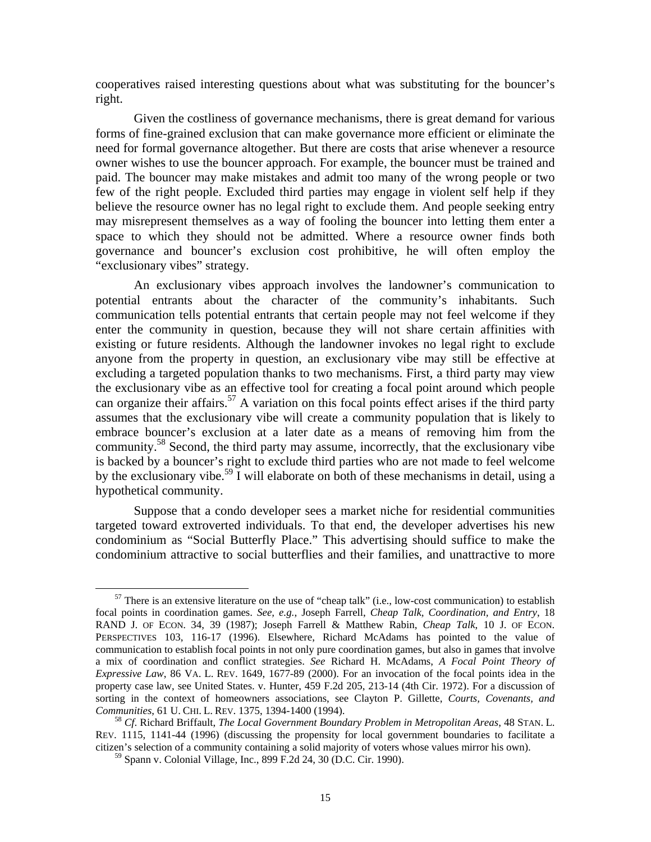cooperatives raised interesting questions about what was substituting for the bouncer's right.

Given the costliness of governance mechanisms, there is great demand for various forms of fine-grained exclusion that can make governance more efficient or eliminate the need for formal governance altogether. But there are costs that arise whenever a resource owner wishes to use the bouncer approach. For example, the bouncer must be trained and paid. The bouncer may make mistakes and admit too many of the wrong people or two few of the right people. Excluded third parties may engage in violent self help if they believe the resource owner has no legal right to exclude them. And people seeking entry may misrepresent themselves as a way of fooling the bouncer into letting them enter a space to which they should not be admitted. Where a resource owner finds both governance and bouncer's exclusion cost prohibitive, he will often employ the "exclusionary vibes" strategy.

An exclusionary vibes approach involves the landowner's communication to potential entrants about the character of the community's inhabitants. Such communication tells potential entrants that certain people may not feel welcome if they enter the community in question, because they will not share certain affinities with existing or future residents. Although the landowner invokes no legal right to exclude anyone from the property in question, an exclusionary vibe may still be effective at excluding a targeted population thanks to two mechanisms. First, a third party may view the exclusionary vibe as an effective tool for creating a focal point around which people can organize their affairs.<sup>57</sup> A variation on this focal points effect arises if the third party assumes that the exclusionary vibe will create a community population that is likely to embrace bouncer's exclusion at a later date as a means of removing him from the community.58 Second, the third party may assume, incorrectly, that the exclusionary vibe is backed by a bouncer's right to exclude third parties who are not made to feel welcome by the exclusionary vibe.<sup>59</sup> I will elaborate on both of these mechanisms in detail, using a hypothetical community.

Suppose that a condo developer sees a market niche for residential communities targeted toward extroverted individuals. To that end, the developer advertises his new condominium as "Social Butterfly Place." This advertising should suffice to make the condominium attractive to social butterflies and their families, and unattractive to more

 $57$  There is an extensive literature on the use of "cheap talk" (i.e., low-cost communication) to establish focal points in coordination games. *See, e.g.*, Joseph Farrell, *Cheap Talk, Coordination, and Entry*, 18 RAND J. OF ECON. 34, 39 (1987); Joseph Farrell & Matthew Rabin, *Cheap Talk*, 10 J. OF ECON. PERSPECTIVES 103, 116-17 (1996). Elsewhere, Richard McAdams has pointed to the value of communication to establish focal points in not only pure coordination games, but also in games that involve a mix of coordination and conflict strategies. *See* Richard H. McAdams, *A Focal Point Theory of Expressive Law*, 86 VA. L. REV. 1649, 1677-89 (2000). For an invocation of the focal points idea in the property case law, see United States. v. Hunter, 459 F.2d 205, 213-14 (4th Cir. 1972). For a discussion of sorting in the context of homeowners associations, see Clayton P. Gillette, *Courts, Covenants, and Communities*, 61 U. CHI. L. REV. 1375, 1394-1400 (1994). 58 *Cf*. Richard Briffault, *The Local Government Boundary Problem in Metropolitan Areas*, 48 STAN. L.

REV. 1115, 1141-44 (1996) (discussing the propensity for local government boundaries to facilitate a citizen's selection of a community containing a solid majority of voters whose values mirror his own).

<sup>59</sup> Spann v. Colonial Village, Inc., 899 F.2d 24, 30 (D.C. Cir. 1990).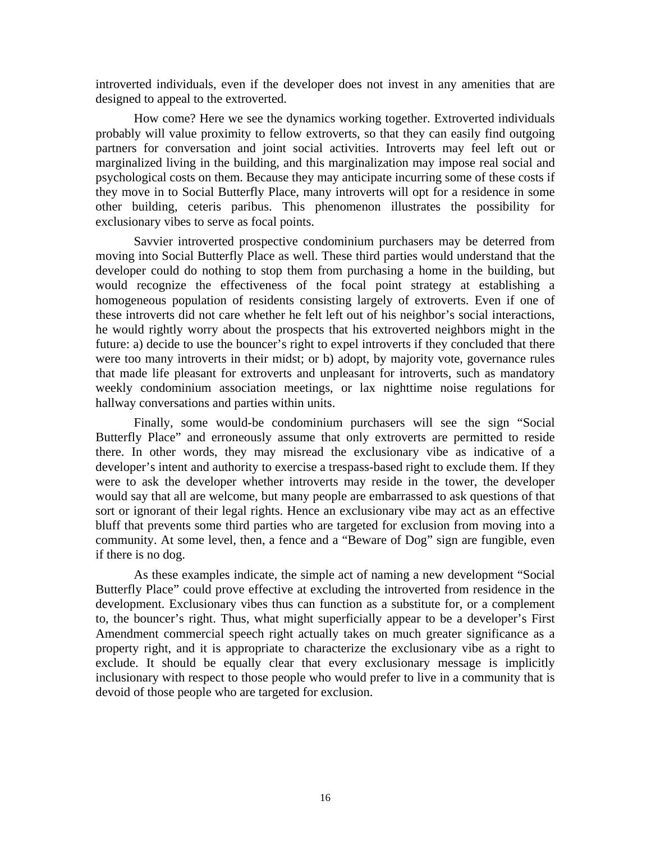introverted individuals, even if the developer does not invest in any amenities that are designed to appeal to the extroverted.

How come? Here we see the dynamics working together. Extroverted individuals probably will value proximity to fellow extroverts, so that they can easily find outgoing partners for conversation and joint social activities. Introverts may feel left out or marginalized living in the building, and this marginalization may impose real social and psychological costs on them. Because they may anticipate incurring some of these costs if they move in to Social Butterfly Place, many introverts will opt for a residence in some other building, ceteris paribus. This phenomenon illustrates the possibility for exclusionary vibes to serve as focal points.

Savvier introverted prospective condominium purchasers may be deterred from moving into Social Butterfly Place as well. These third parties would understand that the developer could do nothing to stop them from purchasing a home in the building, but would recognize the effectiveness of the focal point strategy at establishing a homogeneous population of residents consisting largely of extroverts. Even if one of these introverts did not care whether he felt left out of his neighbor's social interactions, he would rightly worry about the prospects that his extroverted neighbors might in the future: a) decide to use the bouncer's right to expel introverts if they concluded that there were too many introverts in their midst; or b) adopt, by majority vote, governance rules that made life pleasant for extroverts and unpleasant for introverts, such as mandatory weekly condominium association meetings, or lax nighttime noise regulations for hallway conversations and parties within units.

 Finally, some would-be condominium purchasers will see the sign "Social Butterfly Place" and erroneously assume that only extroverts are permitted to reside there. In other words, they may misread the exclusionary vibe as indicative of a developer's intent and authority to exercise a trespass-based right to exclude them. If they were to ask the developer whether introverts may reside in the tower, the developer would say that all are welcome, but many people are embarrassed to ask questions of that sort or ignorant of their legal rights. Hence an exclusionary vibe may act as an effective bluff that prevents some third parties who are targeted for exclusion from moving into a community. At some level, then, a fence and a "Beware of Dog" sign are fungible, even if there is no dog.

 As these examples indicate, the simple act of naming a new development "Social Butterfly Place" could prove effective at excluding the introverted from residence in the development. Exclusionary vibes thus can function as a substitute for, or a complement to, the bouncer's right. Thus, what might superficially appear to be a developer's First Amendment commercial speech right actually takes on much greater significance as a property right, and it is appropriate to characterize the exclusionary vibe as a right to exclude. It should be equally clear that every exclusionary message is implicitly inclusionary with respect to those people who would prefer to live in a community that is devoid of those people who are targeted for exclusion.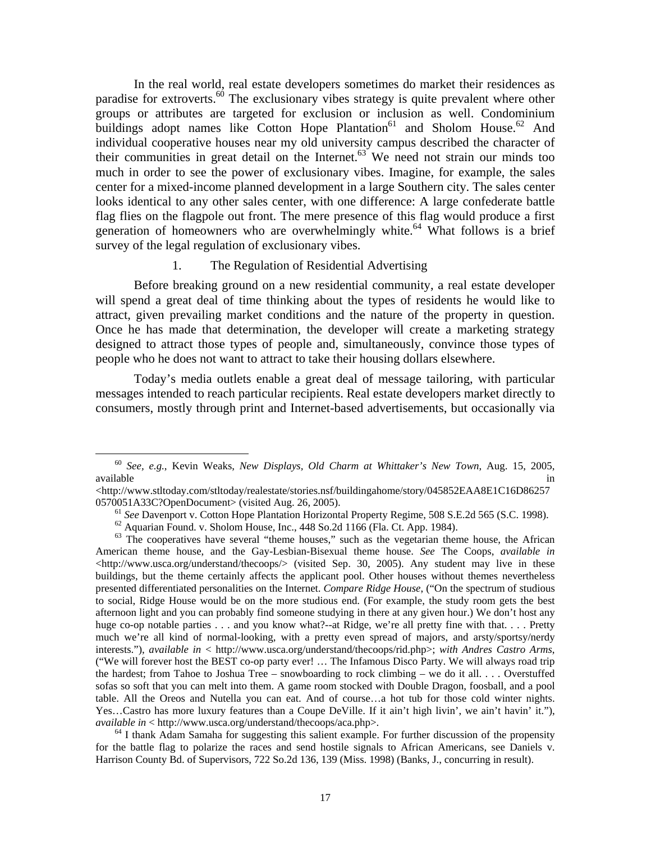In the real world, real estate developers sometimes do market their residences as paradise for extroverts.<sup>60</sup> The exclusionary vibes strategy is quite prevalent where other groups or attributes are targeted for exclusion or inclusion as well. Condominium buildings adopt names like Cotton Hope Plantation<sup>61</sup> and Sholom House.<sup>62</sup> And individual cooperative houses near my old university campus described the character of their communities in great detail on the Internet. $63$  We need not strain our minds too much in order to see the power of exclusionary vibes. Imagine, for example, the sales center for a mixed-income planned development in a large Southern city. The sales center looks identical to any other sales center, with one difference: A large confederate battle flag flies on the flagpole out front. The mere presence of this flag would produce a first generation of homeowners who are overwhelmingly white.<sup>64</sup> What follows is a brief survey of the legal regulation of exclusionary vibes.

#### 1. The Regulation of Residential Advertising

Before breaking ground on a new residential community, a real estate developer will spend a great deal of time thinking about the types of residents he would like to attract, given prevailing market conditions and the nature of the property in question. Once he has made that determination, the developer will create a marketing strategy designed to attract those types of people and, simultaneously, convince those types of people who he does not want to attract to take their housing dollars elsewhere.

Today's media outlets enable a great deal of message tailoring, with particular messages intended to reach particular recipients. Real estate developers market directly to consumers, mostly through print and Internet-based advertisements, but occasionally via

 <sup>60</sup> *See, e.g.*, Kevin Weaks, *New Displays, Old Charm at Whittaker's New Town*, Aug. 15, 2005, available **in** in the set of the set of the set of the set of the set of the set of the set of the set of the set of the set of the set of the set of the set of the set of the set of the set of the set of the set of the se

<sup>&</sup>lt;http://www.stltoday.com/stltoday/realestate/stories.nsf/buildingahome/story/045852EAA8E1C16D86257

<sup>0570051</sup>A33C?OpenDocument> (visited Aug. 26, 2005).<br><sup>61</sup> See Davenport v. Cotton Hope Plantation Horizontal Property Regime, 508 S.E.2d 565 (S.C. 1998).<br><sup>62</sup> Aquarian Found. v. Sholom House, Inc., 448 So.2d 1166 (Fla. Ct.

 $63$  The cooperatives have several "theme houses," such as the vegetarian theme house, the African American theme house, and the Gay-Lesbian-Bisexual theme house. *See* The Coops, *available in*   $\langle$ http://www.usca.org/understand/thecoops/ $>$  (visited Sep. 30, 2005). Any student may live in these buildings, but the theme certainly affects the applicant pool. Other houses without themes nevertheless presented differentiated personalities on the Internet. *Compare Ridge House*, ("On the spectrum of studious to social, Ridge House would be on the more studious end. (For example, the study room gets the best afternoon light and you can probably find someone studying in there at any given hour.) We don't host any huge co-op notable parties . . . and you know what?--at Ridge, we're all pretty fine with that. . . . Pretty much we're all kind of normal-looking, with a pretty even spread of majors, and arsty/sportsy/nerdy interests."), *available in* < http://www.usca.org/understand/thecoops/rid.php>; *with Andres Castro Arms*, ("We will forever host the BEST co-op party ever! … The Infamous Disco Party. We will always road trip the hardest; from Tahoe to Joshua Tree – snowboarding to rock climbing – we do it all. . . . Overstuffed sofas so soft that you can melt into them. A game room stocked with Double Dragon, foosball, and a pool table. All the Oreos and Nutella you can eat. And of course…a hot tub for those cold winter nights. Yes…Castro has more luxury features than a Coupe DeVille. If it ain't high livin', we ain't havin' it."), *available in* < http://www.usca.org/understand/thecoops/aca.php>.<br><sup>64</sup> I thank Adam Samaha for suggesting this salient example. For further discussion of the propensity

for the battle flag to polarize the races and send hostile signals to African Americans, see Daniels v. Harrison County Bd. of Supervisors, 722 So.2d 136, 139 (Miss. 1998) (Banks, J., concurring in result).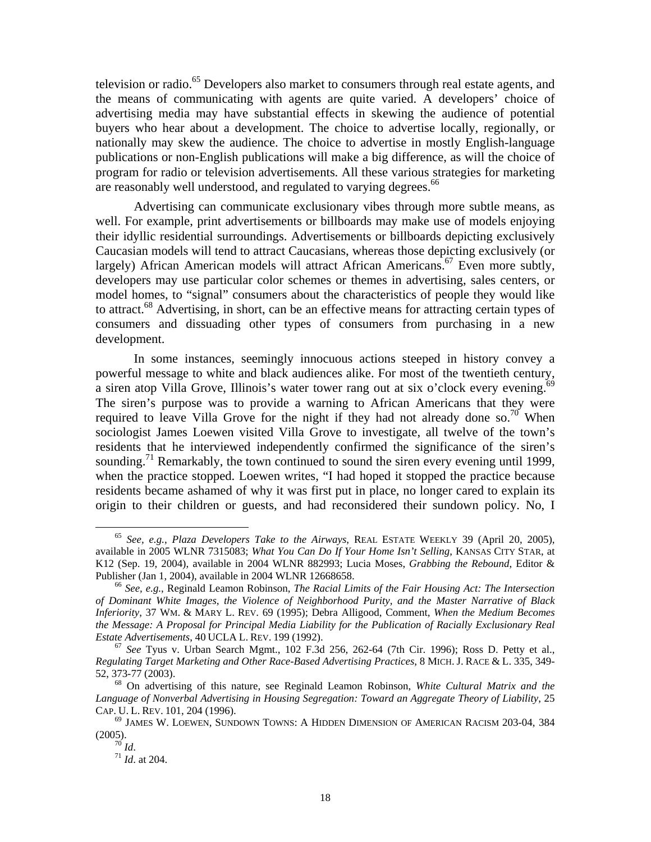television or radio.<sup>65</sup> Developers also market to consumers through real estate agents, and the means of communicating with agents are quite varied. A developers' choice of advertising media may have substantial effects in skewing the audience of potential buyers who hear about a development. The choice to advertise locally, regionally, or nationally may skew the audience. The choice to advertise in mostly English-language publications or non-English publications will make a big difference, as will the choice of program for radio or television advertisements. All these various strategies for marketing are reasonably well understood, and regulated to varying degrees.<sup>66</sup>

Advertising can communicate exclusionary vibes through more subtle means, as well. For example, print advertisements or billboards may make use of models enjoying their idyllic residential surroundings. Advertisements or billboards depicting exclusively Caucasian models will tend to attract Caucasians, whereas those depicting exclusively (or largely) African American models will attract African Americans.<sup>67</sup> Even more subtly, developers may use particular color schemes or themes in advertising, sales centers, or model homes, to "signal" consumers about the characteristics of people they would like to attract.<sup>68</sup> Advertising, in short, can be an effective means for attracting certain types of consumers and dissuading other types of consumers from purchasing in a new development.

In some instances, seemingly innocuous actions steeped in history convey a powerful message to white and black audiences alike. For most of the twentieth century, a siren atop Villa Grove, Illinois's water tower rang out at six o'clock every evening.<sup>69</sup> The siren's purpose was to provide a warning to African Americans that they were required to leave Villa Grove for the night if they had not already done so.<sup>70</sup> When sociologist James Loewen visited Villa Grove to investigate, all twelve of the town's residents that he interviewed independently confirmed the significance of the siren's sounding.<sup>71</sup> Remarkably, the town continued to sound the siren every evening until 1999, when the practice stopped. Loewen writes, "I had hoped it stopped the practice because residents became ashamed of why it was first put in place, no longer cared to explain its origin to their children or guests, and had reconsidered their sundown policy. No, I

 <sup>65</sup> *See, e.g.*, *Plaza Developers Take to the Airways*, REAL ESTATE WEEKLY 39 (April 20, 2005), available in 2005 WLNR 7315083; *What You Can Do If Your Home Isn't Selling*, KANSAS CITY STAR, at K12 (Sep. 19, 2004), available in 2004 WLNR 882993; Lucia Moses, *Grabbing the Rebound*, Editor & Publisher (Jan 1, 2004), available in 2004 WLNR 12668658.<br><sup>66</sup> *See, e.g.*, Reginald Leamon Robinson, *The Racial Limits of the Fair Housing Act: The Intersection* 

*of Dominant White Images, the Violence of Neighborhood Purity, and the Master Narrative of Black Inferiority*, 37 WM. & MARY L. REV. 69 (1995); Debra Alligood, Comment, *When the Medium Becomes the Message: A Proposal for Principal Media Liability for the Publication of Racially Exclusionary Real Estate Advertisements*, 40 UCLA L. REV. 199 (1992).<br><sup>67</sup> *See* Tyus v. Urban Search Mgmt., 102 F.3d 256, 262-64 (7th Cir. 1996); Ross D. Petty et al.,

*Regulating Target Marketing and Other Race-Based Advertising Practices*, 8 MICH. J. RACE & L. 335, 349-

<sup>&</sup>lt;sup>68</sup> On advertising of this nature, see Reginald Leamon Robinson, *White Cultural Matrix and the Language of Nonverbal Advertising in Housing Segregation: Toward an Aggregate Theory of Liability*, 25 CAP. U. L. REV. 101, 204 (1996).<br><sup>69</sup> JAMES W. LOEWEN, SUNDOWN TOWNS: A HIDDEN DIMENSION OF AMERICAN RACISM 203-04, 384

<sup>(2005).&</sup>lt;br> $\frac{70}{71}$ *Id.* at 204.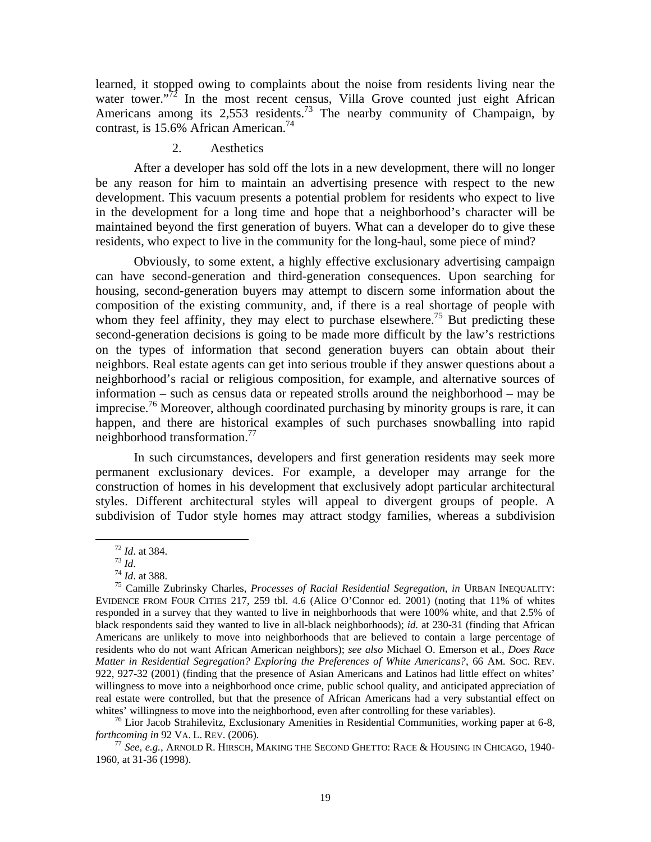learned, it stopped owing to complaints about the noise from residents living near the water tower. $\frac{1}{2}$  In the most recent census, Villa Grove counted just eight African Americans among its 2,553 residents.<sup>73</sup> The nearby community of Champaign, by contrast, is 15.6% African American.<sup>74</sup>

#### 2. Aesthetics

After a developer has sold off the lots in a new development, there will no longer be any reason for him to maintain an advertising presence with respect to the new development. This vacuum presents a potential problem for residents who expect to live in the development for a long time and hope that a neighborhood's character will be maintained beyond the first generation of buyers. What can a developer do to give these residents, who expect to live in the community for the long-haul, some piece of mind?

Obviously, to some extent, a highly effective exclusionary advertising campaign can have second-generation and third-generation consequences. Upon searching for housing, second-generation buyers may attempt to discern some information about the composition of the existing community, and, if there is a real shortage of people with whom they feel affinity, they may elect to purchase elsewhere.<sup>75</sup> But predicting these second-generation decisions is going to be made more difficult by the law's restrictions on the types of information that second generation buyers can obtain about their neighbors. Real estate agents can get into serious trouble if they answer questions about a neighborhood's racial or religious composition, for example, and alternative sources of information – such as census data or repeated strolls around the neighborhood – may be imprecise.<sup>76</sup> Moreover, although coordinated purchasing by minority groups is rare, it can happen, and there are historical examples of such purchases snowballing into rapid neighborhood transformation.<sup>77</sup>

In such circumstances, developers and first generation residents may seek more permanent exclusionary devices. For example, a developer may arrange for the construction of homes in his development that exclusively adopt particular architectural styles. Different architectural styles will appeal to divergent groups of people. A subdivision of Tudor style homes may attract stodgy families, whereas a subdivision

*forthcoming in* 92 VA. L. REV. (2006).<br><sup>77</sup> *See, e.g.*, ARNOLD R. HIRSCH, MAKING THE SECOND GHETTO: RACE & HOUSING IN CHICAGO, 1940-

1960, at 31-36 (1998).

<sup>72</sup> *Id*. at 384. 73 *Id*. 74 *Id*. at 388. 75 Camille Zubrinsky Charles, *Processes of Racial Residential Segregation*, *in* URBAN INEQUALITY: EVIDENCE FROM FOUR CITIES 217, 259 tbl. 4.6 (Alice O'Connor ed. 2001) (noting that 11% of whites responded in a survey that they wanted to live in neighborhoods that were 100% white, and that 2.5% of black respondents said they wanted to live in all-black neighborhoods); *id*. at 230-31 (finding that African Americans are unlikely to move into neighborhoods that are believed to contain a large percentage of residents who do not want African American neighbors); *see also* Michael O. Emerson et al., *Does Race Matter in Residential Segregation? Exploring the Preferences of White Americans?*, 66 AM. SOC. REV. 922, 927-32 (2001) (finding that the presence of Asian Americans and Latinos had little effect on whites' willingness to move into a neighborhood once crime, public school quality, and anticipated appreciation of real estate were controlled, but that the presence of African Americans had a very substantial effect on whites' willingness to move into the neighborhood, even after controlling for these variables).<br><sup>76</sup> Lior Jacob Strahilevitz, Exclusionary Amenities in Residential Communities, working paper at 6-8,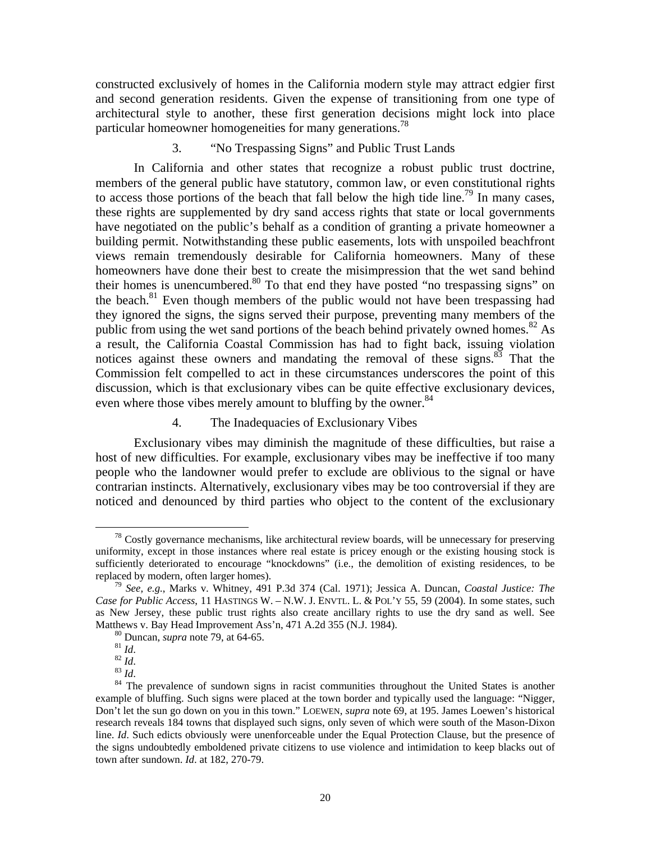constructed exclusively of homes in the California modern style may attract edgier first and second generation residents. Given the expense of transitioning from one type of architectural style to another, these first generation decisions might lock into place particular homeowner homogeneities for many generations.<sup>78</sup>

#### 3. "No Trespassing Signs" and Public Trust Lands

In California and other states that recognize a robust public trust doctrine, members of the general public have statutory, common law, or even constitutional rights to access those portions of the beach that fall below the high tide line.<sup>79</sup> In many cases, these rights are supplemented by dry sand access rights that state or local governments have negotiated on the public's behalf as a condition of granting a private homeowner a building permit. Notwithstanding these public easements, lots with unspoiled beachfront views remain tremendously desirable for California homeowners. Many of these homeowners have done their best to create the misimpression that the wet sand behind their homes is unencumbered. $80$  To that end they have posted "no trespassing signs" on the beach. $81$  Even though members of the public would not have been trespassing had they ignored the signs, the signs served their purpose, preventing many members of the public from using the wet sand portions of the beach behind privately owned homes.<sup>82</sup> As a result, the California Coastal Commission has had to fight back, issuing violation notices against these owners and mandating the removal of these signs.<sup>83</sup> That the Commission felt compelled to act in these circumstances underscores the point of this discussion, which is that exclusionary vibes can be quite effective exclusionary devices, even where those vibes merely amount to bluffing by the owner.<sup>84</sup>

#### 4. The Inadequacies of Exclusionary Vibes

Exclusionary vibes may diminish the magnitude of these difficulties, but raise a host of new difficulties. For example, exclusionary vibes may be ineffective if too many people who the landowner would prefer to exclude are oblivious to the signal or have contrarian instincts. Alternatively, exclusionary vibes may be too controversial if they are noticed and denounced by third parties who object to the content of the exclusionary

 $78$  Costly governance mechanisms, like architectural review boards, will be unnecessary for preserving uniformity, except in those instances where real estate is pricey enough or the existing housing stock is sufficiently deteriorated to encourage "knockdowns" (i.e., the demolition of existing residences, to be replaced by modern, often larger homes).

<sup>&</sup>lt;sup>79</sup> See, e.g., Marks v. Whitney, 491 P.3d 374 (Cal. 1971); Jessica A. Duncan, *Coastal Justice: The Case for Public Access*, 11 HASTINGS W. – N.W. J. ENVTL. L. & POL'Y 55, 59 (2004). In some states, such as New Jersey, these public trust rights also create ancillary rights to use the dry sand as well. See

Matthews v. Bay Head Improvement Ass'n, 471 A.2d 355 (N.J. 1984).<br><sup>80</sup> Duncan, *supra* note 79, at 64-65.<br><sup>81</sup> Id.<br><sup>82</sup> Id.<br><sup>83</sup> Id.<br><sup>83</sup> Id.<br><sup>84</sup> The prevalence of sundown signs in racist communities throughout the Unite example of bluffing. Such signs were placed at the town border and typically used the language: "Nigger, Don't let the sun go down on you in this town." LOEWEN, *supra* note 69, at 195. James Loewen's historical research reveals 184 towns that displayed such signs, only seven of which were south of the Mason-Dixon line. *Id*. Such edicts obviously were unenforceable under the Equal Protection Clause, but the presence of the signs undoubtedly emboldened private citizens to use violence and intimidation to keep blacks out of town after sundown. *Id*. at 182, 270-79.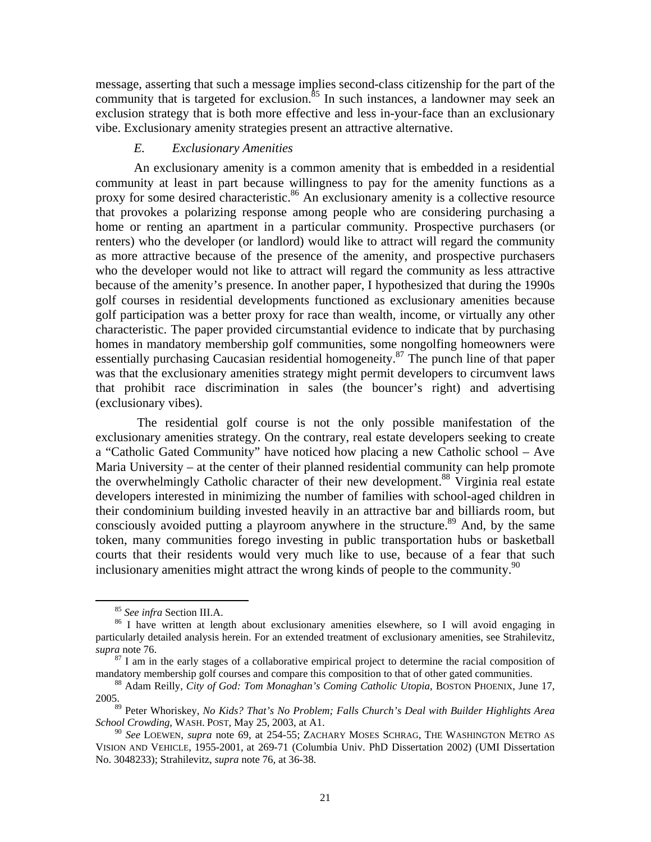message, asserting that such a message implies second-class citizenship for the part of the community that is targeted for exclusion.<sup>85</sup> In such instances, a landowner may seek an exclusion strategy that is both more effective and less in-your-face than an exclusionary vibe. Exclusionary amenity strategies present an attractive alternative.

#### *E. Exclusionary Amenities*

An exclusionary amenity is a common amenity that is embedded in a residential community at least in part because willingness to pay for the amenity functions as a proxy for some desired characteristic.<sup>86</sup> An exclusionary amenity is a collective resource that provokes a polarizing response among people who are considering purchasing a home or renting an apartment in a particular community. Prospective purchasers (or renters) who the developer (or landlord) would like to attract will regard the community as more attractive because of the presence of the amenity, and prospective purchasers who the developer would not like to attract will regard the community as less attractive because of the amenity's presence. In another paper, I hypothesized that during the 1990s golf courses in residential developments functioned as exclusionary amenities because golf participation was a better proxy for race than wealth, income, or virtually any other characteristic. The paper provided circumstantial evidence to indicate that by purchasing homes in mandatory membership golf communities, some nongolfing homeowners were essentially purchasing Caucasian residential homogeneity.<sup>87</sup> The punch line of that paper was that the exclusionary amenities strategy might permit developers to circumvent laws that prohibit race discrimination in sales (the bouncer's right) and advertising (exclusionary vibes).

 The residential golf course is not the only possible manifestation of the exclusionary amenities strategy. On the contrary, real estate developers seeking to create a "Catholic Gated Community" have noticed how placing a new Catholic school – Ave Maria University – at the center of their planned residential community can help promote the overwhelmingly Catholic character of their new development.<sup>88</sup> Virginia real estate developers interested in minimizing the number of families with school-aged children in their condominium building invested heavily in an attractive bar and billiards room, but consciously avoided putting a playroom anywhere in the structure.<sup>89</sup> And, by the same token, many communities forego investing in public transportation hubs or basketball courts that their residents would very much like to use, because of a fear that such inclusionary amenities might attract the wrong kinds of people to the community.  $90$ 

<sup>&</sup>lt;sup>85</sup> *See infra* Section III.A.<br><sup>86</sup> I have written at length about exclusionary amenities elsewhere, so I will avoid engaging in particularly detailed analysis herein. For an extended treatment of exclusionary amenities, see Strahilevitz, supra note 76.

<sup>&</sup>lt;sup>87</sup> I am in the early stages of a collaborative empirical project to determine the racial composition of mandatory membership golf courses and compare this composition to that of other gated communities. 88 Adam Reilly, *City of God: Tom Monaghan's Coming Catholic Utopia*, BOSTON PHOENIX, June 17,

<sup>2005.</sup> 

<sup>89</sup> Peter Whoriskey, *No Kids? That's No Problem; Falls Church's Deal with Builder Highlights Area School Crowding*, WASH. POST, May 25, 2003, at A1.

<sup>90</sup> *See* LOEWEN, *supra* note 69, at 254-55; ZACHARY MOSES SCHRAG, THE WASHINGTON METRO AS VISION AND VEHICLE, 1955-2001, at 269-71 (Columbia Univ. PhD Dissertation 2002) (UMI Dissertation No. 3048233); Strahilevitz, *supra* note 76, at 36-38.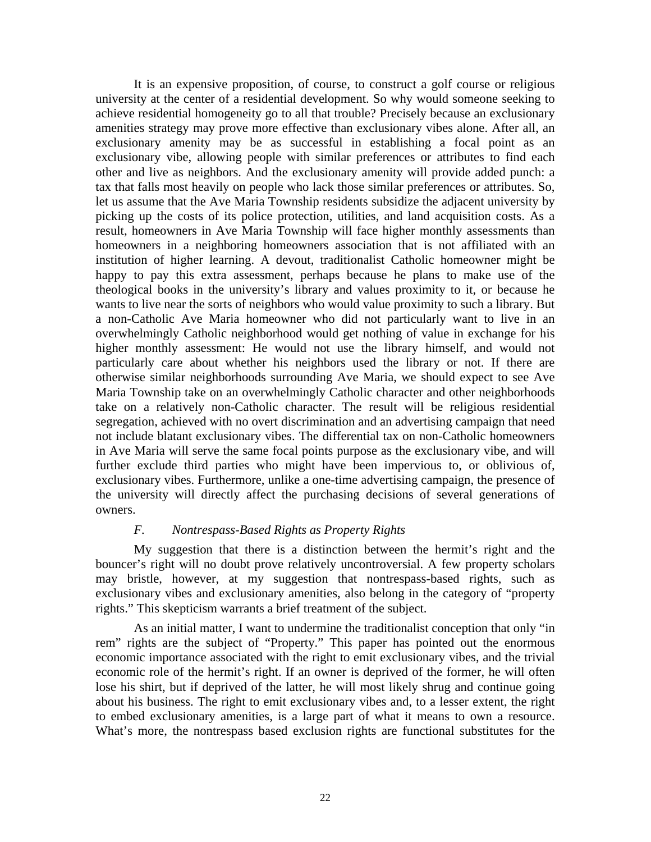It is an expensive proposition, of course, to construct a golf course or religious university at the center of a residential development. So why would someone seeking to achieve residential homogeneity go to all that trouble? Precisely because an exclusionary amenities strategy may prove more effective than exclusionary vibes alone. After all, an exclusionary amenity may be as successful in establishing a focal point as an exclusionary vibe, allowing people with similar preferences or attributes to find each other and live as neighbors. And the exclusionary amenity will provide added punch: a tax that falls most heavily on people who lack those similar preferences or attributes. So, let us assume that the Ave Maria Township residents subsidize the adjacent university by picking up the costs of its police protection, utilities, and land acquisition costs. As a result, homeowners in Ave Maria Township will face higher monthly assessments than homeowners in a neighboring homeowners association that is not affiliated with an institution of higher learning. A devout, traditionalist Catholic homeowner might be happy to pay this extra assessment, perhaps because he plans to make use of the theological books in the university's library and values proximity to it, or because he wants to live near the sorts of neighbors who would value proximity to such a library. But a non-Catholic Ave Maria homeowner who did not particularly want to live in an overwhelmingly Catholic neighborhood would get nothing of value in exchange for his higher monthly assessment: He would not use the library himself, and would not particularly care about whether his neighbors used the library or not. If there are otherwise similar neighborhoods surrounding Ave Maria, we should expect to see Ave Maria Township take on an overwhelmingly Catholic character and other neighborhoods take on a relatively non-Catholic character. The result will be religious residential segregation, achieved with no overt discrimination and an advertising campaign that need not include blatant exclusionary vibes. The differential tax on non-Catholic homeowners in Ave Maria will serve the same focal points purpose as the exclusionary vibe, and will further exclude third parties who might have been impervious to, or oblivious of, exclusionary vibes. Furthermore, unlike a one-time advertising campaign, the presence of the university will directly affect the purchasing decisions of several generations of owners.

#### *F. Nontrespass-Based Rights as Property Rights*

 My suggestion that there is a distinction between the hermit's right and the bouncer's right will no doubt prove relatively uncontroversial. A few property scholars may bristle, however, at my suggestion that nontrespass-based rights, such as exclusionary vibes and exclusionary amenities, also belong in the category of "property rights." This skepticism warrants a brief treatment of the subject.

 As an initial matter, I want to undermine the traditionalist conception that only "in rem" rights are the subject of "Property." This paper has pointed out the enormous economic importance associated with the right to emit exclusionary vibes, and the trivial economic role of the hermit's right. If an owner is deprived of the former, he will often lose his shirt, but if deprived of the latter, he will most likely shrug and continue going about his business. The right to emit exclusionary vibes and, to a lesser extent, the right to embed exclusionary amenities, is a large part of what it means to own a resource. What's more, the nontrespass based exclusion rights are functional substitutes for the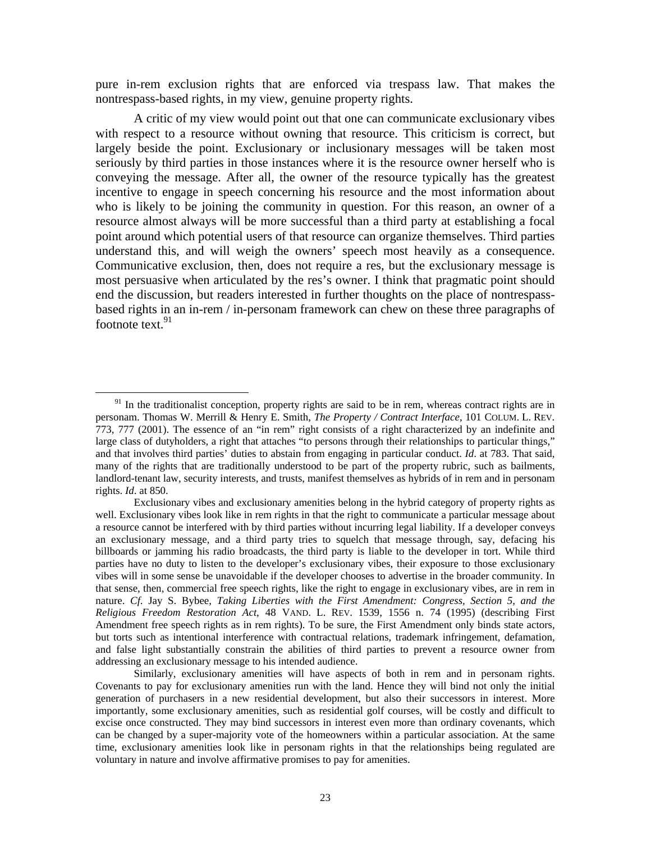pure in-rem exclusion rights that are enforced via trespass law. That makes the nontrespass-based rights, in my view, genuine property rights.

 A critic of my view would point out that one can communicate exclusionary vibes with respect to a resource without owning that resource. This criticism is correct, but largely beside the point. Exclusionary or inclusionary messages will be taken most seriously by third parties in those instances where it is the resource owner herself who is conveying the message. After all, the owner of the resource typically has the greatest incentive to engage in speech concerning his resource and the most information about who is likely to be joining the community in question. For this reason, an owner of a resource almost always will be more successful than a third party at establishing a focal point around which potential users of that resource can organize themselves. Third parties understand this, and will weigh the owners' speech most heavily as a consequence. Communicative exclusion, then, does not require a res, but the exclusionary message is most persuasive when articulated by the res's owner. I think that pragmatic point should end the discussion, but readers interested in further thoughts on the place of nontrespassbased rights in an in-rem / in-personam framework can chew on these three paragraphs of footnote text.<sup>91</sup>

<sup>&</sup>lt;sup>91</sup> In the traditionalist conception, property rights are said to be in rem, whereas contract rights are in personam. Thomas W. Merrill & Henry E. Smith, *The Property / Contract Interface*, 101 COLUM. L. REV. 773, 777 (2001). The essence of an "in rem" right consists of a right characterized by an indefinite and large class of dutyholders, a right that attaches "to persons through their relationships to particular things," and that involves third parties' duties to abstain from engaging in particular conduct. *Id*. at 783. That said, many of the rights that are traditionally understood to be part of the property rubric, such as bailments, landlord-tenant law, security interests, and trusts, manifest themselves as hybrids of in rem and in personam rights. *Id*. at 850.

Exclusionary vibes and exclusionary amenities belong in the hybrid category of property rights as well. Exclusionary vibes look like in rem rights in that the right to communicate a particular message about a resource cannot be interfered with by third parties without incurring legal liability. If a developer conveys an exclusionary message, and a third party tries to squelch that message through, say, defacing his billboards or jamming his radio broadcasts, the third party is liable to the developer in tort. While third parties have no duty to listen to the developer's exclusionary vibes, their exposure to those exclusionary vibes will in some sense be unavoidable if the developer chooses to advertise in the broader community. In that sense, then, commercial free speech rights, like the right to engage in exclusionary vibes, are in rem in nature. *Cf*. Jay S. Bybee, *Taking Liberties with the First Amendment: Congress, Section 5, and the Religious Freedom Restoration Act*, 48 VAND. L. REV. 1539, 1556 n. 74 (1995) (describing First Amendment free speech rights as in rem rights). To be sure, the First Amendment only binds state actors, but torts such as intentional interference with contractual relations, trademark infringement, defamation, and false light substantially constrain the abilities of third parties to prevent a resource owner from addressing an exclusionary message to his intended audience.

Similarly, exclusionary amenities will have aspects of both in rem and in personam rights. Covenants to pay for exclusionary amenities run with the land. Hence they will bind not only the initial generation of purchasers in a new residential development, but also their successors in interest. More importantly, some exclusionary amenities, such as residential golf courses, will be costly and difficult to excise once constructed. They may bind successors in interest even more than ordinary covenants, which can be changed by a super-majority vote of the homeowners within a particular association. At the same time, exclusionary amenities look like in personam rights in that the relationships being regulated are voluntary in nature and involve affirmative promises to pay for amenities.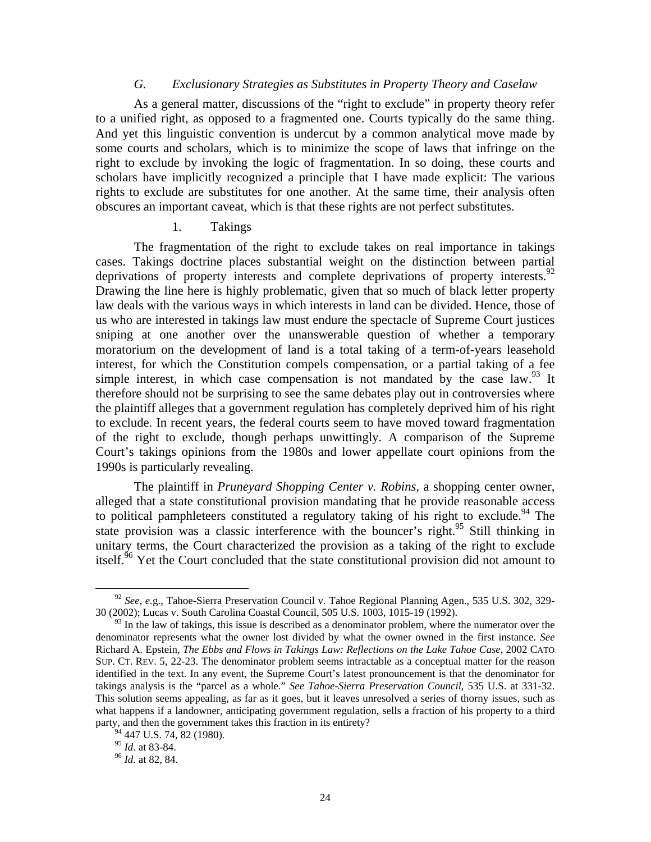#### *G. Exclusionary Strategies as Substitutes in Property Theory and Caselaw*

As a general matter, discussions of the "right to exclude" in property theory refer to a unified right, as opposed to a fragmented one. Courts typically do the same thing. And yet this linguistic convention is undercut by a common analytical move made by some courts and scholars, which is to minimize the scope of laws that infringe on the right to exclude by invoking the logic of fragmentation. In so doing, these courts and scholars have implicitly recognized a principle that I have made explicit: The various rights to exclude are substitutes for one another. At the same time, their analysis often obscures an important caveat, which is that these rights are not perfect substitutes.

#### 1. Takings

The fragmentation of the right to exclude takes on real importance in takings cases. Takings doctrine places substantial weight on the distinction between partial deprivations of property interests and complete deprivations of property interests.<sup>92</sup> Drawing the line here is highly problematic, given that so much of black letter property law deals with the various ways in which interests in land can be divided. Hence, those of us who are interested in takings law must endure the spectacle of Supreme Court justices sniping at one another over the unanswerable question of whether a temporary moratorium on the development of land is a total taking of a term-of-years leasehold interest, for which the Constitution compels compensation, or a partial taking of a fee simple interest, in which case compensation is not mandated by the case  $law.^{93}$  It therefore should not be surprising to see the same debates play out in controversies where the plaintiff alleges that a government regulation has completely deprived him of his right to exclude. In recent years, the federal courts seem to have moved toward fragmentation of the right to exclude, though perhaps unwittingly. A comparison of the Supreme Court's takings opinions from the 1980s and lower appellate court opinions from the 1990s is particularly revealing.

The plaintiff in *Pruneyard Shopping Center v. Robins*, a shopping center owner, alleged that a state constitutional provision mandating that he provide reasonable access to political pamphleteers constituted a regulatory taking of his right to exclude.<sup>94</sup> The state provision was a classic interference with the bouncer's right.<sup>95</sup> Still thinking in unitary terms, the Court characterized the provision as a taking of the right to exclude itself.<sup>96</sup> Yet the Court concluded that the state constitutional provision did not amount to

 <sup>92</sup> *See, e.*g., Tahoe-Sierra Preservation Council v. Tahoe Regional Planning Agen., 535 U.S. 302, 329- 30 (2002); Lucas v. South Carolina Coastal Council, 505 U.S. 1003, 1015-19 (1992).

 $93$  In the law of takings, this issue is described as a denominator problem, where the numerator over the denominator represents what the owner lost divided by what the owner owned in the first instance. *See*  Richard A. Epstein, *The Ebbs and Flows in Takings Law: Reflections on the Lake Tahoe Case*, 2002 CATO SUP. CT. REV. 5, 22-23. The denominator problem seems intractable as a conceptual matter for the reason identified in the text. In any event, the Supreme Court's latest pronouncement is that the denominator for takings analysis is the "parcel as a whole." *See Tahoe-Sierra Preservation Council*, 535 U.S. at 331-32. This solution seems appealing, as far as it goes, but it leaves unresolved a series of thorny issues, such as what happens if a landowner, anticipating government regulation, sells a fraction of his property to a third party, and then the government takes this fraction in its entirety?

 $\frac{94}{95}$  447 U.S. 74, 82 (1980).<br><sup>95</sup> *Id.* at 83-84.

<sup>&</sup>lt;sup>96</sup> *Id.* at 82, 84.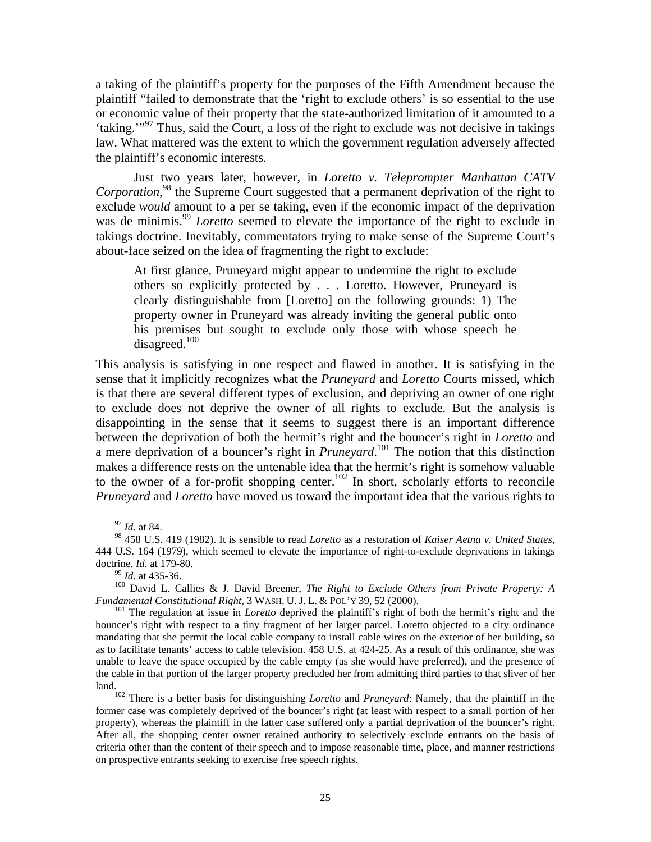a taking of the plaintiff's property for the purposes of the Fifth Amendment because the plaintiff "failed to demonstrate that the 'right to exclude others' is so essential to the use or economic value of their property that the state-authorized limitation of it amounted to a 'taking.'"97 Thus, said the Court, a loss of the right to exclude was not decisive in takings law. What mattered was the extent to which the government regulation adversely affected the plaintiff's economic interests.

Just two years later, however, in *Loretto v. Teleprompter Manhattan CATV Corporation*, 98 the Supreme Court suggested that a permanent deprivation of the right to exclude *would* amount to a per se taking, even if the economic impact of the deprivation was de minimis.<sup>99</sup> *Loretto* seemed to elevate the importance of the right to exclude in takings doctrine. Inevitably, commentators trying to make sense of the Supreme Court's about-face seized on the idea of fragmenting the right to exclude:

At first glance, Pruneyard might appear to undermine the right to exclude others so explicitly protected by . . . Loretto. However, Pruneyard is clearly distinguishable from [Loretto] on the following grounds: 1) The property owner in Pruneyard was already inviting the general public onto his premises but sought to exclude only those with whose speech he disagreed. $100$ 

This analysis is satisfying in one respect and flawed in another. It is satisfying in the sense that it implicitly recognizes what the *Pruneyard* and *Loretto* Courts missed, which is that there are several different types of exclusion, and depriving an owner of one right to exclude does not deprive the owner of all rights to exclude. But the analysis is disappointing in the sense that it seems to suggest there is an important difference between the deprivation of both the hermit's right and the bouncer's right in *Loretto* and a mere deprivation of a bouncer's right in *Pruneyard*. 101 The notion that this distinction makes a difference rests on the untenable idea that the hermit's right is somehow valuable to the owner of a for-profit shopping center.<sup>102</sup> In short, scholarly efforts to reconcile *Pruneyard* and *Loretto* have moved us toward the important idea that the various rights to

 <sup>97</sup> *Id*. at 84.

<sup>98 458</sup> U.S. 419 (1982). It is sensible to read *Loretto* as a restoration of *Kaiser Aetna v. United States*, 444 U.S. 164 (1979), which seemed to elevate the importance of right-to-exclude deprivations in takings

doctrine. *Id.* at 179-80.<br><sup>99</sup> *Id.* at 435-36.<br><sup>100</sup> David L. Callies & J. David Breener, *The Right to Exclude Others from Private Property: A*<br>*Fundamental Constitutional Right,* 3 WASH. U. J. L. & POL'Y 39, 52 (2000).

<sup>&</sup>lt;sup>101</sup> The regulation at issue in *Loretto* deprived the plaintiff's right of both the hermit's right and the bouncer's right with respect to a tiny fragment of her larger parcel. Loretto objected to a city ordinance mandating that she permit the local cable company to install cable wires on the exterior of her building, so as to facilitate tenants' access to cable television. 458 U.S. at 424-25. As a result of this ordinance, she was unable to leave the space occupied by the cable empty (as she would have preferred), and the presence of the cable in that portion of the larger property precluded her from admitting third parties to that sliver of her land. 102 There is a better basis for distinguishing *Loretto* and *Pruneyard*: Namely, that the plaintiff in the

former case was completely deprived of the bouncer's right (at least with respect to a small portion of her property), whereas the plaintiff in the latter case suffered only a partial deprivation of the bouncer's right. After all, the shopping center owner retained authority to selectively exclude entrants on the basis of criteria other than the content of their speech and to impose reasonable time, place, and manner restrictions on prospective entrants seeking to exercise free speech rights.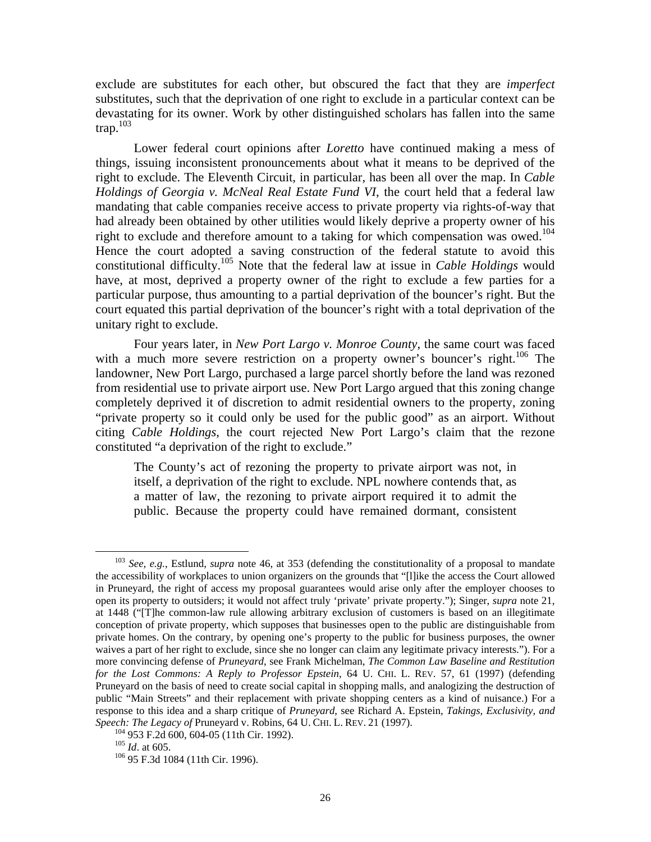exclude are substitutes for each other, but obscured the fact that they are *imperfect*  substitutes, such that the deprivation of one right to exclude in a particular context can be devastating for its owner. Work by other distinguished scholars has fallen into the same trap.103

Lower federal court opinions after *Loretto* have continued making a mess of things, issuing inconsistent pronouncements about what it means to be deprived of the right to exclude. The Eleventh Circuit, in particular, has been all over the map. In *Cable Holdings of Georgia v. McNeal Real Estate Fund VI*, the court held that a federal law mandating that cable companies receive access to private property via rights-of-way that had already been obtained by other utilities would likely deprive a property owner of his right to exclude and therefore amount to a taking for which compensation was owed.<sup>104</sup> Hence the court adopted a saving construction of the federal statute to avoid this constitutional difficulty.105 Note that the federal law at issue in *Cable Holdings* would have, at most, deprived a property owner of the right to exclude a few parties for a particular purpose, thus amounting to a partial deprivation of the bouncer's right. But the court equated this partial deprivation of the bouncer's right with a total deprivation of the unitary right to exclude.

Four years later, in *New Port Largo v. Monroe County*, the same court was faced with a much more severe restriction on a property owner's bouncer's right.<sup>106</sup> The landowner, New Port Largo, purchased a large parcel shortly before the land was rezoned from residential use to private airport use. New Port Largo argued that this zoning change completely deprived it of discretion to admit residential owners to the property, zoning "private property so it could only be used for the public good" as an airport. Without citing *Cable Holdings*, the court rejected New Port Largo's claim that the rezone constituted "a deprivation of the right to exclude."

The County's act of rezoning the property to private airport was not, in itself, a deprivation of the right to exclude. NPL nowhere contends that, as a matter of law, the rezoning to private airport required it to admit the public. Because the property could have remained dormant, consistent

 <sup>103</sup> *See, e.g.*, Estlund, *supra* note 46, at 353 (defending the constitutionality of a proposal to mandate the accessibility of workplaces to union organizers on the grounds that "[l]ike the access the Court allowed in Pruneyard, the right of access my proposal guarantees would arise only after the employer chooses to open its property to outsiders; it would not affect truly 'private' private property."); Singer, *supra* note 21, at 1448 ("[T]he common-law rule allowing arbitrary exclusion of customers is based on an illegitimate conception of private property, which supposes that businesses open to the public are distinguishable from private homes. On the contrary, by opening one's property to the public for business purposes, the owner waives a part of her right to exclude, since she no longer can claim any legitimate privacy interests."). For a more convincing defense of *Pruneyard*, see Frank Michelman, *The Common Law Baseline and Restitution for the Lost Commons: A Reply to Professor Epstein*, 64 U. CHI. L. REV. 57, 61 (1997) (defending Pruneyard on the basis of need to create social capital in shopping malls, and analogizing the destruction of public "Main Streets" and their replacement with private shopping centers as a kind of nuisance.) For a response to this idea and a sharp critique of *Pruneyard*, see Richard A. Epstein, *Takings, Exclusivity, and Speech: The Legacy of* Pruneyard v. Robins, 64 U. CHI. L. REV. 21 (1997).<br><sup>104</sup> 953 F.2d 600, 604-05 (11th Cir. 1992).<br><sup>105</sup> *Id.* at 605.<br><sup>106</sup> 95 F.3d 1084 (11th Cir. 1996).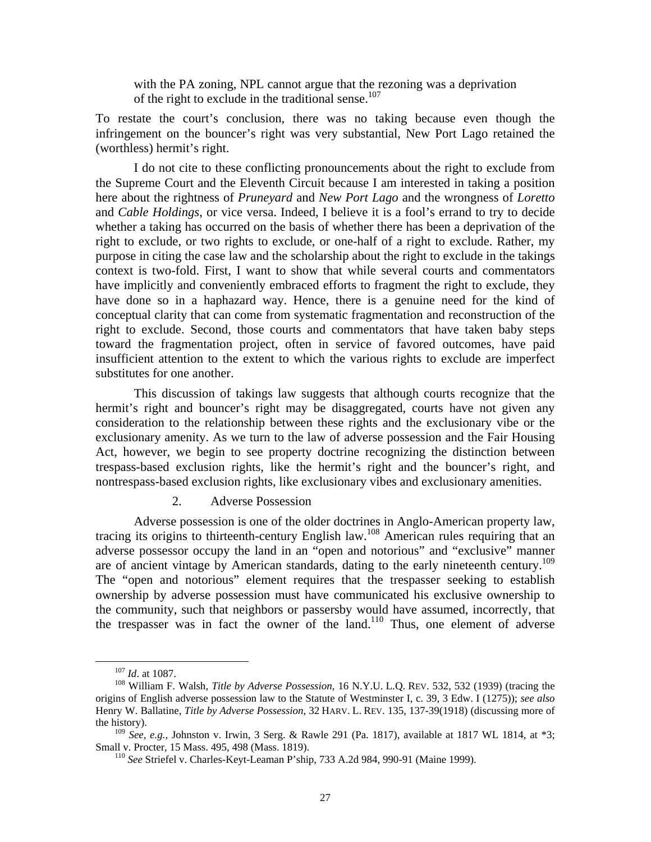with the PA zoning, NPL cannot argue that the rezoning was a deprivation of the right to exclude in the traditional sense.<sup>107</sup>

To restate the court's conclusion, there was no taking because even though the infringement on the bouncer's right was very substantial, New Port Lago retained the (worthless) hermit's right.

 I do not cite to these conflicting pronouncements about the right to exclude from the Supreme Court and the Eleventh Circuit because I am interested in taking a position here about the rightness of *Pruneyard* and *New Port Lago* and the wrongness of *Loretto* and *Cable Holdings*, or vice versa. Indeed, I believe it is a fool's errand to try to decide whether a taking has occurred on the basis of whether there has been a deprivation of the right to exclude, or two rights to exclude, or one-half of a right to exclude. Rather, my purpose in citing the case law and the scholarship about the right to exclude in the takings context is two-fold. First, I want to show that while several courts and commentators have implicitly and conveniently embraced efforts to fragment the right to exclude, they have done so in a haphazard way. Hence, there is a genuine need for the kind of conceptual clarity that can come from systematic fragmentation and reconstruction of the right to exclude. Second, those courts and commentators that have taken baby steps toward the fragmentation project, often in service of favored outcomes, have paid insufficient attention to the extent to which the various rights to exclude are imperfect substitutes for one another.

This discussion of takings law suggests that although courts recognize that the hermit's right and bouncer's right may be disaggregated, courts have not given any consideration to the relationship between these rights and the exclusionary vibe or the exclusionary amenity. As we turn to the law of adverse possession and the Fair Housing Act, however, we begin to see property doctrine recognizing the distinction between trespass-based exclusion rights, like the hermit's right and the bouncer's right, and nontrespass-based exclusion rights, like exclusionary vibes and exclusionary amenities.

2. Adverse Possession

Adverse possession is one of the older doctrines in Anglo-American property law, tracing its origins to thirteenth-century English law.<sup>108</sup> American rules requiring that an adverse possessor occupy the land in an "open and notorious" and "exclusive" manner are of ancient vintage by American standards, dating to the early nineteenth century.<sup>109</sup> The "open and notorious" element requires that the trespasser seeking to establish ownership by adverse possession must have communicated his exclusive ownership to the community, such that neighbors or passersby would have assumed, incorrectly, that the trespasser was in fact the owner of the land.<sup>110</sup> Thus, one element of adverse

<sup>&</sup>lt;sup>107</sup> *Id.* at 1087.<br><sup>108</sup> William F. Walsh, *Title by Adverse Possession*, 16 N.Y.U. L.Q. REV. 532, 532 (1939) (tracing the origins of English adverse possession law to the Statute of Westminster I, c. 39, 3 Edw. I (1275)); *see also*  Henry W. Ballatine, *Title by Adverse Possession*, 32 HARV. L. REV. 135, 137-39(1918) (discussing more of the history).

<sup>109</sup> *See, e.g.*, Johnston v. Irwin, 3 Serg. & Rawle 291 (Pa. 1817), available at 1817 WL 1814, at \*3; Small v. Procter, 15 Mass. 495, 498 (Mass. 1819). 110 *See* Striefel v. Charles-Keyt-Leaman P'ship, 733 A.2d 984, 990-91 (Maine 1999).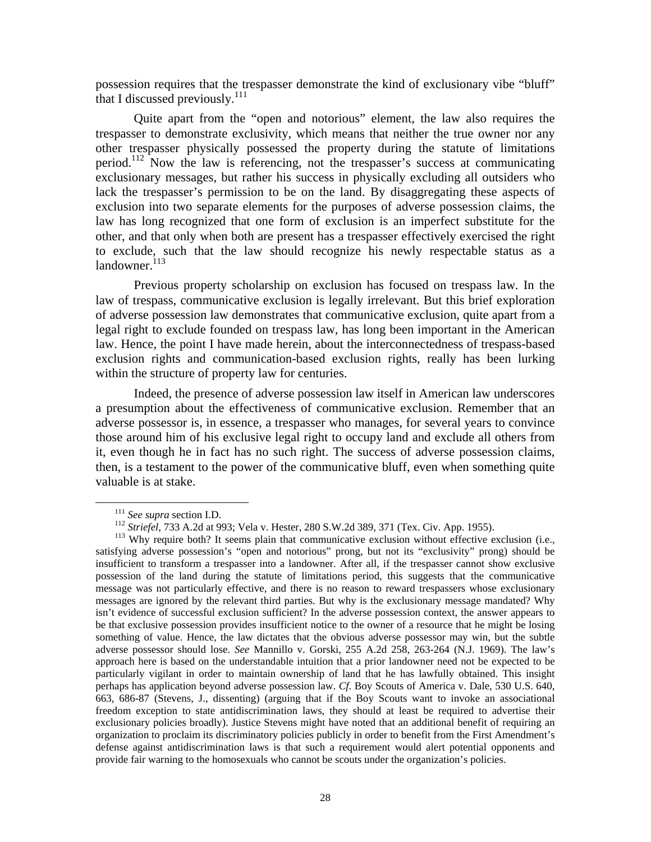possession requires that the trespasser demonstrate the kind of exclusionary vibe "bluff" that I discussed previously. $^{111}$ 

Quite apart from the "open and notorious" element, the law also requires the trespasser to demonstrate exclusivity, which means that neither the true owner nor any other trespasser physically possessed the property during the statute of limitations period.<sup>112</sup> Now the law is referencing, not the trespasser's success at communicating exclusionary messages, but rather his success in physically excluding all outsiders who lack the trespasser's permission to be on the land. By disaggregating these aspects of exclusion into two separate elements for the purposes of adverse possession claims, the law has long recognized that one form of exclusion is an imperfect substitute for the other, and that only when both are present has a trespasser effectively exercised the right to exclude, such that the law should recognize his newly respectable status as a landowner.<sup>113</sup>

Previous property scholarship on exclusion has focused on trespass law. In the law of trespass, communicative exclusion is legally irrelevant. But this brief exploration of adverse possession law demonstrates that communicative exclusion, quite apart from a legal right to exclude founded on trespass law, has long been important in the American law. Hence, the point I have made herein, about the interconnectedness of trespass-based exclusion rights and communication-based exclusion rights, really has been lurking within the structure of property law for centuries.

 Indeed, the presence of adverse possession law itself in American law underscores a presumption about the effectiveness of communicative exclusion. Remember that an adverse possessor is, in essence, a trespasser who manages, for several years to convince those around him of his exclusive legal right to occupy land and exclude all others from it, even though he in fact has no such right. The success of adverse possession claims, then, is a testament to the power of the communicative bluff, even when something quite valuable is at stake.

<sup>&</sup>lt;sup>111</sup> See supra section I.D.<br><sup>112</sup> Striefel, 733 A.2d at 993; Vela v. Hester, 280 S.W.2d 389, 371 (Tex. Civ. App. 1955).<br><sup>113</sup> Why require both? It seems plain that communicative exclusion without effective exclusion (i.e satisfying adverse possession's "open and notorious" prong, but not its "exclusivity" prong) should be insufficient to transform a trespasser into a landowner. After all, if the trespasser cannot show exclusive possession of the land during the statute of limitations period, this suggests that the communicative message was not particularly effective, and there is no reason to reward trespassers whose exclusionary messages are ignored by the relevant third parties. But why is the exclusionary message mandated? Why isn't evidence of successful exclusion sufficient? In the adverse possession context, the answer appears to be that exclusive possession provides insufficient notice to the owner of a resource that he might be losing something of value. Hence, the law dictates that the obvious adverse possessor may win, but the subtle adverse possessor should lose. *See* Mannillo v. Gorski, 255 A.2d 258, 263-264 (N.J. 1969). The law's approach here is based on the understandable intuition that a prior landowner need not be expected to be particularly vigilant in order to maintain ownership of land that he has lawfully obtained. This insight perhaps has application beyond adverse possession law. *Cf*. Boy Scouts of America v. Dale, 530 U.S. 640, 663, 686-87 (Stevens, J., dissenting) (arguing that if the Boy Scouts want to invoke an associational freedom exception to state antidiscrimination laws, they should at least be required to advertise their exclusionary policies broadly). Justice Stevens might have noted that an additional benefit of requiring an organization to proclaim its discriminatory policies publicly in order to benefit from the First Amendment's defense against antidiscrimination laws is that such a requirement would alert potential opponents and provide fair warning to the homosexuals who cannot be scouts under the organization's policies.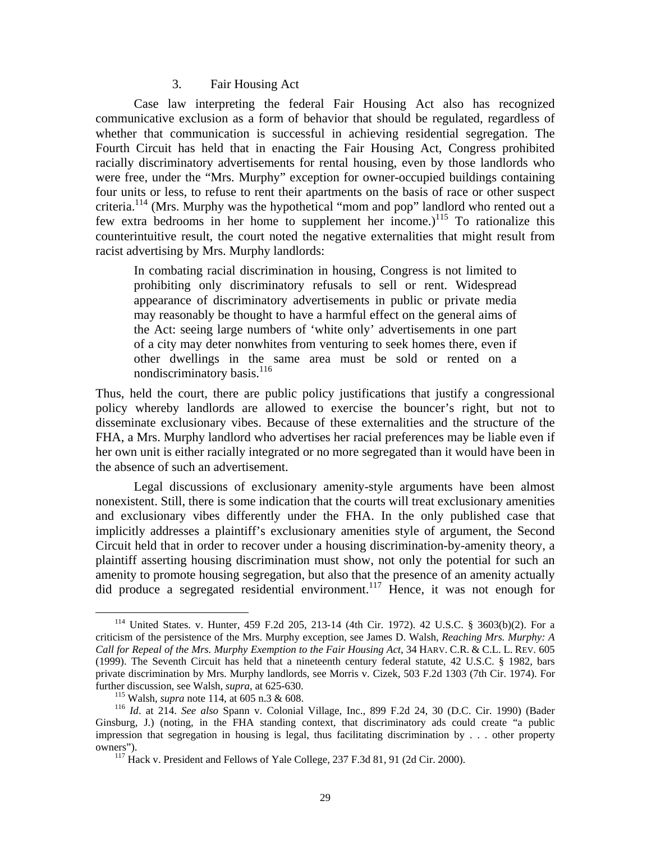#### 3. Fair Housing Act

Case law interpreting the federal Fair Housing Act also has recognized communicative exclusion as a form of behavior that should be regulated, regardless of whether that communication is successful in achieving residential segregation. The Fourth Circuit has held that in enacting the Fair Housing Act, Congress prohibited racially discriminatory advertisements for rental housing, even by those landlords who were free, under the "Mrs. Murphy" exception for owner-occupied buildings containing four units or less, to refuse to rent their apartments on the basis of race or other suspect criteria.<sup>114</sup> (Mrs. Murphy was the hypothetical "mom and pop" landlord who rented out a few extra bedrooms in her home to supplement her income.)<sup>115</sup> To rationalize this counterintuitive result, the court noted the negative externalities that might result from racist advertising by Mrs. Murphy landlords:

In combating racial discrimination in housing, Congress is not limited to prohibiting only discriminatory refusals to sell or rent. Widespread appearance of discriminatory advertisements in public or private media may reasonably be thought to have a harmful effect on the general aims of the Act: seeing large numbers of 'white only' advertisements in one part of a city may deter nonwhites from venturing to seek homes there, even if other dwellings in the same area must be sold or rented on a nondiscriminatory basis.<sup>116</sup>

Thus, held the court, there are public policy justifications that justify a congressional policy whereby landlords are allowed to exercise the bouncer's right, but not to disseminate exclusionary vibes. Because of these externalities and the structure of the FHA, a Mrs. Murphy landlord who advertises her racial preferences may be liable even if her own unit is either racially integrated or no more segregated than it would have been in the absence of such an advertisement.

 Legal discussions of exclusionary amenity-style arguments have been almost nonexistent. Still, there is some indication that the courts will treat exclusionary amenities and exclusionary vibes differently under the FHA. In the only published case that implicitly addresses a plaintiff's exclusionary amenities style of argument, the Second Circuit held that in order to recover under a housing discrimination-by-amenity theory, a plaintiff asserting housing discrimination must show, not only the potential for such an amenity to promote housing segregation, but also that the presence of an amenity actually did produce a segregated residential environment.<sup>117</sup> Hence, it was not enough for

 <sup>114</sup> United States. v. Hunter, 459 F.2d 205, 213-14 (4th Cir. 1972). 42 U.S.C. § 3603(b)(2). For a criticism of the persistence of the Mrs. Murphy exception, see James D. Walsh, *Reaching Mrs. Murphy: A Call for Repeal of the Mrs. Murphy Exemption to the Fair Housing Act*, 34 HARV. C.R. & C.L. L. REV. 605 (1999). The Seventh Circuit has held that a nineteenth century federal statute, 42 U.S.C. § 1982, bars private discrimination by Mrs. Murphy landlords, see Morris v. Cizek, 503 F.2d 1303 (7th Cir. 1974). For further discussion, see Walsh, *supra*, at 625-630. 115 Walsh, *supra* note 114, at 605 n.3 & 608. 116 *Id*. at 214. *See also* Spann v. Colonial Village, Inc., 899 F.2d 24, 30 (D.C. Cir. 1990) (Bader

Ginsburg, J.) (noting, in the FHA standing context, that discriminatory ads could create "a public impression that segregation in housing is legal, thus facilitating discrimination by . . . other property owners").<br><sup>117</sup> Hack v. President and Fellows of Yale College, 237 F.3d 81, 91 (2d Cir. 2000).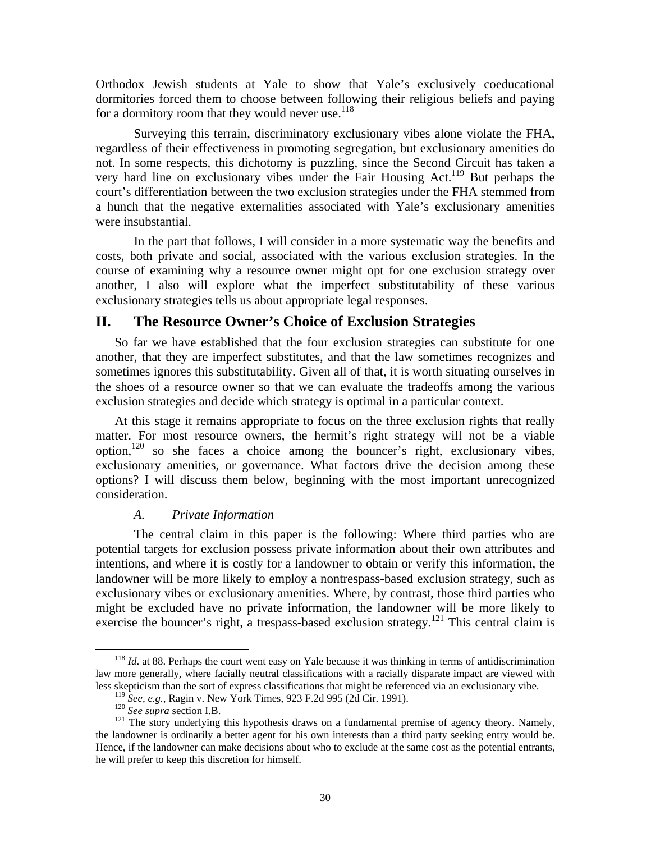Orthodox Jewish students at Yale to show that Yale's exclusively coeducational dormitories forced them to choose between following their religious beliefs and paying for a dormitory room that they would never use. $118$ 

 Surveying this terrain, discriminatory exclusionary vibes alone violate the FHA, regardless of their effectiveness in promoting segregation, but exclusionary amenities do not. In some respects, this dichotomy is puzzling, since the Second Circuit has taken a very hard line on exclusionary vibes under the Fair Housing Act.119 But perhaps the court's differentiation between the two exclusion strategies under the FHA stemmed from a hunch that the negative externalities associated with Yale's exclusionary amenities were insubstantial.

 In the part that follows, I will consider in a more systematic way the benefits and costs, both private and social, associated with the various exclusion strategies. In the course of examining why a resource owner might opt for one exclusion strategy over another, I also will explore what the imperfect substitutability of these various exclusionary strategies tells us about appropriate legal responses.

#### **II. The Resource Owner's Choice of Exclusion Strategies**

So far we have established that the four exclusion strategies can substitute for one another, that they are imperfect substitutes, and that the law sometimes recognizes and sometimes ignores this substitutability. Given all of that, it is worth situating ourselves in the shoes of a resource owner so that we can evaluate the tradeoffs among the various exclusion strategies and decide which strategy is optimal in a particular context.

At this stage it remains appropriate to focus on the three exclusion rights that really matter. For most resource owners, the hermit's right strategy will not be a viable option,<sup>120</sup> so she faces a choice among the bouncer's right, exclusionary vibes, exclusionary amenities, or governance. What factors drive the decision among these options? I will discuss them below, beginning with the most important unrecognized consideration.

#### *A. Private Information*

 The central claim in this paper is the following: Where third parties who are potential targets for exclusion possess private information about their own attributes and intentions, and where it is costly for a landowner to obtain or verify this information, the landowner will be more likely to employ a nontrespass-based exclusion strategy, such as exclusionary vibes or exclusionary amenities. Where, by contrast, those third parties who might be excluded have no private information, the landowner will be more likely to exercise the bouncer's right, a trespass-based exclusion strategy.<sup>121</sup> This central claim is

<sup>&</sup>lt;sup>118</sup> *Id.* at 88. Perhaps the court went easy on Yale because it was thinking in terms of antidiscrimination law more generally, where facially neutral classifications with a racially disparate impact are viewed with less skepticism than the sort of express classifications that might be referenced via an exclusionary vibe.<br><sup>119</sup> *See, e.g.*, Ragin v. New York Times, 923 F.2d 995 (2d Cir. 1991).

<sup>&</sup>lt;sup>120</sup> *See supra* section I.B.<br><sup>121</sup> The story underlying this hypothesis draws on a fundamental premise of agency theory. Namely, the landowner is ordinarily a better agent for his own interests than a third party seeking entry would be. Hence, if the landowner can make decisions about who to exclude at the same cost as the potential entrants, he will prefer to keep this discretion for himself.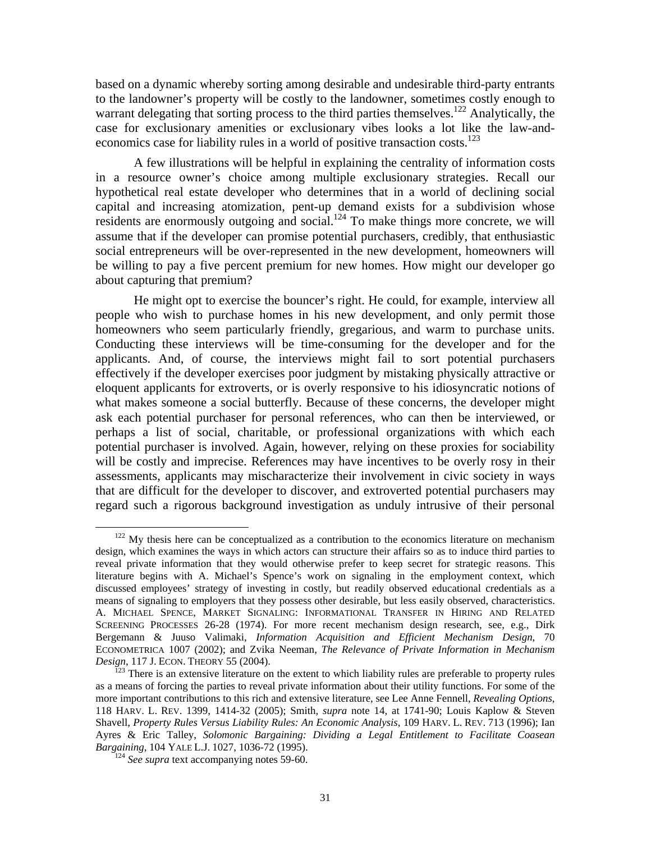based on a dynamic whereby sorting among desirable and undesirable third-party entrants to the landowner's property will be costly to the landowner, sometimes costly enough to warrant delegating that sorting process to the third parties themselves.<sup>122</sup> Analytically, the case for exclusionary amenities or exclusionary vibes looks a lot like the law-andeconomics case for liability rules in a world of positive transaction costs.<sup>123</sup>

 A few illustrations will be helpful in explaining the centrality of information costs in a resource owner's choice among multiple exclusionary strategies. Recall our hypothetical real estate developer who determines that in a world of declining social capital and increasing atomization, pent-up demand exists for a subdivision whose residents are enormously outgoing and social.<sup>124</sup> To make things more concrete, we will assume that if the developer can promise potential purchasers, credibly, that enthusiastic social entrepreneurs will be over-represented in the new development, homeowners will be willing to pay a five percent premium for new homes. How might our developer go about capturing that premium?

 He might opt to exercise the bouncer's right. He could, for example, interview all people who wish to purchase homes in his new development, and only permit those homeowners who seem particularly friendly, gregarious, and warm to purchase units. Conducting these interviews will be time-consuming for the developer and for the applicants. And, of course, the interviews might fail to sort potential purchasers effectively if the developer exercises poor judgment by mistaking physically attractive or eloquent applicants for extroverts, or is overly responsive to his idiosyncratic notions of what makes someone a social butterfly. Because of these concerns, the developer might ask each potential purchaser for personal references, who can then be interviewed, or perhaps a list of social, charitable, or professional organizations with which each potential purchaser is involved. Again, however, relying on these proxies for sociability will be costly and imprecise. References may have incentives to be overly rosy in their assessments, applicants may mischaracterize their involvement in civic society in ways that are difficult for the developer to discover, and extroverted potential purchasers may regard such a rigorous background investigation as unduly intrusive of their personal

 $122$  My thesis here can be conceptualized as a contribution to the economics literature on mechanism design, which examines the ways in which actors can structure their affairs so as to induce third parties to reveal private information that they would otherwise prefer to keep secret for strategic reasons. This literature begins with A. Michael's Spence's work on signaling in the employment context, which discussed employees' strategy of investing in costly, but readily observed educational credentials as a means of signaling to employers that they possess other desirable, but less easily observed, characteristics. A. MICHAEL SPENCE, MARKET SIGNALING: INFORMATIONAL TRANSFER IN HIRING AND RELATED SCREENING PROCESSES 26-28 (1974). For more recent mechanism design research, see, e.g., Dirk Bergemann & Juuso Valimaki, *Information Acquisition and Efficient Mechanism Design*, 70 ECONOMETRICA 1007 (2002); and Zvika Neeman, *The Relevance of Private Information in Mechanism Design*, 117 J. ECON. THEORY 55 (2004).<br><sup>123</sup> There is an extensive literature on the extent to which liability rules are preferable to property rules

as a means of forcing the parties to reveal private information about their utility functions. For some of the more important contributions to this rich and extensive literature, see Lee Anne Fennell, *Revealing Options*, 118 HARV. L. REV. 1399, 1414-32 (2005); Smith, *supra* note 14, at 1741-90; Louis Kaplow & Steven Shavell, *Property Rules Versus Liability Rules: An Economic Analysis*, 109 HARV. L. REV. 713 (1996); Ian Ayres & Eric Talley, *Solomonic Bargaining: Dividing a Legal Entitlement to Facilitate Coasean* 

<sup>&</sup>lt;sup>124</sup> See supra text accompanying notes 59-60.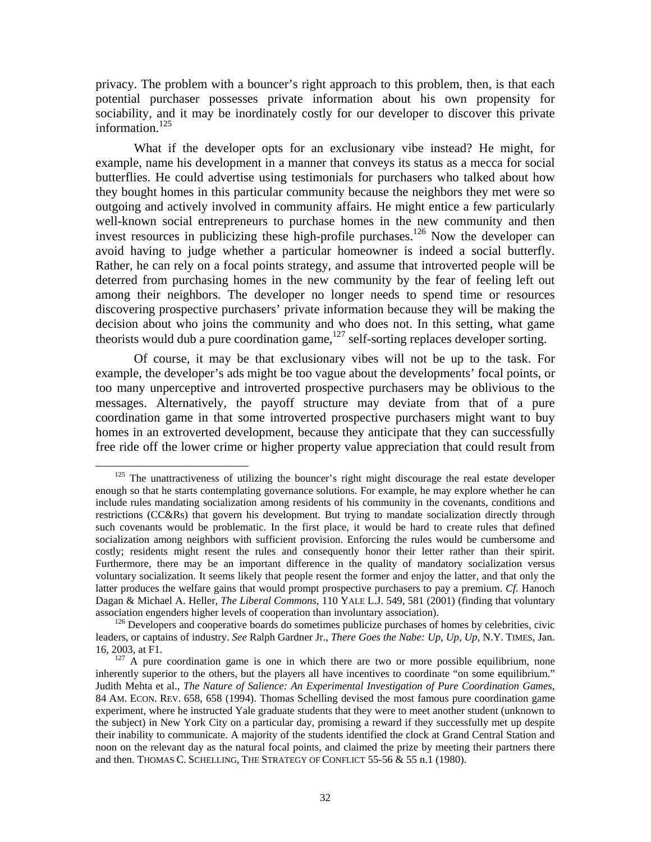privacy. The problem with a bouncer's right approach to this problem, then, is that each potential purchaser possesses private information about his own propensity for sociability, and it may be inordinately costly for our developer to discover this private information. $125$ 

 What if the developer opts for an exclusionary vibe instead? He might, for example, name his development in a manner that conveys its status as a mecca for social butterflies. He could advertise using testimonials for purchasers who talked about how they bought homes in this particular community because the neighbors they met were so outgoing and actively involved in community affairs. He might entice a few particularly well-known social entrepreneurs to purchase homes in the new community and then invest resources in publicizing these high-profile purchases.<sup>126</sup> Now the developer can avoid having to judge whether a particular homeowner is indeed a social butterfly. Rather, he can rely on a focal points strategy, and assume that introverted people will be deterred from purchasing homes in the new community by the fear of feeling left out among their neighbors. The developer no longer needs to spend time or resources discovering prospective purchasers' private information because they will be making the decision about who joins the community and who does not. In this setting, what game theorists would dub a pure coordination game, $^{127}$  self-sorting replaces developer sorting.

 Of course, it may be that exclusionary vibes will not be up to the task. For example, the developer's ads might be too vague about the developments' focal points, or too many unperceptive and introverted prospective purchasers may be oblivious to the messages. Alternatively, the payoff structure may deviate from that of a pure coordination game in that some introverted prospective purchasers might want to buy homes in an extroverted development, because they anticipate that they can successfully free ride off the lower crime or higher property value appreciation that could result from

<sup>&</sup>lt;sup>125</sup> The unattractiveness of utilizing the bouncer's right might discourage the real estate developer enough so that he starts contemplating governance solutions. For example, he may explore whether he can include rules mandating socialization among residents of his community in the covenants, conditions and restrictions (CC&Rs) that govern his development. But trying to mandate socialization directly through such covenants would be problematic. In the first place, it would be hard to create rules that defined socialization among neighbors with sufficient provision. Enforcing the rules would be cumbersome and costly; residents might resent the rules and consequently honor their letter rather than their spirit. Furthermore, there may be an important difference in the quality of mandatory socialization versus voluntary socialization. It seems likely that people resent the former and enjoy the latter, and that only the latter produces the welfare gains that would prompt prospective purchasers to pay a premium. *Cf*. Hanoch Dagan & Michael A. Heller, *The Liberal Commons*, 110 YALE L.J. 549, 581 (2001) (finding that voluntary association engenders higher levels of cooperation than involuntary association).<br><sup>126</sup> Developers and cooperative boards do sometimes publicize purchases of homes by celebrities, civic

leaders, or captains of industry. *See* Ralph Gardner Jr., *There Goes the Nabe: Up, Up, Up*, N.Y. TIMES, Jan.

<sup>16, 2003,</sup> at F1.  $^{127}$  A pure coordination game is one in which there are two or more possible equilibrium, none inherently superior to the others, but the players all have incentives to coordinate "on some equilibrium." Judith Mehta et al., *The Nature of Salience: An Experimental Investigation of Pure Coordination Games*, 84 AM. ECON. REV. 658, 658 (1994). Thomas Schelling devised the most famous pure coordination game experiment, where he instructed Yale graduate students that they were to meet another student (unknown to the subject) in New York City on a particular day, promising a reward if they successfully met up despite their inability to communicate. A majority of the students identified the clock at Grand Central Station and noon on the relevant day as the natural focal points, and claimed the prize by meeting their partners there and then. THOMAS C. SCHELLING, THE STRATEGY OF CONFLICT 55-56 & 55 n.1 (1980).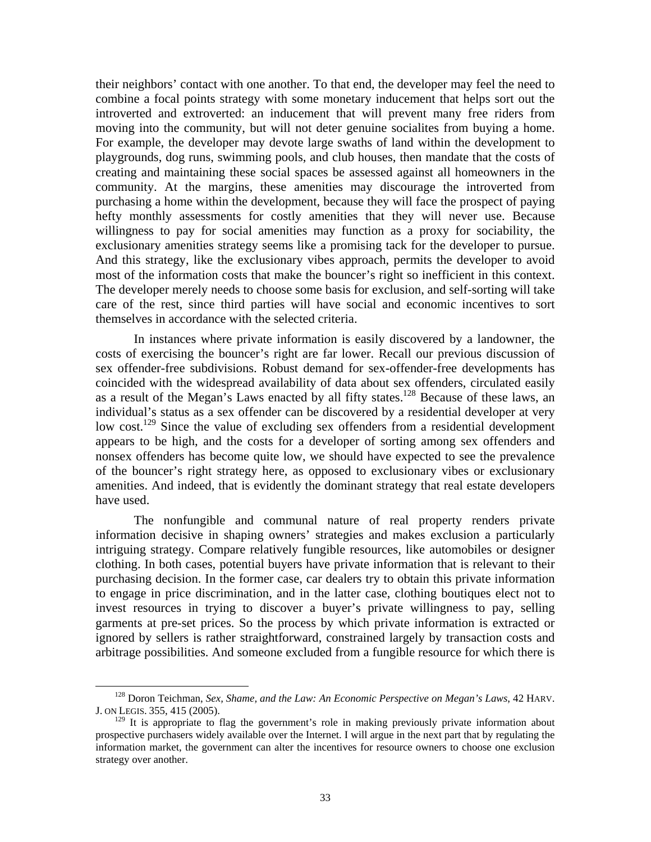their neighbors' contact with one another. To that end, the developer may feel the need to combine a focal points strategy with some monetary inducement that helps sort out the introverted and extroverted: an inducement that will prevent many free riders from moving into the community, but will not deter genuine socialites from buying a home. For example, the developer may devote large swaths of land within the development to playgrounds, dog runs, swimming pools, and club houses, then mandate that the costs of creating and maintaining these social spaces be assessed against all homeowners in the community. At the margins, these amenities may discourage the introverted from purchasing a home within the development, because they will face the prospect of paying hefty monthly assessments for costly amenities that they will never use. Because willingness to pay for social amenities may function as a proxy for sociability, the exclusionary amenities strategy seems like a promising tack for the developer to pursue. And this strategy, like the exclusionary vibes approach, permits the developer to avoid most of the information costs that make the bouncer's right so inefficient in this context. The developer merely needs to choose some basis for exclusion, and self-sorting will take care of the rest, since third parties will have social and economic incentives to sort themselves in accordance with the selected criteria.

 In instances where private information is easily discovered by a landowner, the costs of exercising the bouncer's right are far lower. Recall our previous discussion of sex offender-free subdivisions. Robust demand for sex-offender-free developments has coincided with the widespread availability of data about sex offenders, circulated easily as a result of the Megan's Laws enacted by all fifty states.<sup>128</sup> Because of these laws, an individual's status as a sex offender can be discovered by a residential developer at very low cost.<sup>129</sup> Since the value of excluding sex offenders from a residential development appears to be high, and the costs for a developer of sorting among sex offenders and nonsex offenders has become quite low, we should have expected to see the prevalence of the bouncer's right strategy here, as opposed to exclusionary vibes or exclusionary amenities. And indeed, that is evidently the dominant strategy that real estate developers have used.

 The nonfungible and communal nature of real property renders private information decisive in shaping owners' strategies and makes exclusion a particularly intriguing strategy. Compare relatively fungible resources, like automobiles or designer clothing. In both cases, potential buyers have private information that is relevant to their purchasing decision. In the former case, car dealers try to obtain this private information to engage in price discrimination, and in the latter case, clothing boutiques elect not to invest resources in trying to discover a buyer's private willingness to pay, selling garments at pre-set prices. So the process by which private information is extracted or ignored by sellers is rather straightforward, constrained largely by transaction costs and arbitrage possibilities. And someone excluded from a fungible resource for which there is

 <sup>128</sup> Doron Teichman, *Sex, Shame, and the Law: An Economic Perspective on Megan's Laws*, 42 HARV. J. ON LEGIS. 355, 415 (2005).

 $129$  It is appropriate to flag the government's role in making previously private information about prospective purchasers widely available over the Internet. I will argue in the next part that by regulating the information market, the government can alter the incentives for resource owners to choose one exclusion strategy over another.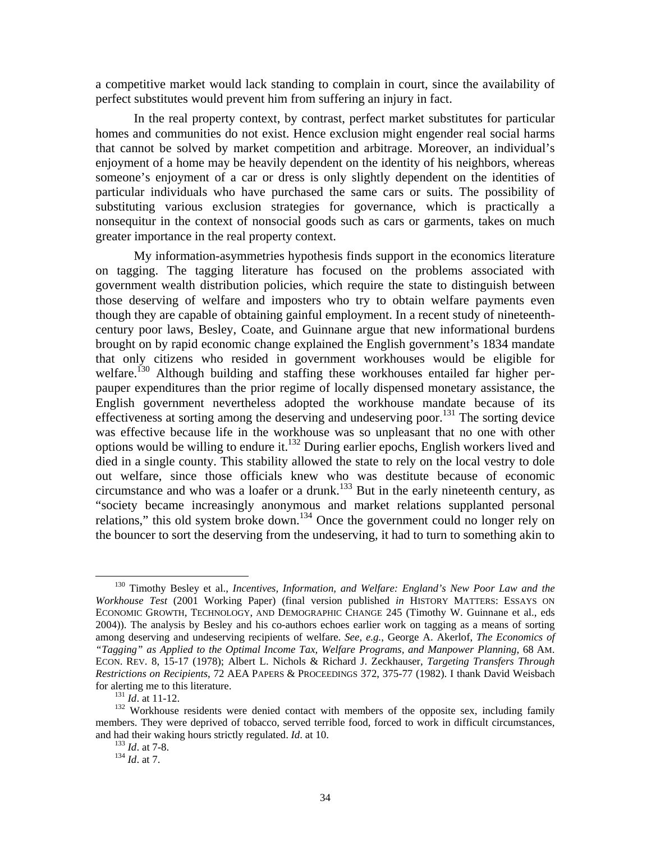a competitive market would lack standing to complain in court, since the availability of perfect substitutes would prevent him from suffering an injury in fact.

 In the real property context, by contrast, perfect market substitutes for particular homes and communities do not exist. Hence exclusion might engender real social harms that cannot be solved by market competition and arbitrage. Moreover, an individual's enjoyment of a home may be heavily dependent on the identity of his neighbors, whereas someone's enjoyment of a car or dress is only slightly dependent on the identities of particular individuals who have purchased the same cars or suits. The possibility of substituting various exclusion strategies for governance, which is practically a nonsequitur in the context of nonsocial goods such as cars or garments, takes on much greater importance in the real property context.

 My information-asymmetries hypothesis finds support in the economics literature on tagging. The tagging literature has focused on the problems associated with government wealth distribution policies, which require the state to distinguish between those deserving of welfare and imposters who try to obtain welfare payments even though they are capable of obtaining gainful employment. In a recent study of nineteenthcentury poor laws, Besley, Coate, and Guinnane argue that new informational burdens brought on by rapid economic change explained the English government's 1834 mandate that only citizens who resided in government workhouses would be eligible for welfare.<sup>130</sup> Although building and staffing these workhouses entailed far higher perpauper expenditures than the prior regime of locally dispensed monetary assistance, the English government nevertheless adopted the workhouse mandate because of its effectiveness at sorting among the deserving and undeserving poor.<sup>131</sup> The sorting device was effective because life in the workhouse was so unpleasant that no one with other options would be willing to endure it.132 During earlier epochs, English workers lived and died in a single county. This stability allowed the state to rely on the local vestry to dole out welfare, since those officials knew who was destitute because of economic circumstance and who was a loafer or a drunk.<sup>133</sup> But in the early nineteenth century, as "society became increasingly anonymous and market relations supplanted personal relations," this old system broke down.<sup>134</sup> Once the government could no longer rely on the bouncer to sort the deserving from the undeserving, it had to turn to something akin to

 <sup>130</sup> Timothy Besley et al., *Incentives, Information, and Welfare: England's New Poor Law and the Workhouse Test* (2001 Working Paper) (final version published *in* HISTORY MATTERS: ESSAYS ON ECONOMIC GROWTH, TECHNOLOGY, AND DEMOGRAPHIC CHANGE 245 (Timothy W. Guinnane et al., eds 2004)). The analysis by Besley and his co-authors echoes earlier work on tagging as a means of sorting among deserving and undeserving recipients of welfare. *See, e.g.*, George A. Akerlof, *The Economics of "Tagging" as Applied to the Optimal Income Tax, Welfare Programs, and Manpower Planning*, 68 AM. ECON. REV. 8, 15-17 (1978); Albert L. Nichols & Richard J. Zeckhauser, *Targeting Transfers Through Restrictions on Recipients*, 72 AEA PAPERS & PROCEEDINGS 372, 375-77 (1982). I thank David Weisbach

for alerting me to this literature.<br><sup>131</sup> *Id.* at 11-12.<br><sup>132</sup> Workhouse residents were denied contact with members of the opposite sex, including family members. They were deprived of tobacco, served terrible food, forced to work in difficult circumstances, and had their waking hours strictly regulated. *Id*. at 10. <sup>133</sup> *Id.* at 7-8. <sup>134</sup> *Id.* at 7.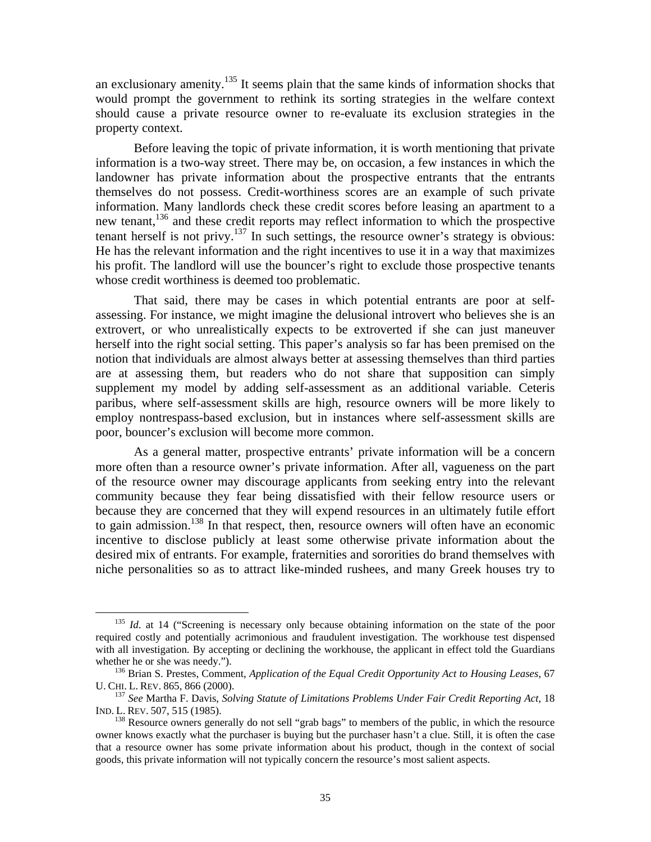an exclusionary amenity.<sup>135</sup> It seems plain that the same kinds of information shocks that would prompt the government to rethink its sorting strategies in the welfare context should cause a private resource owner to re-evaluate its exclusion strategies in the property context.

 Before leaving the topic of private information, it is worth mentioning that private information is a two-way street. There may be, on occasion, a few instances in which the landowner has private information about the prospective entrants that the entrants themselves do not possess. Credit-worthiness scores are an example of such private information. Many landlords check these credit scores before leasing an apartment to a new tenant,<sup>136</sup> and these credit reports may reflect information to which the prospective tenant herself is not privy.<sup>137</sup> In such settings, the resource owner's strategy is obvious: He has the relevant information and the right incentives to use it in a way that maximizes his profit. The landlord will use the bouncer's right to exclude those prospective tenants whose credit worthiness is deemed too problematic.

 That said, there may be cases in which potential entrants are poor at selfassessing. For instance, we might imagine the delusional introvert who believes she is an extrovert, or who unrealistically expects to be extroverted if she can just maneuver herself into the right social setting. This paper's analysis so far has been premised on the notion that individuals are almost always better at assessing themselves than third parties are at assessing them, but readers who do not share that supposition can simply supplement my model by adding self-assessment as an additional variable. Ceteris paribus, where self-assessment skills are high, resource owners will be more likely to employ nontrespass-based exclusion, but in instances where self-assessment skills are poor, bouncer's exclusion will become more common.

 As a general matter, prospective entrants' private information will be a concern more often than a resource owner's private information. After all, vagueness on the part of the resource owner may discourage applicants from seeking entry into the relevant community because they fear being dissatisfied with their fellow resource users or because they are concerned that they will expend resources in an ultimately futile effort to gain admission.<sup>138</sup> In that respect, then, resource owners will often have an economic incentive to disclose publicly at least some otherwise private information about the desired mix of entrants. For example, fraternities and sororities do brand themselves with niche personalities so as to attract like-minded rushees, and many Greek houses try to

<sup>&</sup>lt;sup>135</sup> *Id.* at 14 ("Screening is necessary only because obtaining information on the state of the poor required costly and potentially acrimonious and fraudulent investigation. The workhouse test dispensed with all investigation. By accepting or declining the workhouse, the applicant in effect told the Guardians

whether he or she was needy.").<br><sup>136</sup> Brian S. Prestes, Comment, *Application of the Equal Credit Opportunity Act to Housing Leases*, 67<br>U. CHI. L. REV. 865, 866 (2000).

<sup>&</sup>lt;sup>137</sup> See Martha F. Davis, *Solving Statute of Limitations Problems Under Fair Credit Reporting Act*, 18 IND. L. REV. 507, 515 (1985). 138 Resource owners generally do not sell "grab bags" to members of the public, in which the resource

owner knows exactly what the purchaser is buying but the purchaser hasn't a clue. Still, it is often the case that a resource owner has some private information about his product, though in the context of social goods, this private information will not typically concern the resource's most salient aspects.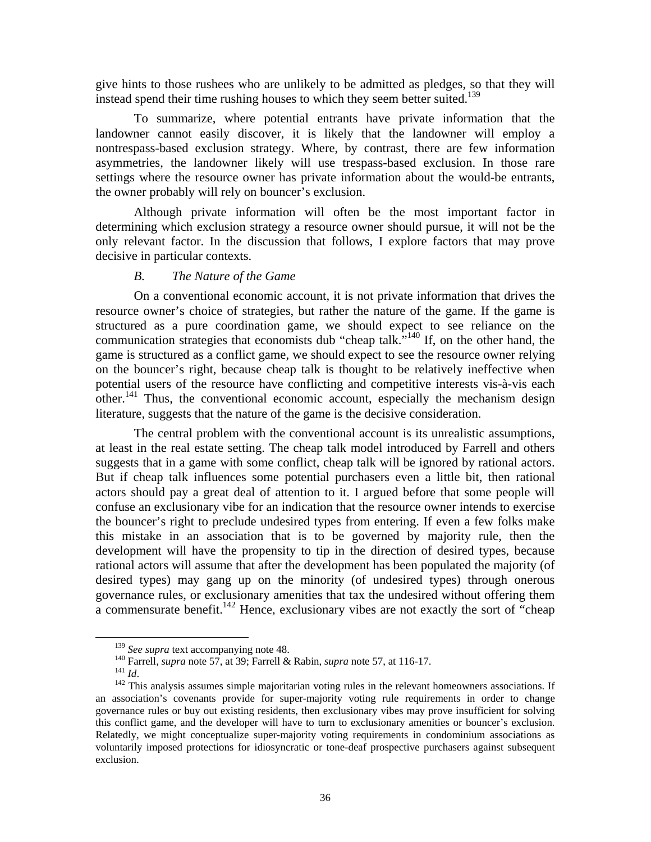give hints to those rushees who are unlikely to be admitted as pledges, so that they will instead spend their time rushing houses to which they seem better suited.<sup>139</sup>

 To summarize, where potential entrants have private information that the landowner cannot easily discover, it is likely that the landowner will employ a nontrespass-based exclusion strategy. Where, by contrast, there are few information asymmetries, the landowner likely will use trespass-based exclusion. In those rare settings where the resource owner has private information about the would-be entrants, the owner probably will rely on bouncer's exclusion.

 Although private information will often be the most important factor in determining which exclusion strategy a resource owner should pursue, it will not be the only relevant factor. In the discussion that follows, I explore factors that may prove decisive in particular contexts.

#### *B. The Nature of the Game*

 On a conventional economic account, it is not private information that drives the resource owner's choice of strategies, but rather the nature of the game. If the game is structured as a pure coordination game, we should expect to see reliance on the communication strategies that economists dub "cheap talk."<sup>140</sup> If, on the other hand, the game is structured as a conflict game, we should expect to see the resource owner relying on the bouncer's right, because cheap talk is thought to be relatively ineffective when potential users of the resource have conflicting and competitive interests vis-à-vis each other.<sup>141</sup> Thus, the conventional economic account, especially the mechanism design literature, suggests that the nature of the game is the decisive consideration.

 The central problem with the conventional account is its unrealistic assumptions, at least in the real estate setting. The cheap talk model introduced by Farrell and others suggests that in a game with some conflict, cheap talk will be ignored by rational actors. But if cheap talk influences some potential purchasers even a little bit, then rational actors should pay a great deal of attention to it. I argued before that some people will confuse an exclusionary vibe for an indication that the resource owner intends to exercise the bouncer's right to preclude undesired types from entering. If even a few folks make this mistake in an association that is to be governed by majority rule, then the development will have the propensity to tip in the direction of desired types, because rational actors will assume that after the development has been populated the majority (of desired types) may gang up on the minority (of undesired types) through onerous governance rules, or exclusionary amenities that tax the undesired without offering them a commensurate benefit.<sup>142</sup> Hence, exclusionary vibes are not exactly the sort of "cheap"

<sup>&</sup>lt;sup>139</sup> See supra text accompanying note 48.<br><sup>140</sup> Farrell, *supra* note 57, at 39; Farrell & Rabin, *supra* note 57, at 116-17.<br><sup>141</sup> Id.<br><sup>142</sup> This analysis assumes simple majoritarian voting rules in the relevant homeown an association's covenants provide for super-majority voting rule requirements in order to change governance rules or buy out existing residents, then exclusionary vibes may prove insufficient for solving this conflict game, and the developer will have to turn to exclusionary amenities or bouncer's exclusion. Relatedly, we might conceptualize super-majority voting requirements in condominium associations as voluntarily imposed protections for idiosyncratic or tone-deaf prospective purchasers against subsequent exclusion.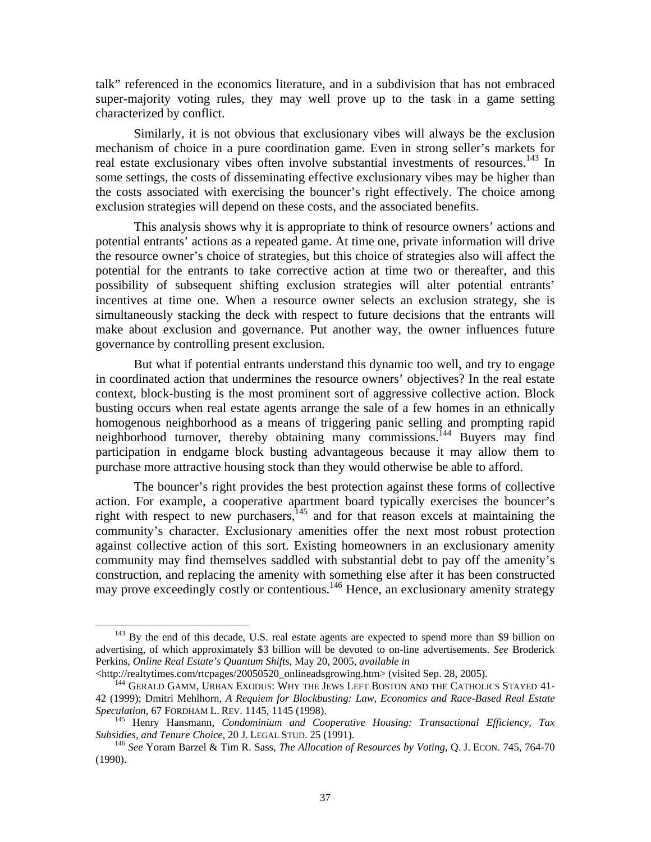talk" referenced in the economics literature, and in a subdivision that has not embraced super-majority voting rules, they may well prove up to the task in a game setting characterized by conflict.

 Similarly, it is not obvious that exclusionary vibes will always be the exclusion mechanism of choice in a pure coordination game. Even in strong seller's markets for real estate exclusionary vibes often involve substantial investments of resources.<sup>143</sup> In some settings, the costs of disseminating effective exclusionary vibes may be higher than the costs associated with exercising the bouncer's right effectively. The choice among exclusion strategies will depend on these costs, and the associated benefits.

 This analysis shows why it is appropriate to think of resource owners' actions and potential entrants' actions as a repeated game. At time one, private information will drive the resource owner's choice of strategies, but this choice of strategies also will affect the potential for the entrants to take corrective action at time two or thereafter, and this possibility of subsequent shifting exclusion strategies will alter potential entrants' incentives at time one. When a resource owner selects an exclusion strategy, she is simultaneously stacking the deck with respect to future decisions that the entrants will make about exclusion and governance. Put another way, the owner influences future governance by controlling present exclusion.

 But what if potential entrants understand this dynamic too well, and try to engage in coordinated action that undermines the resource owners' objectives? In the real estate context, block-busting is the most prominent sort of aggressive collective action. Block busting occurs when real estate agents arrange the sale of a few homes in an ethnically homogenous neighborhood as a means of triggering panic selling and prompting rapid neighborhood turnover, thereby obtaining many commissions.<sup>144</sup> Buyers may find participation in endgame block busting advantageous because it may allow them to purchase more attractive housing stock than they would otherwise be able to afford.

 The bouncer's right provides the best protection against these forms of collective action. For example, a cooperative apartment board typically exercises the bouncer's right with respect to new purchasers,  $145$  and for that reason excels at maintaining the community's character. Exclusionary amenities offer the next most robust protection against collective action of this sort. Existing homeowners in an exclusionary amenity community may find themselves saddled with substantial debt to pay off the amenity's construction, and replacing the amenity with something else after it has been constructed may prove exceedingly costly or contentious.<sup>146</sup> Hence, an exclusionary amenity strategy

<sup>&</sup>lt;sup>143</sup> By the end of this decade, U.S. real estate agents are expected to spend more than \$9 billion on advertising, of which approximately \$3 billion will be devoted to on-line advertisements. *See* Broderick Perkins, *Online Real Estate's Quantum Shifts*, May 20, 2005, *available in* 

<sup>&</sup>lt;http://realtytimes.com/rtcpages/20050520\_onlineadsgrowing.htm> (visited Sep. 28, 2005). 144 GERALD GAMM, URBAN EXODUS: WHY THE JEWS LEFT BOSTON AND THE CATHOLICS STAYED 41-

<sup>42 (1999);</sup> Dmitri Mehlhorn, *A Requiem for Blockbusting: Law, Economics and Race-Based Real Estate* 

*Speculation*, 67 FORDHAM L. REV. 1145, 1145 (1998).<br><sup>145</sup> Henry Hansmann, *Condominium and Cooperative Housing: Transactional Efficiency, Tax <i>Subsidies, and Tenure Choice*, 20 J. LEGAL STUD. 25 (1991).

<sup>&</sup>lt;sup>146</sup> See Yoram Barzel & Tim R. Sass, *The Allocation of Resources by Voting*, Q. J. ECON. 745, 764-70 (1990).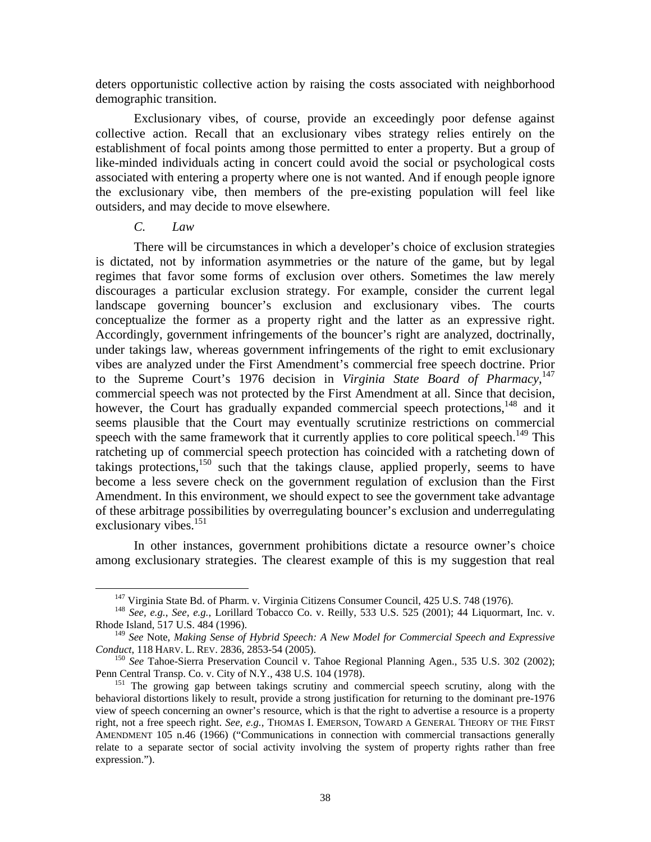deters opportunistic collective action by raising the costs associated with neighborhood demographic transition.

 Exclusionary vibes, of course, provide an exceedingly poor defense against collective action. Recall that an exclusionary vibes strategy relies entirely on the establishment of focal points among those permitted to enter a property. But a group of like-minded individuals acting in concert could avoid the social or psychological costs associated with entering a property where one is not wanted. And if enough people ignore the exclusionary vibe, then members of the pre-existing population will feel like outsiders, and may decide to move elsewhere.

#### *C. Law*

There will be circumstances in which a developer's choice of exclusion strategies is dictated, not by information asymmetries or the nature of the game, but by legal regimes that favor some forms of exclusion over others. Sometimes the law merely discourages a particular exclusion strategy. For example, consider the current legal landscape governing bouncer's exclusion and exclusionary vibes. The courts conceptualize the former as a property right and the latter as an expressive right. Accordingly, government infringements of the bouncer's right are analyzed, doctrinally, under takings law, whereas government infringements of the right to emit exclusionary vibes are analyzed under the First Amendment's commercial free speech doctrine. Prior to the Supreme Court's 1976 decision in *Virginia State Board of Pharmacy*, 147 commercial speech was not protected by the First Amendment at all. Since that decision, however, the Court has gradually expanded commercial speech protections,<sup>148</sup> and it seems plausible that the Court may eventually scrutinize restrictions on commercial speech with the same framework that it currently applies to core political speech.<sup>149</sup> This ratcheting up of commercial speech protection has coincided with a ratcheting down of takings protections,150 such that the takings clause, applied properly, seems to have become a less severe check on the government regulation of exclusion than the First Amendment. In this environment, we should expect to see the government take advantage of these arbitrage possibilities by overregulating bouncer's exclusion and underregulating exclusionary vibes.<sup>151</sup>

In other instances, government prohibitions dictate a resource owner's choice among exclusionary strategies. The clearest example of this is my suggestion that real

<sup>&</sup>lt;sup>147</sup> Virginia State Bd. of Pharm. v. Virginia Citizens Consumer Council, 425 U.S. 748 (1976).<br><sup>148</sup> *See, e.g., See, e.g.*, Lorillard Tobacco Co. v. Reilly, 533 U.S. 525 (2001); 44 Liquormart, Inc. v. Rhode Island, 517 U.S. 484 (1996).

<sup>&</sup>lt;sup>149</sup> *See* Note, *Making Sense of Hybrid Speech: A New Model for Commercial Speech and Expressive Conduct,* 118 HARV. L. REV. 2836, 2853-54 (2005).

<sup>&</sup>lt;sup>150</sup> See Tahoe-Sierra Preservation Council v. Tahoe Regional Planning Agen., 535 U.S. 302 (2002); Penn Central Transp. Co. v. City of N.Y., 438 U.S. 104 (1978).<br><sup>151</sup> The growing gap between takings scrutiny and commercial speech scrutiny, along with the

behavioral distortions likely to result, provide a strong justification for returning to the dominant pre-1976 view of speech concerning an owner's resource, which is that the right to advertise a resource is a property right, not a free speech right. *See, e.g.*, THOMAS I. EMERSON, TOWARD A GENERAL THEORY OF THE FIRST AMENDMENT 105 n.46 (1966) ("Communications in connection with commercial transactions generally relate to a separate sector of social activity involving the system of property rights rather than free expression.").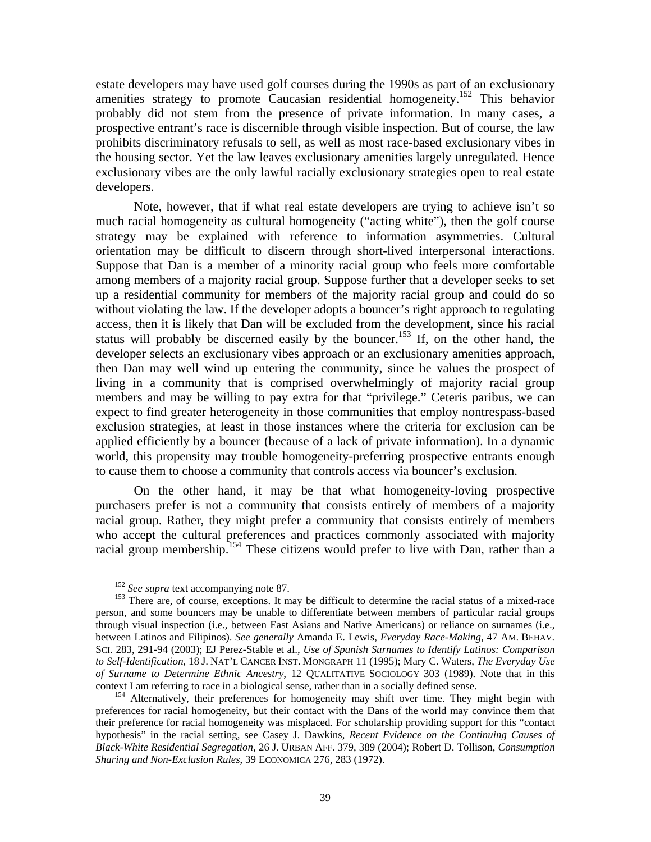estate developers may have used golf courses during the 1990s as part of an exclusionary amenities strategy to promote Caucasian residential homogeneity.152 This behavior probably did not stem from the presence of private information. In many cases, a prospective entrant's race is discernible through visible inspection. But of course, the law prohibits discriminatory refusals to sell, as well as most race-based exclusionary vibes in the housing sector. Yet the law leaves exclusionary amenities largely unregulated. Hence exclusionary vibes are the only lawful racially exclusionary strategies open to real estate developers.

 Note, however, that if what real estate developers are trying to achieve isn't so much racial homogeneity as cultural homogeneity ("acting white"), then the golf course strategy may be explained with reference to information asymmetries. Cultural orientation may be difficult to discern through short-lived interpersonal interactions. Suppose that Dan is a member of a minority racial group who feels more comfortable among members of a majority racial group. Suppose further that a developer seeks to set up a residential community for members of the majority racial group and could do so without violating the law. If the developer adopts a bouncer's right approach to regulating access, then it is likely that Dan will be excluded from the development, since his racial status will probably be discerned easily by the bouncer.<sup>153</sup> If, on the other hand, the developer selects an exclusionary vibes approach or an exclusionary amenities approach, then Dan may well wind up entering the community, since he values the prospect of living in a community that is comprised overwhelmingly of majority racial group members and may be willing to pay extra for that "privilege." Ceteris paribus, we can expect to find greater heterogeneity in those communities that employ nontrespass-based exclusion strategies, at least in those instances where the criteria for exclusion can be applied efficiently by a bouncer (because of a lack of private information). In a dynamic world, this propensity may trouble homogeneity-preferring prospective entrants enough to cause them to choose a community that controls access via bouncer's exclusion.

On the other hand, it may be that what homogeneity-loving prospective purchasers prefer is not a community that consists entirely of members of a majority racial group. Rather, they might prefer a community that consists entirely of members who accept the cultural preferences and practices commonly associated with majority racial group membership.<sup>154</sup> These citizens would prefer to live with Dan, rather than a

<sup>&</sup>lt;sup>152</sup> *See supra* text accompanying note 87.<br><sup>153</sup> There are, of course, exceptions. It may be difficult to determine the racial status of a mixed-race person, and some bouncers may be unable to differentiate between members of particular racial groups through visual inspection (i.e., between East Asians and Native Americans) or reliance on surnames (i.e., between Latinos and Filipinos). *See generally* Amanda E. Lewis, *Everyday Race-Making*, 47 AM. BEHAV. SCI. 283, 291-94 (2003); EJ Perez-Stable et al., *Use of Spanish Surnames to Identify Latinos: Comparison to Self-Identification*, 18 J. NAT'L CANCER INST. MONGRAPH 11 (1995); Mary C. Waters, *The Everyday Use of Surname to Determine Ethnic Ancestry*, 12 QUALITATIVE SOCIOLOGY 303 (1989). Note that in this context I am referring to race in a biological sense, rather than in a socially defined sense.<br><sup>154</sup> Alternatively, their preferences for homogeneity may shift over time. They might begin with

preferences for racial homogeneity, but their contact with the Dans of the world may convince them that their preference for racial homogeneity was misplaced. For scholarship providing support for this "contact hypothesis" in the racial setting, see Casey J. Dawkins, *Recent Evidence on the Continuing Causes of Black-White Residential Segregation*, 26 J. URBAN AFF. 379, 389 (2004); Robert D. Tollison, *Consumption Sharing and Non-Exclusion Rules*, 39 ECONOMICA 276, 283 (1972).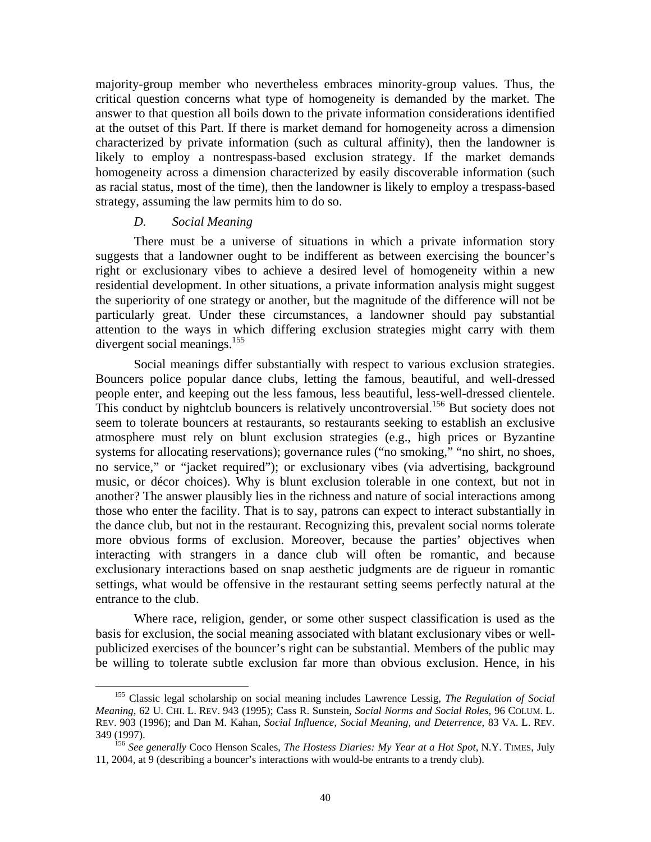majority-group member who nevertheless embraces minority-group values. Thus, the critical question concerns what type of homogeneity is demanded by the market. The answer to that question all boils down to the private information considerations identified at the outset of this Part. If there is market demand for homogeneity across a dimension characterized by private information (such as cultural affinity), then the landowner is likely to employ a nontrespass-based exclusion strategy. If the market demands homogeneity across a dimension characterized by easily discoverable information (such as racial status, most of the time), then the landowner is likely to employ a trespass-based strategy, assuming the law permits him to do so.

#### *D. Social Meaning*

 There must be a universe of situations in which a private information story suggests that a landowner ought to be indifferent as between exercising the bouncer's right or exclusionary vibes to achieve a desired level of homogeneity within a new residential development. In other situations, a private information analysis might suggest the superiority of one strategy or another, but the magnitude of the difference will not be particularly great. Under these circumstances, a landowner should pay substantial attention to the ways in which differing exclusion strategies might carry with them divergent social meanings.<sup>155</sup>

 Social meanings differ substantially with respect to various exclusion strategies. Bouncers police popular dance clubs, letting the famous, beautiful, and well-dressed people enter, and keeping out the less famous, less beautiful, less-well-dressed clientele. This conduct by nightclub bouncers is relatively uncontroversial.<sup>156</sup> But society does not seem to tolerate bouncers at restaurants, so restaurants seeking to establish an exclusive atmosphere must rely on blunt exclusion strategies (e.g., high prices or Byzantine systems for allocating reservations); governance rules ("no smoking," "no shirt, no shoes, no service," or "jacket required"); or exclusionary vibes (via advertising, background music, or décor choices). Why is blunt exclusion tolerable in one context, but not in another? The answer plausibly lies in the richness and nature of social interactions among those who enter the facility. That is to say, patrons can expect to interact substantially in the dance club, but not in the restaurant. Recognizing this, prevalent social norms tolerate more obvious forms of exclusion. Moreover, because the parties' objectives when interacting with strangers in a dance club will often be romantic, and because exclusionary interactions based on snap aesthetic judgments are de rigueur in romantic settings, what would be offensive in the restaurant setting seems perfectly natural at the entrance to the club.

 Where race, religion, gender, or some other suspect classification is used as the basis for exclusion, the social meaning associated with blatant exclusionary vibes or wellpublicized exercises of the bouncer's right can be substantial. Members of the public may be willing to tolerate subtle exclusion far more than obvious exclusion. Hence, in his

 <sup>155</sup> Classic legal scholarship on social meaning includes Lawrence Lessig, *The Regulation of Social Meaning*, 62 U. CHI. L. REV. 943 (1995); Cass R. Sunstein, *Social Norms and Social Roles*, 96 COLUM. L. REV. 903 (1996); and Dan M. Kahan, *Social Influence, Social Meaning, and Deterrence*, 83 VA. L. REV. 349 (1997). 156 *See generally* Coco Henson Scales, *The Hostess Diaries: My Year at a Hot Spot*, N.Y. TIMES, July

<sup>11, 2004,</sup> at 9 (describing a bouncer's interactions with would-be entrants to a trendy club).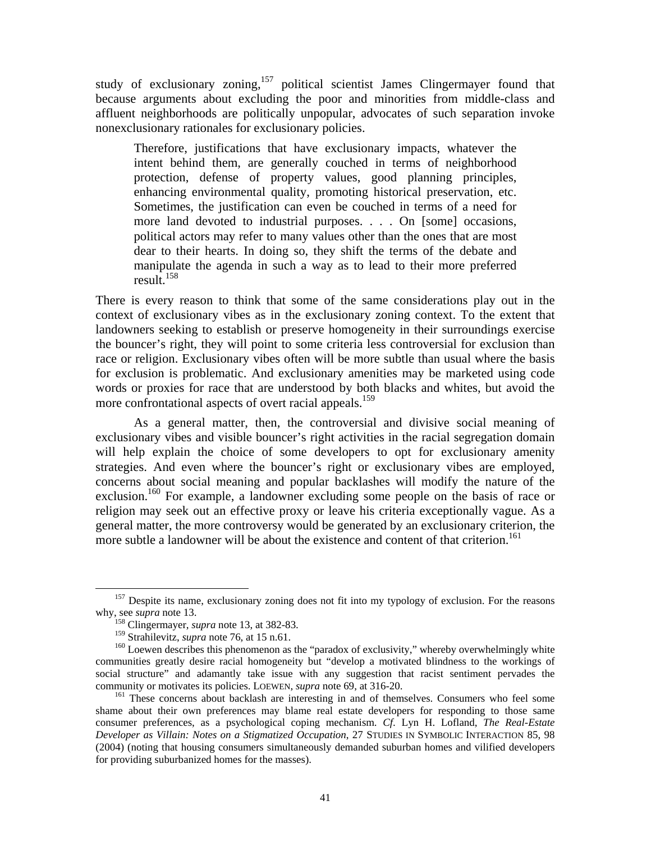study of exclusionary zoning, $157$  political scientist James Clingermayer found that because arguments about excluding the poor and minorities from middle-class and affluent neighborhoods are politically unpopular, advocates of such separation invoke nonexclusionary rationales for exclusionary policies.

Therefore, justifications that have exclusionary impacts, whatever the intent behind them, are generally couched in terms of neighborhood protection, defense of property values, good planning principles, enhancing environmental quality, promoting historical preservation, etc. Sometimes, the justification can even be couched in terms of a need for more land devoted to industrial purposes. . . . On [some] occasions, political actors may refer to many values other than the ones that are most dear to their hearts. In doing so, they shift the terms of the debate and manipulate the agenda in such a way as to lead to their more preferred result. $158$ 

There is every reason to think that some of the same considerations play out in the context of exclusionary vibes as in the exclusionary zoning context. To the extent that landowners seeking to establish or preserve homogeneity in their surroundings exercise the bouncer's right, they will point to some criteria less controversial for exclusion than race or religion. Exclusionary vibes often will be more subtle than usual where the basis for exclusion is problematic. And exclusionary amenities may be marketed using code words or proxies for race that are understood by both blacks and whites, but avoid the more confrontational aspects of overt racial appeals.<sup>159</sup>

 As a general matter, then, the controversial and divisive social meaning of exclusionary vibes and visible bouncer's right activities in the racial segregation domain will help explain the choice of some developers to opt for exclusionary amenity strategies. And even where the bouncer's right or exclusionary vibes are employed, concerns about social meaning and popular backlashes will modify the nature of the exclusion.<sup>160</sup> For example, a landowner excluding some people on the basis of race or religion may seek out an effective proxy or leave his criteria exceptionally vague. As a general matter, the more controversy would be generated by an exclusionary criterion, the more subtle a landowner will be about the existence and content of that criterion.<sup>161</sup>

<sup>&</sup>lt;sup>157</sup> Despite its name, exclusionary zoning does not fit into my typology of exclusion. For the reasons why, see *supra* note 13.<br><sup>158</sup> Clingermayer, *supra* note 13, at 382-83.<br><sup>159</sup> Strahilevitz, *supra* note 76, at 15 n.61.

<sup>&</sup>lt;sup>160</sup> Loewen describes this phenomenon as the "paradox of exclusivity," whereby overwhelmingly white communities greatly desire racial homogeneity but "develop a motivated blindness to the workings of social structure" and adamantly take issue with any suggestion that racist sentiment pervades the community or motivates its policies. LOEWEN, *supra* note 69, at 316-20.<br><sup>161</sup> These concerns about backlash are interesting in and of themselves. Consumers who feel some

shame about their own preferences may blame real estate developers for responding to those same consumer preferences, as a psychological coping mechanism. *Cf*. Lyn H. Lofland, *The Real-Estate Developer as Villain: Notes on a Stigmatized Occupation*, 27 STUDIES IN SYMBOLIC INTERACTION 85, 98 (2004) (noting that housing consumers simultaneously demanded suburban homes and vilified developers for providing suburbanized homes for the masses).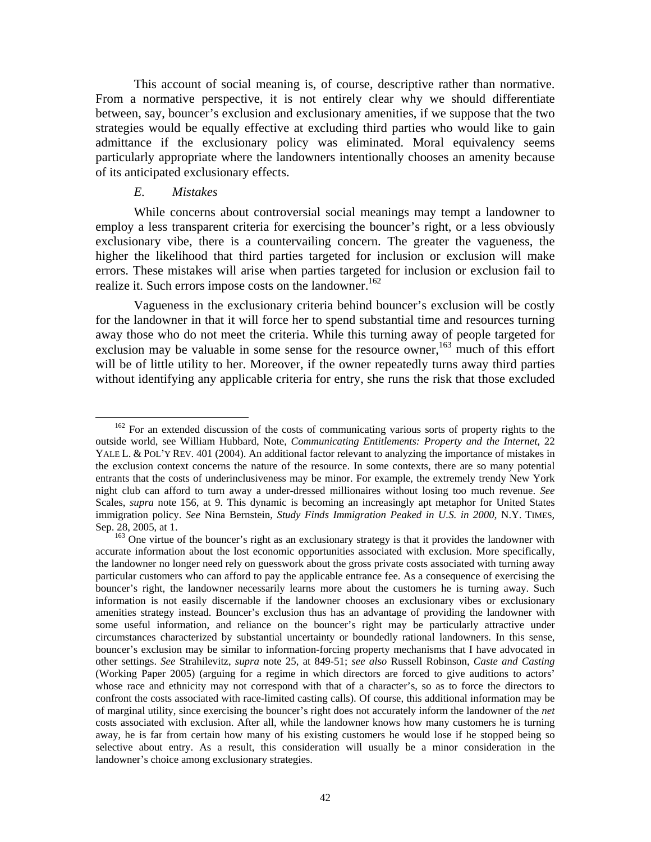This account of social meaning is, of course, descriptive rather than normative. From a normative perspective, it is not entirely clear why we should differentiate between, say, bouncer's exclusion and exclusionary amenities, if we suppose that the two strategies would be equally effective at excluding third parties who would like to gain admittance if the exclusionary policy was eliminated. Moral equivalency seems particularly appropriate where the landowners intentionally chooses an amenity because of its anticipated exclusionary effects.

#### *E. Mistakes*

 While concerns about controversial social meanings may tempt a landowner to employ a less transparent criteria for exercising the bouncer's right, or a less obviously exclusionary vibe, there is a countervailing concern. The greater the vagueness, the higher the likelihood that third parties targeted for inclusion or exclusion will make errors. These mistakes will arise when parties targeted for inclusion or exclusion fail to realize it. Such errors impose costs on the landowner.<sup>162</sup>

 Vagueness in the exclusionary criteria behind bouncer's exclusion will be costly for the landowner in that it will force her to spend substantial time and resources turning away those who do not meet the criteria. While this turning away of people targeted for exclusion may be valuable in some sense for the resource owner,<sup>163</sup> much of this effort will be of little utility to her. Moreover, if the owner repeatedly turns away third parties without identifying any applicable criteria for entry, she runs the risk that those excluded

<sup>&</sup>lt;sup>162</sup> For an extended discussion of the costs of communicating various sorts of property rights to the outside world, see William Hubbard, Note, *Communicating Entitlements: Property and the Internet*, 22 YALE L. & POL'Y REV. 401 (2004). An additional factor relevant to analyzing the importance of mistakes in the exclusion context concerns the nature of the resource. In some contexts, there are so many potential entrants that the costs of underinclusiveness may be minor. For example, the extremely trendy New York night club can afford to turn away a under-dressed millionaires without losing too much revenue. *See*  Scales, *supra* note 156, at 9. This dynamic is becoming an increasingly apt metaphor for United States immigration policy. *See* Nina Bernstein, *Study Finds Immigration Peaked in U.S. in 2000*, N.Y. TIMES, Sep. 28, 2005, at 1.<br><sup>163</sup> One virtue of the bouncer's right as an exclusionary strategy is that it provides the landowner with

accurate information about the lost economic opportunities associated with exclusion. More specifically, the landowner no longer need rely on guesswork about the gross private costs associated with turning away particular customers who can afford to pay the applicable entrance fee. As a consequence of exercising the bouncer's right, the landowner necessarily learns more about the customers he is turning away. Such information is not easily discernable if the landowner chooses an exclusionary vibes or exclusionary amenities strategy instead. Bouncer's exclusion thus has an advantage of providing the landowner with some useful information, and reliance on the bouncer's right may be particularly attractive under circumstances characterized by substantial uncertainty or boundedly rational landowners. In this sense, bouncer's exclusion may be similar to information-forcing property mechanisms that I have advocated in other settings. *See* Strahilevitz, *supra* note 25, at 849-51; *see also* Russell Robinson, *Caste and Casting* (Working Paper 2005) (arguing for a regime in which directors are forced to give auditions to actors' whose race and ethnicity may not correspond with that of a character's, so as to force the directors to confront the costs associated with race-limited casting calls). Of course, this additional information may be of marginal utility, since exercising the bouncer's right does not accurately inform the landowner of the *net*  costs associated with exclusion. After all, while the landowner knows how many customers he is turning away, he is far from certain how many of his existing customers he would lose if he stopped being so selective about entry. As a result, this consideration will usually be a minor consideration in the landowner's choice among exclusionary strategies.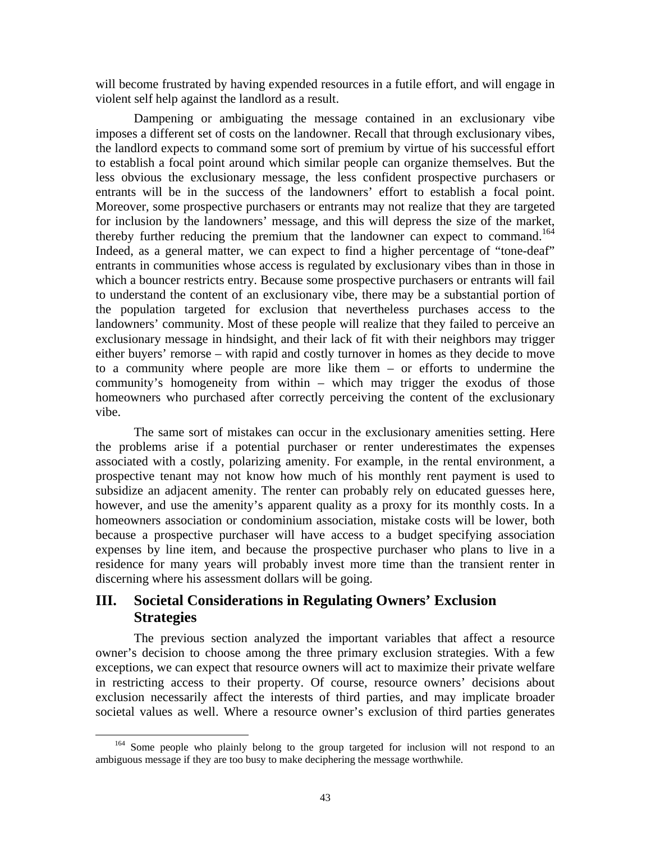will become frustrated by having expended resources in a futile effort, and will engage in violent self help against the landlord as a result.

 Dampening or ambiguating the message contained in an exclusionary vibe imposes a different set of costs on the landowner. Recall that through exclusionary vibes, the landlord expects to command some sort of premium by virtue of his successful effort to establish a focal point around which similar people can organize themselves. But the less obvious the exclusionary message, the less confident prospective purchasers or entrants will be in the success of the landowners' effort to establish a focal point. Moreover, some prospective purchasers or entrants may not realize that they are targeted for inclusion by the landowners' message, and this will depress the size of the market, thereby further reducing the premium that the landowner can expect to command.<sup>164</sup> Indeed, as a general matter, we can expect to find a higher percentage of "tone-deaf" entrants in communities whose access is regulated by exclusionary vibes than in those in which a bouncer restricts entry. Because some prospective purchasers or entrants will fail to understand the content of an exclusionary vibe, there may be a substantial portion of the population targeted for exclusion that nevertheless purchases access to the landowners' community. Most of these people will realize that they failed to perceive an exclusionary message in hindsight, and their lack of fit with their neighbors may trigger either buyers' remorse – with rapid and costly turnover in homes as they decide to move to a community where people are more like them – or efforts to undermine the community's homogeneity from within – which may trigger the exodus of those homeowners who purchased after correctly perceiving the content of the exclusionary vibe.

 The same sort of mistakes can occur in the exclusionary amenities setting. Here the problems arise if a potential purchaser or renter underestimates the expenses associated with a costly, polarizing amenity. For example, in the rental environment, a prospective tenant may not know how much of his monthly rent payment is used to subsidize an adjacent amenity. The renter can probably rely on educated guesses here, however, and use the amenity's apparent quality as a proxy for its monthly costs. In a homeowners association or condominium association, mistake costs will be lower, both because a prospective purchaser will have access to a budget specifying association expenses by line item, and because the prospective purchaser who plans to live in a residence for many years will probably invest more time than the transient renter in discerning where his assessment dollars will be going.

#### **III. Societal Considerations in Regulating Owners' Exclusion Strategies**

 The previous section analyzed the important variables that affect a resource owner's decision to choose among the three primary exclusion strategies. With a few exceptions, we can expect that resource owners will act to maximize their private welfare in restricting access to their property. Of course, resource owners' decisions about exclusion necessarily affect the interests of third parties, and may implicate broader societal values as well. Where a resource owner's exclusion of third parties generates

<sup>&</sup>lt;sup>164</sup> Some people who plainly belong to the group targeted for inclusion will not respond to an ambiguous message if they are too busy to make deciphering the message worthwhile.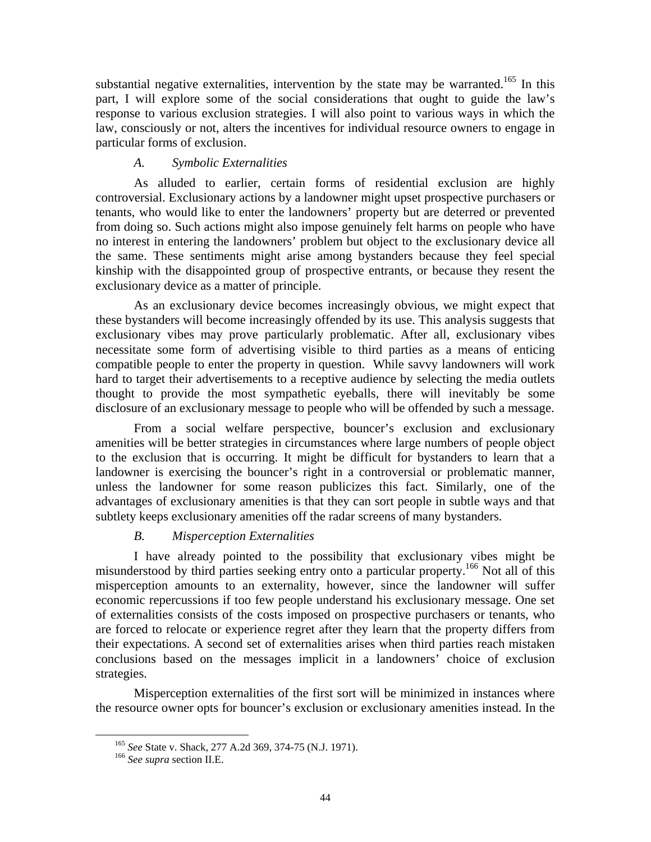substantial negative externalities, intervention by the state may be warranted.<sup>165</sup> In this part, I will explore some of the social considerations that ought to guide the law's response to various exclusion strategies. I will also point to various ways in which the law, consciously or not, alters the incentives for individual resource owners to engage in particular forms of exclusion.

#### *A. Symbolic Externalities*

 As alluded to earlier, certain forms of residential exclusion are highly controversial. Exclusionary actions by a landowner might upset prospective purchasers or tenants, who would like to enter the landowners' property but are deterred or prevented from doing so. Such actions might also impose genuinely felt harms on people who have no interest in entering the landowners' problem but object to the exclusionary device all the same. These sentiments might arise among bystanders because they feel special kinship with the disappointed group of prospective entrants, or because they resent the exclusionary device as a matter of principle.

 As an exclusionary device becomes increasingly obvious, we might expect that these bystanders will become increasingly offended by its use. This analysis suggests that exclusionary vibes may prove particularly problematic. After all, exclusionary vibes necessitate some form of advertising visible to third parties as a means of enticing compatible people to enter the property in question. While savvy landowners will work hard to target their advertisements to a receptive audience by selecting the media outlets thought to provide the most sympathetic eyeballs, there will inevitably be some disclosure of an exclusionary message to people who will be offended by such a message.

 From a social welfare perspective, bouncer's exclusion and exclusionary amenities will be better strategies in circumstances where large numbers of people object to the exclusion that is occurring. It might be difficult for bystanders to learn that a landowner is exercising the bouncer's right in a controversial or problematic manner, unless the landowner for some reason publicizes this fact. Similarly, one of the advantages of exclusionary amenities is that they can sort people in subtle ways and that subtlety keeps exclusionary amenities off the radar screens of many bystanders.

#### *B. Misperception Externalities*

 I have already pointed to the possibility that exclusionary vibes might be misunderstood by third parties seeking entry onto a particular property.<sup>166</sup> Not all of this misperception amounts to an externality, however, since the landowner will suffer economic repercussions if too few people understand his exclusionary message. One set of externalities consists of the costs imposed on prospective purchasers or tenants, who are forced to relocate or experience regret after they learn that the property differs from their expectations. A second set of externalities arises when third parties reach mistaken conclusions based on the messages implicit in a landowners' choice of exclusion strategies.

 Misperception externalities of the first sort will be minimized in instances where the resource owner opts for bouncer's exclusion or exclusionary amenities instead. In the

<sup>165</sup> *See* State v. Shack, 277 A.2d 369, 374-75 (N.J. 1971). 166 *See supra* section II.E.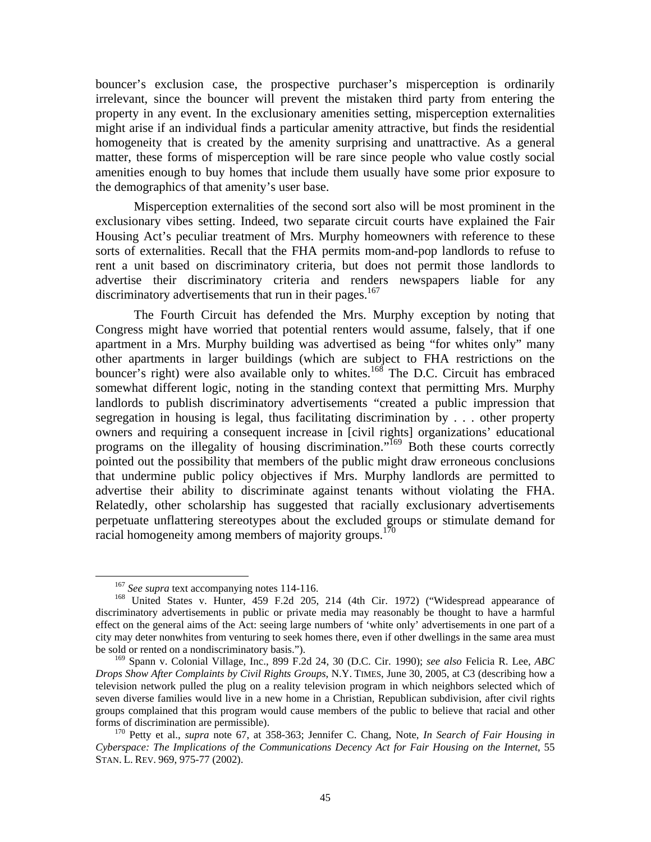bouncer's exclusion case, the prospective purchaser's misperception is ordinarily irrelevant, since the bouncer will prevent the mistaken third party from entering the property in any event. In the exclusionary amenities setting, misperception externalities might arise if an individual finds a particular amenity attractive, but finds the residential homogeneity that is created by the amenity surprising and unattractive. As a general matter, these forms of misperception will be rare since people who value costly social amenities enough to buy homes that include them usually have some prior exposure to the demographics of that amenity's user base.

 Misperception externalities of the second sort also will be most prominent in the exclusionary vibes setting. Indeed, two separate circuit courts have explained the Fair Housing Act's peculiar treatment of Mrs. Murphy homeowners with reference to these sorts of externalities. Recall that the FHA permits mom-and-pop landlords to refuse to rent a unit based on discriminatory criteria, but does not permit those landlords to advertise their discriminatory criteria and renders newspapers liable for any discriminatory advertisements that run in their pages.<sup>167</sup>

 The Fourth Circuit has defended the Mrs. Murphy exception by noting that Congress might have worried that potential renters would assume, falsely, that if one apartment in a Mrs. Murphy building was advertised as being "for whites only" many other apartments in larger buildings (which are subject to FHA restrictions on the bouncer's right) were also available only to whites.<sup>168</sup> The D.C. Circuit has embraced somewhat different logic, noting in the standing context that permitting Mrs. Murphy landlords to publish discriminatory advertisements "created a public impression that segregation in housing is legal, thus facilitating discrimination by . . . other property owners and requiring a consequent increase in [civil rights] organizations' educational programs on the illegality of housing discrimination."169 Both these courts correctly pointed out the possibility that members of the public might draw erroneous conclusions that undermine public policy objectives if Mrs. Murphy landlords are permitted to advertise their ability to discriminate against tenants without violating the FHA. Relatedly, other scholarship has suggested that racially exclusionary advertisements perpetuate unflattering stereotypes about the excluded groups or stimulate demand for racial homogeneity among members of majority groups.<sup>170</sup>

<sup>&</sup>lt;sup>167</sup> *See supra* text accompanying notes 114-116.<br><sup>168</sup> United States v. Hunter, 459 F.2d 205, 214 (4th Cir. 1972) ("Widespread appearance of discriminatory advertisements in public or private media may reasonably be thought to have a harmful effect on the general aims of the Act: seeing large numbers of 'white only' advertisements in one part of a city may deter nonwhites from venturing to seek homes there, even if other dwellings in the same area must be sold or rented on a nondiscriminatory basis.").

<sup>169</sup> Spann v. Colonial Village, Inc., 899 F.2d 24, 30 (D.C. Cir. 1990); *see also* Felicia R. Lee, *ABC Drops Show After Complaints by Civil Rights Groups*, N.Y. TIMES, June 30, 2005, at C3 (describing how a television network pulled the plug on a reality television program in which neighbors selected which of seven diverse families would live in a new home in a Christian, Republican subdivision, after civil rights groups complained that this program would cause members of the public to believe that racial and other forms of discrimination are permissible). 170 Petty et al., *supra* note 67, at 358-363; Jennifer C. Chang, Note, *In Search of Fair Housing in* 

*Cyberspace: The Implications of the Communications Decency Act for Fair Housing on the Internet*, 55 STAN. L. REV. 969, 975-77 (2002).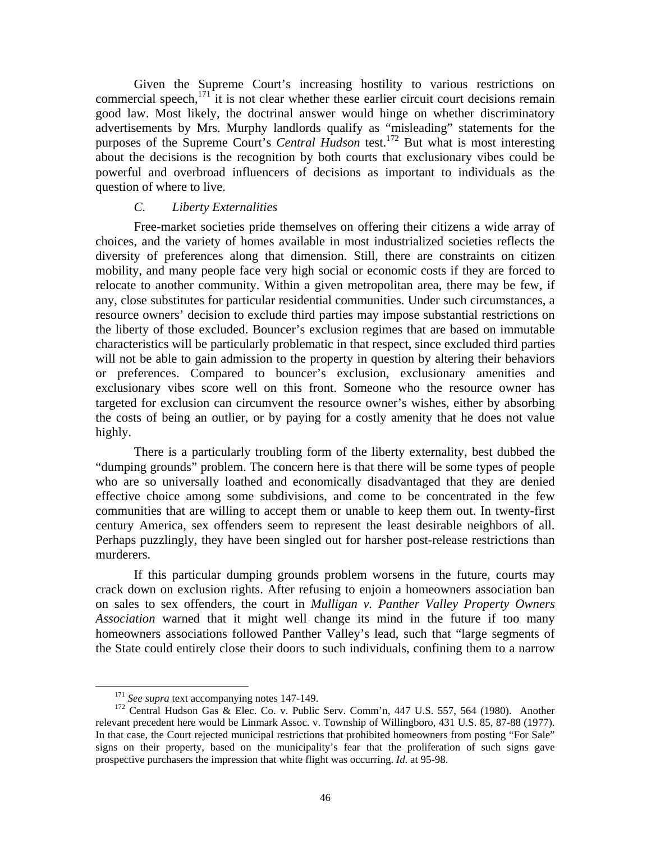Given the Supreme Court's increasing hostility to various restrictions on commercial speech, $^{171}$  it is not clear whether these earlier circuit court decisions remain good law. Most likely, the doctrinal answer would hinge on whether discriminatory advertisements by Mrs. Murphy landlords qualify as "misleading" statements for the purposes of the Supreme Court's *Central Hudson* test.172 But what is most interesting about the decisions is the recognition by both courts that exclusionary vibes could be powerful and overbroad influencers of decisions as important to individuals as the question of where to live.

#### *C. Liberty Externalities*

 Free-market societies pride themselves on offering their citizens a wide array of choices, and the variety of homes available in most industrialized societies reflects the diversity of preferences along that dimension. Still, there are constraints on citizen mobility, and many people face very high social or economic costs if they are forced to relocate to another community. Within a given metropolitan area, there may be few, if any, close substitutes for particular residential communities. Under such circumstances, a resource owners' decision to exclude third parties may impose substantial restrictions on the liberty of those excluded. Bouncer's exclusion regimes that are based on immutable characteristics will be particularly problematic in that respect, since excluded third parties will not be able to gain admission to the property in question by altering their behaviors or preferences. Compared to bouncer's exclusion, exclusionary amenities and exclusionary vibes score well on this front. Someone who the resource owner has targeted for exclusion can circumvent the resource owner's wishes, either by absorbing the costs of being an outlier, or by paying for a costly amenity that he does not value highly.

 There is a particularly troubling form of the liberty externality, best dubbed the "dumping grounds" problem. The concern here is that there will be some types of people who are so universally loathed and economically disadvantaged that they are denied effective choice among some subdivisions, and come to be concentrated in the few communities that are willing to accept them or unable to keep them out. In twenty-first century America, sex offenders seem to represent the least desirable neighbors of all. Perhaps puzzlingly, they have been singled out for harsher post-release restrictions than murderers.

 If this particular dumping grounds problem worsens in the future, courts may crack down on exclusion rights. After refusing to enjoin a homeowners association ban on sales to sex offenders, the court in *Mulligan v. Panther Valley Property Owners Association* warned that it might well change its mind in the future if too many homeowners associations followed Panther Valley's lead, such that "large segments of the State could entirely close their doors to such individuals, confining them to a narrow

<sup>&</sup>lt;sup>171</sup> *See supra* text accompanying notes 147-149.<br><sup>172</sup> Central Hudson Gas & Elec. Co. v. Public Serv. Comm'n, 447 U.S. 557, 564 (1980). Another relevant precedent here would be Linmark Assoc. v. Township of Willingboro, 431 U.S. 85, 87-88 (1977). In that case, the Court rejected municipal restrictions that prohibited homeowners from posting "For Sale" signs on their property, based on the municipality's fear that the proliferation of such signs gave prospective purchasers the impression that white flight was occurring. *Id*. at 95-98.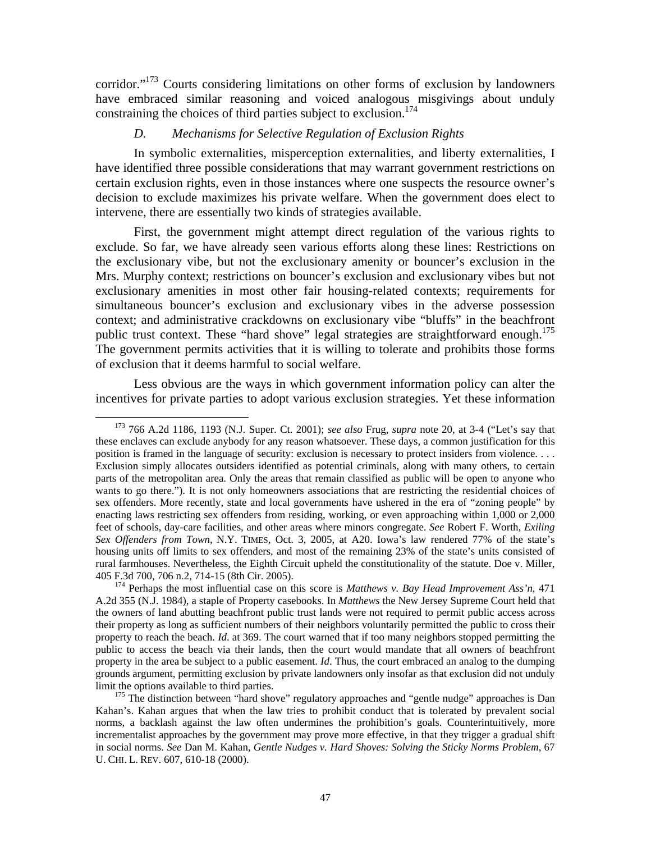corridor."173 Courts considering limitations on other forms of exclusion by landowners have embraced similar reasoning and voiced analogous misgivings about unduly constraining the choices of third parties subject to exclusion.<sup>174</sup>

#### *D. Mechanisms for Selective Regulation of Exclusion Rights*

 In symbolic externalities, misperception externalities, and liberty externalities, I have identified three possible considerations that may warrant government restrictions on certain exclusion rights, even in those instances where one suspects the resource owner's decision to exclude maximizes his private welfare. When the government does elect to intervene, there are essentially two kinds of strategies available.

 First, the government might attempt direct regulation of the various rights to exclude. So far, we have already seen various efforts along these lines: Restrictions on the exclusionary vibe, but not the exclusionary amenity or bouncer's exclusion in the Mrs. Murphy context; restrictions on bouncer's exclusion and exclusionary vibes but not exclusionary amenities in most other fair housing-related contexts; requirements for simultaneous bouncer's exclusion and exclusionary vibes in the adverse possession context; and administrative crackdowns on exclusionary vibe "bluffs" in the beachfront public trust context. These "hard shove" legal strategies are straightforward enough.<sup>175</sup> The government permits activities that it is willing to tolerate and prohibits those forms of exclusion that it deems harmful to social welfare.

 Less obvious are the ways in which government information policy can alter the incentives for private parties to adopt various exclusion strategies. Yet these information

 <sup>173 766</sup> A.2d 1186, 1193 (N.J. Super. Ct. 2001); *see also* Frug, *supra* note 20, at 3-4 ("Let's say that these enclaves can exclude anybody for any reason whatsoever. These days, a common justification for this position is framed in the language of security: exclusion is necessary to protect insiders from violence. . . . Exclusion simply allocates outsiders identified as potential criminals, along with many others, to certain parts of the metropolitan area. Only the areas that remain classified as public will be open to anyone who wants to go there."). It is not only homeowners associations that are restricting the residential choices of sex offenders. More recently, state and local governments have ushered in the era of "zoning people" by enacting laws restricting sex offenders from residing, working, or even approaching within 1,000 or 2,000 feet of schools, day-care facilities, and other areas where minors congregate. *See* Robert F. Worth, *Exiling Sex Offenders from Town*, N.Y. TIMES, Oct. 3, 2005, at A20. Iowa's law rendered 77% of the state's housing units off limits to sex offenders, and most of the remaining 23% of the state's units consisted of rural farmhouses. Nevertheless, the Eighth Circuit upheld the constitutionality of the statute. Doe v. Miller, 405 F.3d 700, 706 n.2, 714-15 (8th Cir. 2005). 174 Perhaps the most influential case on this score is *Matthews v. Bay Head Improvement Ass'n*, 471

A.2d 355 (N.J. 1984), a staple of Property casebooks. In *Matthews* the New Jersey Supreme Court held that the owners of land abutting beachfront public trust lands were not required to permit public access across their property as long as sufficient numbers of their neighbors voluntarily permitted the public to cross their property to reach the beach. *Id*. at 369. The court warned that if too many neighbors stopped permitting the public to access the beach via their lands, then the court would mandate that all owners of beachfront property in the area be subject to a public easement. *Id*. Thus, the court embraced an analog to the dumping grounds argument, permitting exclusion by private landowners only insofar as that exclusion did not unduly limit the options available to third parties.<br><sup>175</sup> The distinction between "hard shove" regulatory approaches and "gentle nudge" approaches is Dan

Kahan's. Kahan argues that when the law tries to prohibit conduct that is tolerated by prevalent social norms, a backlash against the law often undermines the prohibition's goals. Counterintuitively, more incrementalist approaches by the government may prove more effective, in that they trigger a gradual shift in social norms. *See* Dan M. Kahan, *Gentle Nudges v. Hard Shoves: Solving the Sticky Norms Problem*, 67 U. CHI. L. REV. 607, 610-18 (2000).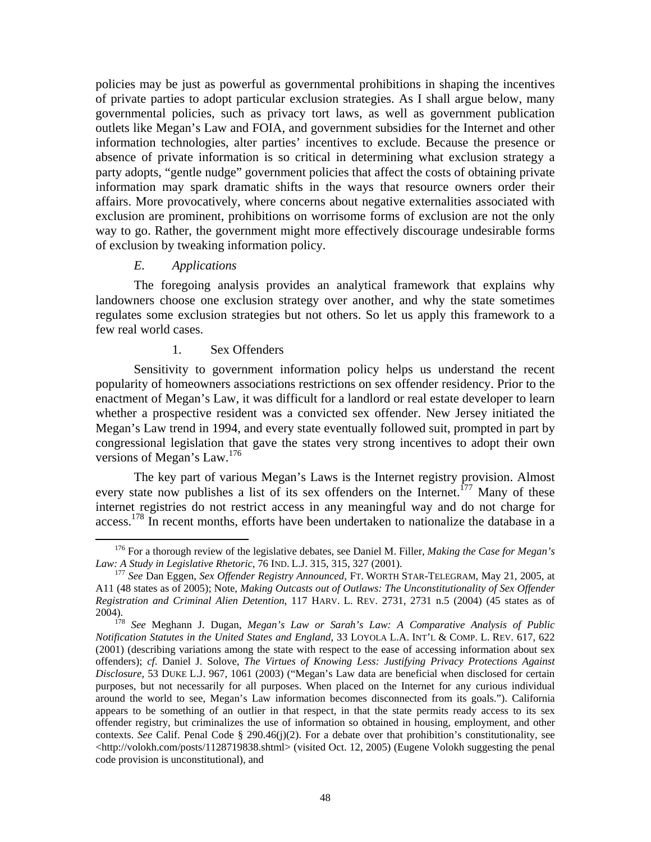policies may be just as powerful as governmental prohibitions in shaping the incentives of private parties to adopt particular exclusion strategies. As I shall argue below, many governmental policies, such as privacy tort laws, as well as government publication outlets like Megan's Law and FOIA, and government subsidies for the Internet and other information technologies, alter parties' incentives to exclude. Because the presence or absence of private information is so critical in determining what exclusion strategy a party adopts, "gentle nudge" government policies that affect the costs of obtaining private information may spark dramatic shifts in the ways that resource owners order their affairs. More provocatively, where concerns about negative externalities associated with exclusion are prominent, prohibitions on worrisome forms of exclusion are not the only way to go. Rather, the government might more effectively discourage undesirable forms of exclusion by tweaking information policy.

#### *E. Applications*

 The foregoing analysis provides an analytical framework that explains why landowners choose one exclusion strategy over another, and why the state sometimes regulates some exclusion strategies but not others. So let us apply this framework to a few real world cases.

#### 1. Sex Offenders

 Sensitivity to government information policy helps us understand the recent popularity of homeowners associations restrictions on sex offender residency. Prior to the enactment of Megan's Law, it was difficult for a landlord or real estate developer to learn whether a prospective resident was a convicted sex offender. New Jersey initiated the Megan's Law trend in 1994, and every state eventually followed suit, prompted in part by congressional legislation that gave the states very strong incentives to adopt their own versions of Megan's Law.<sup>176</sup>

 The key part of various Megan's Laws is the Internet registry provision. Almost every state now publishes a list of its sex offenders on the Internet.<sup>177</sup> Many of these internet registries do not restrict access in any meaningful way and do not charge for access.<sup>178</sup> In recent months, efforts have been undertaken to nationalize the database in a

 <sup>176</sup> For a thorough review of the legislative debates, see Daniel M. Filler, *Making the Case for Megan's Law: A Study in Legislative Rhetoric*, 76 IND. L.J. 315, 315, 327 (2001). 177 *See* Dan Eggen, *Sex Offender Registry Announced*, FT. WORTH STAR-TELEGRAM, May 21, 2005, at

A11 (48 states as of 2005); Note, *Making Outcasts out of Outlaws: The Unconstitutionality of Sex Offender Registration and Criminal Alien Detention*, 117 HARV. L. REV. 2731, 2731 n.5 (2004) (45 states as of 2004).<br><sup>178</sup> S. M. June J. Dissert Magazie Law an Sanskie Law A. Comparative Analysis of Public

<sup>2004). 178</sup> *See* Meghann J. Dugan, *Megan's Law or Sarah's Law: A Comparative Analysis of Public Notification Statutes in the United States and England*, 33 LOYOLA L.A. INT'L & COMP. L. REV. 617, 622 (2001) (describing variations among the state with respect to the ease of accessing information about sex offenders); *cf*. Daniel J. Solove, *The Virtues of Knowing Less: Justifying Privacy Protections Against Disclosure*, 53 DUKE L.J. 967, 1061 (2003) ("Megan's Law data are beneficial when disclosed for certain purposes, but not necessarily for all purposes. When placed on the Internet for any curious individual around the world to see, Megan's Law information becomes disconnected from its goals."). California appears to be something of an outlier in that respect, in that the state permits ready access to its sex offender registry, but criminalizes the use of information so obtained in housing, employment, and other contexts. *See* Calif. Penal Code § 290.46(j)(2). For a debate over that prohibition's constitutionality, see <http://volokh.com/posts/1128719838.shtml> (visited Oct. 12, 2005) (Eugene Volokh suggesting the penal code provision is unconstitutional), and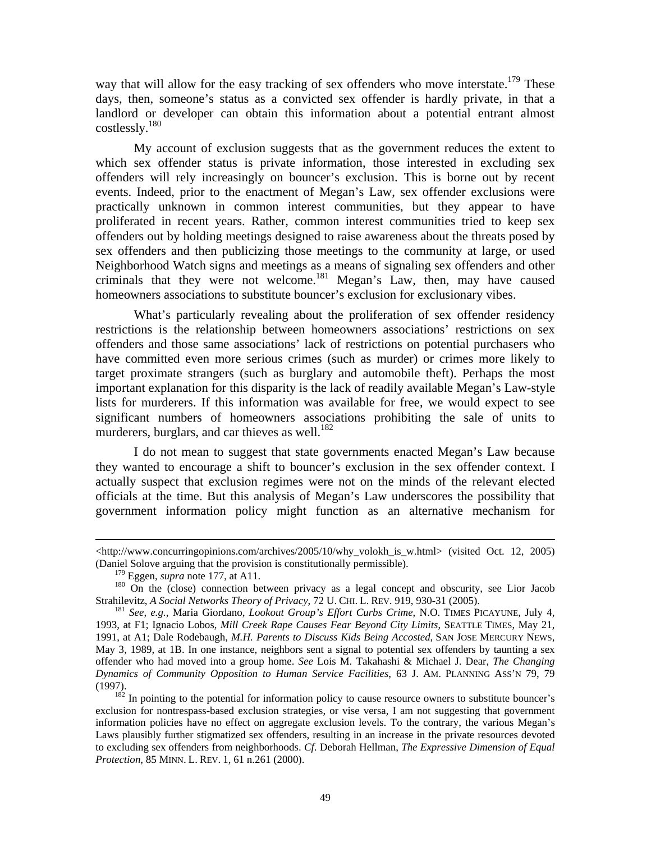way that will allow for the easy tracking of sex offenders who move interstate.<sup>179</sup> These days, then, someone's status as a convicted sex offender is hardly private, in that a landlord or developer can obtain this information about a potential entrant almost  $costlessly.<sup>180</sup>$ 

 My account of exclusion suggests that as the government reduces the extent to which sex offender status is private information, those interested in excluding sex offenders will rely increasingly on bouncer's exclusion. This is borne out by recent events. Indeed, prior to the enactment of Megan's Law, sex offender exclusions were practically unknown in common interest communities, but they appear to have proliferated in recent years. Rather, common interest communities tried to keep sex offenders out by holding meetings designed to raise awareness about the threats posed by sex offenders and then publicizing those meetings to the community at large, or used Neighborhood Watch signs and meetings as a means of signaling sex offenders and other criminals that they were not welcome.<sup>181</sup> Megan's Law, then, may have caused homeowners associations to substitute bouncer's exclusion for exclusionary vibes.

 What's particularly revealing about the proliferation of sex offender residency restrictions is the relationship between homeowners associations' restrictions on sex offenders and those same associations' lack of restrictions on potential purchasers who have committed even more serious crimes (such as murder) or crimes more likely to target proximate strangers (such as burglary and automobile theft). Perhaps the most important explanation for this disparity is the lack of readily available Megan's Law-style lists for murderers. If this information was available for free, we would expect to see significant numbers of homeowners associations prohibiting the sale of units to murderers, burglars, and car thieves as well.<sup>182</sup>

 I do not mean to suggest that state governments enacted Megan's Law because they wanted to encourage a shift to bouncer's exclusion in the sex offender context. I actually suspect that exclusion regimes were not on the minds of the relevant elected officials at the time. But this analysis of Megan's Law underscores the possibility that government information policy might function as an alternative mechanism for

 $\langle$ http://www.concurringopinions.com/archives/2005/10/why\_volokh\_is\_w.html> (visited Oct. 12, 2005) (Daniel Solove arguing that the provision is constitutionally permissible).<br><sup>179</sup> Eggen, *supra* note 177, at A11.

<sup>&</sup>lt;sup>180</sup> On the (close) connection between privacy as a legal concept and obscurity, see Lior Jacob Strahilevitz, *A Social Networks Theory of Privacy*, 72 U. CHI. L. REV. 919, 930-31 (2005).

<sup>&</sup>lt;sup>181</sup> See, e.g., Maria Giordano, *Lookout Group's Effort Curbs Crime*, N.O. TIMES PICAYUNE, July 4, 1993, at F1; Ignacio Lobos, *Mill Creek Rape Causes Fear Beyond City Limits*, SEATTLE TIMES, May 21, 1991, at A1; Dale Rodebaugh, *M.H. Parents to Discuss Kids Being Accosted*, SAN JOSE MERCURY NEWS, May 3, 1989, at 1B. In one instance, neighbors sent a signal to potential sex offenders by taunting a sex offender who had moved into a group home. *See* Lois M. Takahashi & Michael J. Dear, *The Changing Dynamics of Community Opposition to Human Service Facilities*, 63 J. AM. PLANNING ASS'N 79, 79 (1997).<br><sup>182</sup> In pointing to the potential for information policy to cause resource owners to substitute bouncer's

exclusion for nontrespass-based exclusion strategies, or vise versa, I am not suggesting that government information policies have no effect on aggregate exclusion levels. To the contrary, the various Megan's Laws plausibly further stigmatized sex offenders, resulting in an increase in the private resources devoted to excluding sex offenders from neighborhoods. *Cf*. Deborah Hellman, *The Expressive Dimension of Equal Protection*, 85 MINN. L. REV. 1, 61 n.261 (2000).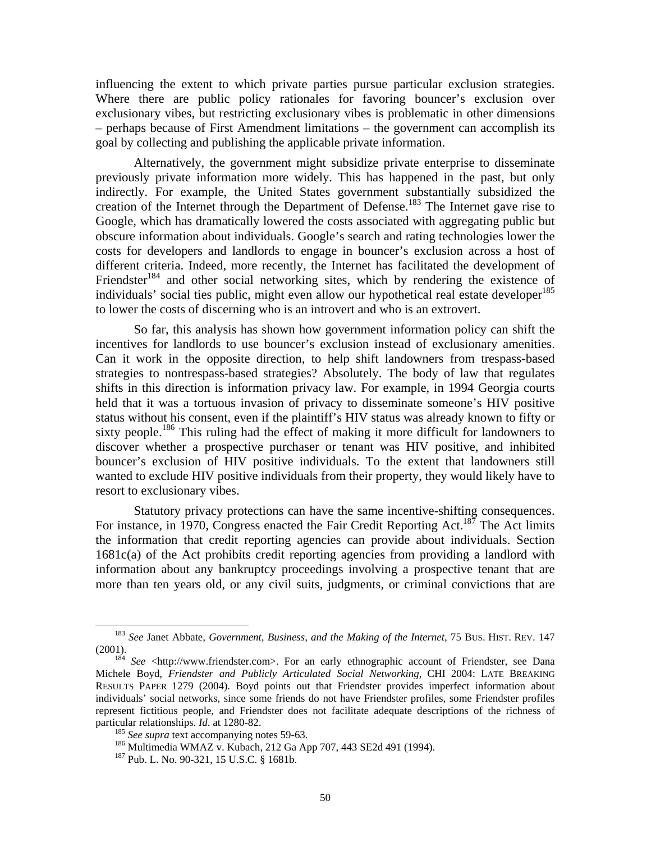influencing the extent to which private parties pursue particular exclusion strategies. Where there are public policy rationales for favoring bouncer's exclusion over exclusionary vibes, but restricting exclusionary vibes is problematic in other dimensions – perhaps because of First Amendment limitations – the government can accomplish its goal by collecting and publishing the applicable private information.

 Alternatively, the government might subsidize private enterprise to disseminate previously private information more widely. This has happened in the past, but only indirectly. For example, the United States government substantially subsidized the creation of the Internet through the Department of Defense.<sup>183</sup> The Internet gave rise to Google, which has dramatically lowered the costs associated with aggregating public but obscure information about individuals. Google's search and rating technologies lower the costs for developers and landlords to engage in bouncer's exclusion across a host of different criteria. Indeed, more recently, the Internet has facilitated the development of Friendster<sup>184</sup> and other social networking sites, which by rendering the existence of individuals' social ties public, might even allow our hypothetical real estate developer<sup>185</sup> to lower the costs of discerning who is an introvert and who is an extrovert.

 So far, this analysis has shown how government information policy can shift the incentives for landlords to use bouncer's exclusion instead of exclusionary amenities. Can it work in the opposite direction, to help shift landowners from trespass-based strategies to nontrespass-based strategies? Absolutely. The body of law that regulates shifts in this direction is information privacy law. For example, in 1994 Georgia courts held that it was a tortuous invasion of privacy to disseminate someone's HIV positive status without his consent, even if the plaintiff's HIV status was already known to fifty or sixty people.<sup>186</sup> This ruling had the effect of making it more difficult for landowners to discover whether a prospective purchaser or tenant was HIV positive, and inhibited bouncer's exclusion of HIV positive individuals. To the extent that landowners still wanted to exclude HIV positive individuals from their property, they would likely have to resort to exclusionary vibes.

 Statutory privacy protections can have the same incentive-shifting consequences. For instance, in 1970, Congress enacted the Fair Credit Reporting Act.<sup>187</sup> The Act limits the information that credit reporting agencies can provide about individuals. Section 1681c(a) of the Act prohibits credit reporting agencies from providing a landlord with information about any bankruptcy proceedings involving a prospective tenant that are more than ten years old, or any civil suits, judgments, or criminal convictions that are

 <sup>183</sup> *See* Janet Abbate, *Government, Business, and the Making of the Internet*, 75 BUS. HIST. REV. 147 (2001). 184 *See* <http://www.friendster.com>. For an early ethnographic account of Friendster, see Dana

Michele Boyd, *Friendster and Publicly Articulated Social Networking*, CHI 2004: LATE BREAKING RESULTS PAPER 1279 (2004). Boyd points out that Friendster provides imperfect information about individuals' social networks, since some friends do not have Friendster profiles, some Friendster profiles represent fictitious people, and Friendster does not facilitate adequate descriptions of the richness of particular relationships. *Id.* at 1280-82.<br><sup>185</sup> *See supra* text accompanying notes 59-63.<br><sup>186</sup> Multimedia WMAZ v. Kubach, 212 Ga App 707, 443 SE2d 491 (1994).<br><sup>187</sup> Pub. L. No. 90-321, 15 U.S.C. § 1681b.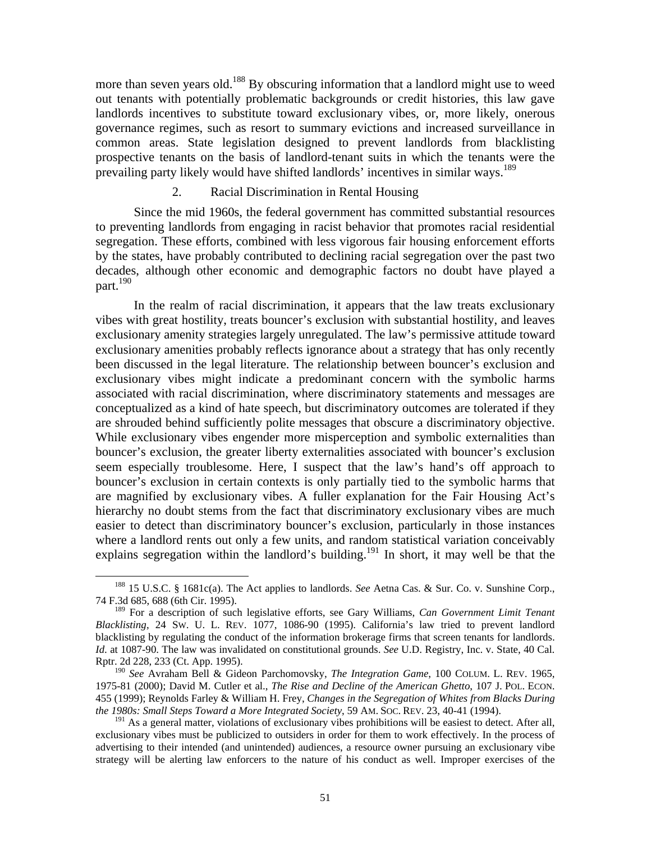more than seven years old.<sup>188</sup> By obscuring information that a landlord might use to weed out tenants with potentially problematic backgrounds or credit histories, this law gave landlords incentives to substitute toward exclusionary vibes, or, more likely, onerous governance regimes, such as resort to summary evictions and increased surveillance in common areas. State legislation designed to prevent landlords from blacklisting prospective tenants on the basis of landlord-tenant suits in which the tenants were the prevailing party likely would have shifted landlords' incentives in similar ways.<sup>189</sup>

#### 2. Racial Discrimination in Rental Housing

 Since the mid 1960s, the federal government has committed substantial resources to preventing landlords from engaging in racist behavior that promotes racial residential segregation. These efforts, combined with less vigorous fair housing enforcement efforts by the states, have probably contributed to declining racial segregation over the past two decades, although other economic and demographic factors no doubt have played a part. $190$ 

 In the realm of racial discrimination, it appears that the law treats exclusionary vibes with great hostility, treats bouncer's exclusion with substantial hostility, and leaves exclusionary amenity strategies largely unregulated. The law's permissive attitude toward exclusionary amenities probably reflects ignorance about a strategy that has only recently been discussed in the legal literature. The relationship between bouncer's exclusion and exclusionary vibes might indicate a predominant concern with the symbolic harms associated with racial discrimination, where discriminatory statements and messages are conceptualized as a kind of hate speech, but discriminatory outcomes are tolerated if they are shrouded behind sufficiently polite messages that obscure a discriminatory objective. While exclusionary vibes engender more misperception and symbolic externalities than bouncer's exclusion, the greater liberty externalities associated with bouncer's exclusion seem especially troublesome. Here, I suspect that the law's hand's off approach to bouncer's exclusion in certain contexts is only partially tied to the symbolic harms that are magnified by exclusionary vibes. A fuller explanation for the Fair Housing Act's hierarchy no doubt stems from the fact that discriminatory exclusionary vibes are much easier to detect than discriminatory bouncer's exclusion, particularly in those instances where a landlord rents out only a few units, and random statistical variation conceivably explains segregation within the landlord's building.<sup>191</sup> In short, it may well be that the

 <sup>188 15</sup> U.S.C. § 1681c(a). The Act applies to landlords. *See* Aetna Cas. & Sur. Co. v. Sunshine Corp., 74 F.3d 685, 688 (6th Cir. 1995).

<sup>189</sup> For a description of such legislative efforts, see Gary Williams, *Can Government Limit Tenant Blacklisting*, 24 SW. U. L. REV. 1077, 1086-90 (1995). California's law tried to prevent landlord blacklisting by regulating the conduct of the information brokerage firms that screen tenants for landlords. *Id*. at 1087-90. The law was invalidated on constitutional grounds. *See* U.D. Registry, Inc. v. State, 40 Cal. Rptr. 2d 228, 233 (Ct. App. 1995).<sup>190</sup> *See* Avraham Bell & Gideon Parchomovsky, *The Integration Game*, 100 COLUM. L. REV. 1965,

<sup>1975-81 (2000);</sup> David M. Cutler et al., *The Rise and Decline of the American Ghetto*, 107 J. POL. ECON. 455 (1999); Reynolds Farley & William H. Frey, *Changes in the Segregation of Whites from Blacks During the 1980s: Small Steps Toward a More Integrated Society*, 59 AM. SOC. REV. 23, 40-41 (1994).

 $191$  As a general matter, violations of exclusionary vibes prohibitions will be easiest to detect. After all, exclusionary vibes must be publicized to outsiders in order for them to work effectively. In the process of advertising to their intended (and unintended) audiences, a resource owner pursuing an exclusionary vibe strategy will be alerting law enforcers to the nature of his conduct as well. Improper exercises of the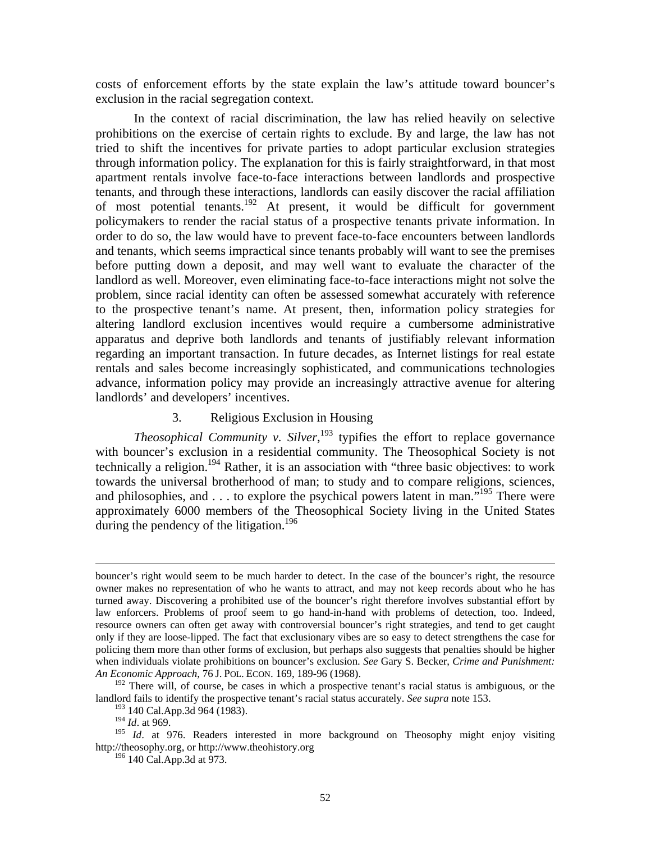costs of enforcement efforts by the state explain the law's attitude toward bouncer's exclusion in the racial segregation context.

 In the context of racial discrimination, the law has relied heavily on selective prohibitions on the exercise of certain rights to exclude. By and large, the law has not tried to shift the incentives for private parties to adopt particular exclusion strategies through information policy. The explanation for this is fairly straightforward, in that most apartment rentals involve face-to-face interactions between landlords and prospective tenants, and through these interactions, landlords can easily discover the racial affiliation of most potential tenants.192 At present, it would be difficult for government policymakers to render the racial status of a prospective tenants private information. In order to do so, the law would have to prevent face-to-face encounters between landlords and tenants, which seems impractical since tenants probably will want to see the premises before putting down a deposit, and may well want to evaluate the character of the landlord as well. Moreover, even eliminating face-to-face interactions might not solve the problem, since racial identity can often be assessed somewhat accurately with reference to the prospective tenant's name. At present, then, information policy strategies for altering landlord exclusion incentives would require a cumbersome administrative apparatus and deprive both landlords and tenants of justifiably relevant information regarding an important transaction. In future decades, as Internet listings for real estate rentals and sales become increasingly sophisticated, and communications technologies advance, information policy may provide an increasingly attractive avenue for altering landlords' and developers' incentives.

#### 3. Religious Exclusion in Housing

*Theosophical Community v. Silver*, 193 typifies the effort to replace governance with bouncer's exclusion in a residential community. The Theosophical Society is not technically a religion.<sup>194</sup> Rather, it is an association with "three basic objectives: to work towards the universal brotherhood of man; to study and to compare religions, sciences, and philosophies, and  $\dots$  to explore the psychical powers latent in man.<sup> $195$ </sup> There were approximately 6000 members of the Theosophical Society living in the United States during the pendency of the litigation.<sup>196</sup>

bouncer's right would seem to be much harder to detect. In the case of the bouncer's right, the resource owner makes no representation of who he wants to attract, and may not keep records about who he has turned away. Discovering a prohibited use of the bouncer's right therefore involves substantial effort by law enforcers. Problems of proof seem to go hand-in-hand with problems of detection, too. Indeed, resource owners can often get away with controversial bouncer's right strategies, and tend to get caught only if they are loose-lipped. The fact that exclusionary vibes are so easy to detect strengthens the case for policing them more than other forms of exclusion, but perhaps also suggests that penalties should be higher when individuals violate prohibitions on bouncer's exclusion. *See* Gary S. Becker, *Crime and Punishment: An Economic Approach*, 76 J. POL. ECON. 169, 189-96 (1968).

 $192$  There will, of course, be cases in which a prospective tenant's racial status is ambiguous, or the landlord fails to identify the prospective tenant's racial status accurately. *See supra* note 153.

<sup>&</sup>lt;sup>193</sup> 140 Cal.App.3d 964 (1983).

<sup>194</sup> *Id*. at 969.

<sup>&</sup>lt;sup>195</sup> *Id.* at 976. Readers interested in more background on Theosophy might enjoy visiting http://theosophy.org, or http://www.theohistory.org

 $196$  140 Cal. App. 3d at 973.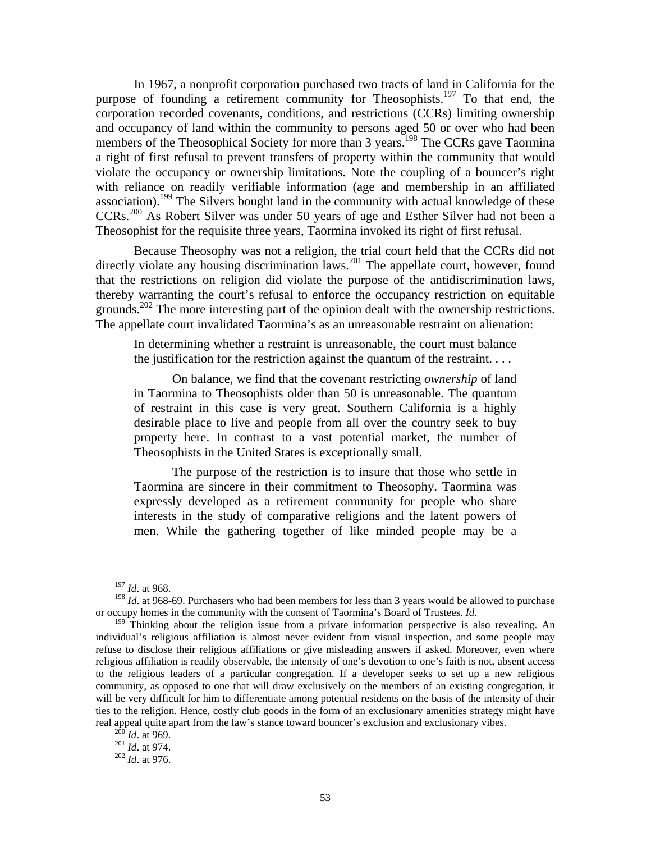In 1967, a nonprofit corporation purchased two tracts of land in California for the purpose of founding a retirement community for Theosophists.<sup>197</sup> To that end, the corporation recorded covenants, conditions, and restrictions (CCRs) limiting ownership and occupancy of land within the community to persons aged 50 or over who had been members of the Theosophical Society for more than 3 years.<sup>198</sup> The CCRs gave Taormina a right of first refusal to prevent transfers of property within the community that would violate the occupancy or ownership limitations. Note the coupling of a bouncer's right with reliance on readily verifiable information (age and membership in an affiliated association).<sup>199</sup> The Silvers bought land in the community with actual knowledge of these CCRs.200 As Robert Silver was under 50 years of age and Esther Silver had not been a Theosophist for the requisite three years, Taormina invoked its right of first refusal.

Because Theosophy was not a religion, the trial court held that the CCRs did not directly violate any housing discrimination laws.<sup>201</sup> The appellate court, however, found that the restrictions on religion did violate the purpose of the antidiscrimination laws, thereby warranting the court's refusal to enforce the occupancy restriction on equitable grounds.<sup>202</sup> The more interesting part of the opinion dealt with the ownership restrictions. The appellate court invalidated Taormina's as an unreasonable restraint on alienation:

In determining whether a restraint is unreasonable, the court must balance the justification for the restriction against the quantum of the restraint.  $\dots$ 

 On balance, we find that the covenant restricting *ownership* of land in Taormina to Theosophists older than 50 is unreasonable. The quantum of restraint in this case is very great. Southern California is a highly desirable place to live and people from all over the country seek to buy property here. In contrast to a vast potential market, the number of Theosophists in the United States is exceptionally small.

 The purpose of the restriction is to insure that those who settle in Taormina are sincere in their commitment to Theosophy. Taormina was expressly developed as a retirement community for people who share interests in the study of comparative religions and the latent powers of men. While the gathering together of like minded people may be a

 <sup>197</sup> *Id*. at 968.

<sup>&</sup>lt;sup>198</sup> *Id.* at 968-69. Purchasers who had been members for less than 3 years would be allowed to purchase or occupy homes in the community with the consent of Taormina's Board of Trustees. *Id*. <sup>199</sup> Thinking about the religion issue from a private information perspective is also revealing. An

individual's religious affiliation is almost never evident from visual inspection, and some people may refuse to disclose their religious affiliations or give misleading answers if asked. Moreover, even where religious affiliation is readily observable, the intensity of one's devotion to one's faith is not, absent access to the religious leaders of a particular congregation. If a developer seeks to set up a new religious community, as opposed to one that will draw exclusively on the members of an existing congregation, it will be very difficult for him to differentiate among potential residents on the basis of the intensity of their ties to the religion. Hence, costly club goods in the form of an exclusionary amenities strategy might have real appeal quite apart from the law's stance toward bouncer's exclusion and exclusionary vibes.<br><sup>200</sup> *Id*. at 969.<br><sup>201</sup> *Id*. at 974.<br><sup>202</sup> *Id*. at 976.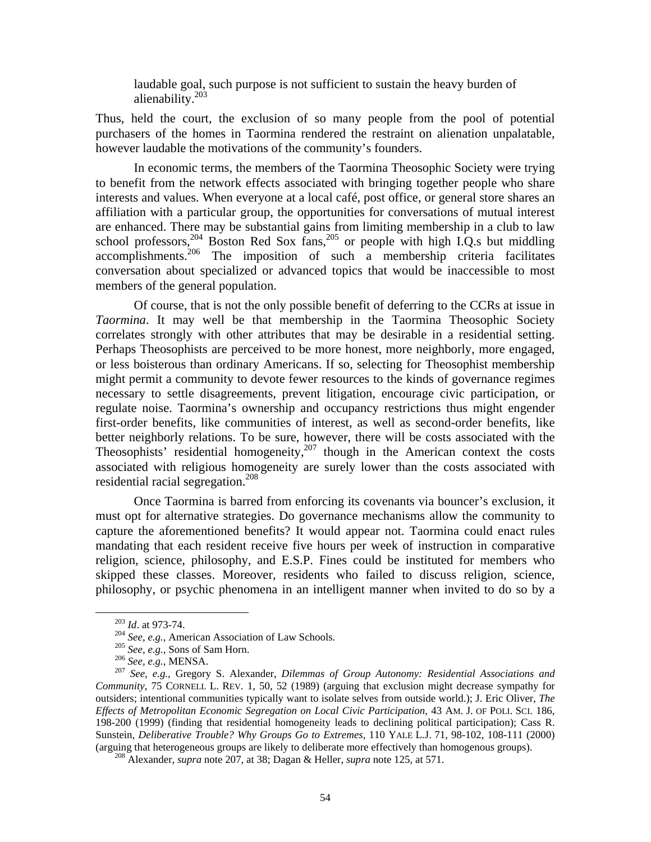laudable goal, such purpose is not sufficient to sustain the heavy burden of alienability.203

Thus, held the court, the exclusion of so many people from the pool of potential purchasers of the homes in Taormina rendered the restraint on alienation unpalatable, however laudable the motivations of the community's founders.

 In economic terms, the members of the Taormina Theosophic Society were trying to benefit from the network effects associated with bringing together people who share interests and values. When everyone at a local café, post office, or general store shares an affiliation with a particular group, the opportunities for conversations of mutual interest are enhanced. There may be substantial gains from limiting membership in a club to law school professors,  $204$  Boston Red Sox fans,  $205$  or people with high I.Q.s but middling accomplishments.<sup>206</sup> The imposition of such a membership criteria facilitates conversation about specialized or advanced topics that would be inaccessible to most members of the general population.

Of course, that is not the only possible benefit of deferring to the CCRs at issue in *Taormina*. It may well be that membership in the Taormina Theosophic Society correlates strongly with other attributes that may be desirable in a residential setting. Perhaps Theosophists are perceived to be more honest, more neighborly, more engaged, or less boisterous than ordinary Americans. If so, selecting for Theosophist membership might permit a community to devote fewer resources to the kinds of governance regimes necessary to settle disagreements, prevent litigation, encourage civic participation, or regulate noise. Taormina's ownership and occupancy restrictions thus might engender first-order benefits, like communities of interest, as well as second-order benefits, like better neighborly relations. To be sure, however, there will be costs associated with the Theosophists' residential homogeneity, $207$  though in the American context the costs associated with religious homogeneity are surely lower than the costs associated with residential racial segregation.<sup>208</sup>

Once Taormina is barred from enforcing its covenants via bouncer's exclusion, it must opt for alternative strategies. Do governance mechanisms allow the community to capture the aforementioned benefits? It would appear not. Taormina could enact rules mandating that each resident receive five hours per week of instruction in comparative religion, science, philosophy, and E.S.P. Fines could be instituted for members who skipped these classes. Moreover, residents who failed to discuss religion, science, philosophy, or psychic phenomena in an intelligent manner when invited to do so by a

<sup>&</sup>lt;sup>203</sup> *Id.* at 973-74.<br><sup>204</sup> *See, e.g.*, American Association of Law Schools.<br><sup>205</sup> *See, e.g.*, Sons of Sam Horn.<br><sup>205</sup> *See, e.g.*, MENSA.<br><sup>206</sup> *See, e.g.*, Gregory S. Alexander, *Dilemmas of Group Autonomy: Residenti Community*, 75 CORNELL L. REV. 1, 50, 52 (1989) (arguing that exclusion might decrease sympathy for outsiders; intentional communities typically want to isolate selves from outside world.); J. Eric Oliver, *The Effects of Metropolitan Economic Segregation on Local Civic Participation*, 43 AM. J. OF POLI. SCI. 186, 198-200 (1999) (finding that residential homogeneity leads to declining political participation); Cass R. Sunstein, *Deliberative Trouble? Why Groups Go to Extremes*, 110 YALE L.J. 71, 98-102, 108-111 (2000) (arguing that heterogeneous groups are likely to deliberate more effectively than homogenous groups). 208 Alexander, *supra* note 207, at 38; Dagan & Heller, *supra* note 125, at 571.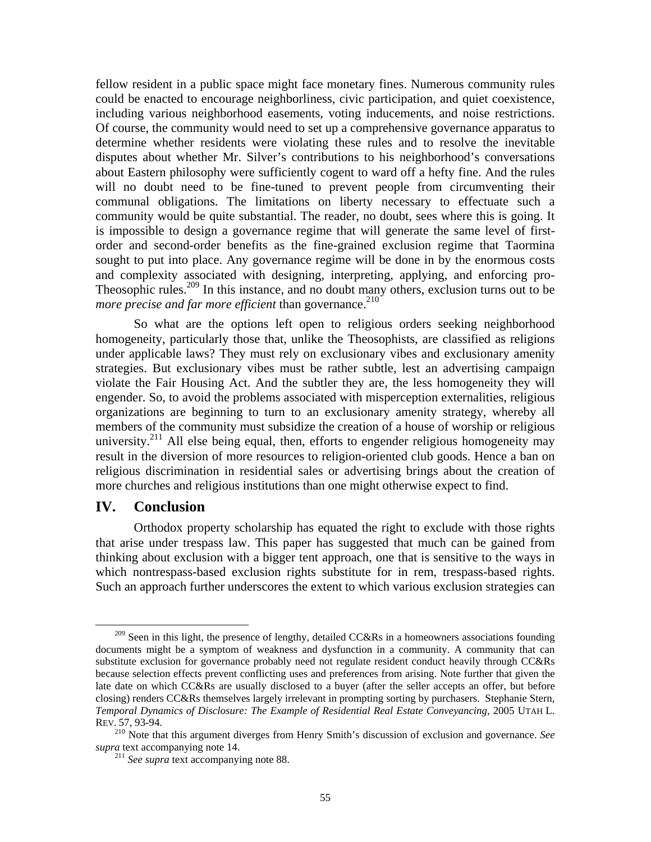fellow resident in a public space might face monetary fines. Numerous community rules could be enacted to encourage neighborliness, civic participation, and quiet coexistence, including various neighborhood easements, voting inducements, and noise restrictions. Of course, the community would need to set up a comprehensive governance apparatus to determine whether residents were violating these rules and to resolve the inevitable disputes about whether Mr. Silver's contributions to his neighborhood's conversations about Eastern philosophy were sufficiently cogent to ward off a hefty fine. And the rules will no doubt need to be fine-tuned to prevent people from circumventing their communal obligations. The limitations on liberty necessary to effectuate such a community would be quite substantial. The reader, no doubt, sees where this is going. It is impossible to design a governance regime that will generate the same level of firstorder and second-order benefits as the fine-grained exclusion regime that Taormina sought to put into place. Any governance regime will be done in by the enormous costs and complexity associated with designing, interpreting, applying, and enforcing pro-Theosophic rules.<sup>209</sup> In this instance, and no doubt many others, exclusion turns out to be *more precise and far more efficient* than governance.<sup>210</sup>

So what are the options left open to religious orders seeking neighborhood homogeneity, particularly those that, unlike the Theosophists, are classified as religions under applicable laws? They must rely on exclusionary vibes and exclusionary amenity strategies. But exclusionary vibes must be rather subtle, lest an advertising campaign violate the Fair Housing Act. And the subtler they are, the less homogeneity they will engender. So, to avoid the problems associated with misperception externalities, religious organizations are beginning to turn to an exclusionary amenity strategy, whereby all members of the community must subsidize the creation of a house of worship or religious university.<sup>211</sup> All else being equal, then, efforts to engender religious homogeneity may result in the diversion of more resources to religion-oriented club goods. Hence a ban on religious discrimination in residential sales or advertising brings about the creation of more churches and religious institutions than one might otherwise expect to find.

#### **IV. Conclusion**

 Orthodox property scholarship has equated the right to exclude with those rights that arise under trespass law. This paper has suggested that much can be gained from thinking about exclusion with a bigger tent approach, one that is sensitive to the ways in which nontrespass-based exclusion rights substitute for in rem, trespass-based rights. Such an approach further underscores the extent to which various exclusion strategies can

 $209$  Seen in this light, the presence of lengthy, detailed CC&Rs in a homeowners associations founding documents might be a symptom of weakness and dysfunction in a community. A community that can substitute exclusion for governance probably need not regulate resident conduct heavily through CC&Rs because selection effects prevent conflicting uses and preferences from arising. Note further that given the late date on which CC&Rs are usually disclosed to a buyer (after the seller accepts an offer, but before closing) renders CC&Rs themselves largely irrelevant in prompting sorting by purchasers. Stephanie Stern, *Temporal Dynamics of Disclosure: The Example of Residential Real Estate Conveyancing*, 2005 UTAH L. REV. 57, 93-94.

<sup>210</sup> Note that this argument diverges from Henry Smith's discussion of exclusion and governance. *See supra* text accompanying note 14. 211 *See supra* text accompanying note 88.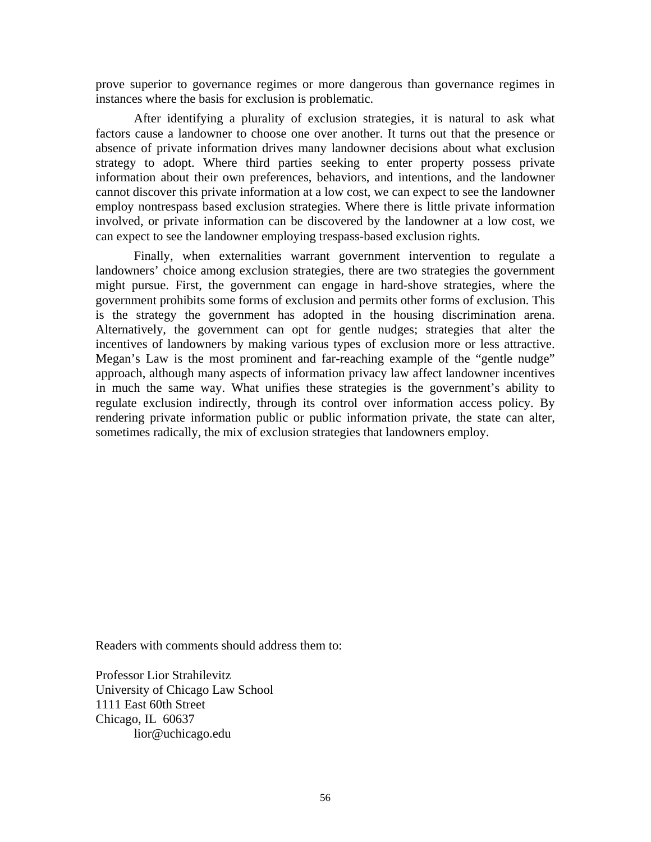prove superior to governance regimes or more dangerous than governance regimes in instances where the basis for exclusion is problematic.

 After identifying a plurality of exclusion strategies, it is natural to ask what factors cause a landowner to choose one over another. It turns out that the presence or absence of private information drives many landowner decisions about what exclusion strategy to adopt. Where third parties seeking to enter property possess private information about their own preferences, behaviors, and intentions, and the landowner cannot discover this private information at a low cost, we can expect to see the landowner employ nontrespass based exclusion strategies. Where there is little private information involved, or private information can be discovered by the landowner at a low cost, we can expect to see the landowner employing trespass-based exclusion rights.

 Finally, when externalities warrant government intervention to regulate a landowners' choice among exclusion strategies, there are two strategies the government might pursue. First, the government can engage in hard-shove strategies, where the government prohibits some forms of exclusion and permits other forms of exclusion. This is the strategy the government has adopted in the housing discrimination arena. Alternatively, the government can opt for gentle nudges; strategies that alter the incentives of landowners by making various types of exclusion more or less attractive. Megan's Law is the most prominent and far-reaching example of the "gentle nudge" approach, although many aspects of information privacy law affect landowner incentives in much the same way. What unifies these strategies is the government's ability to regulate exclusion indirectly, through its control over information access policy. By rendering private information public or public information private, the state can alter, sometimes radically, the mix of exclusion strategies that landowners employ.

Readers with comments should address them to:

Professor Lior Strahilevitz University of Chicago Law School 1111 East 60th Street Chicago, IL 60637 lior@uchicago.edu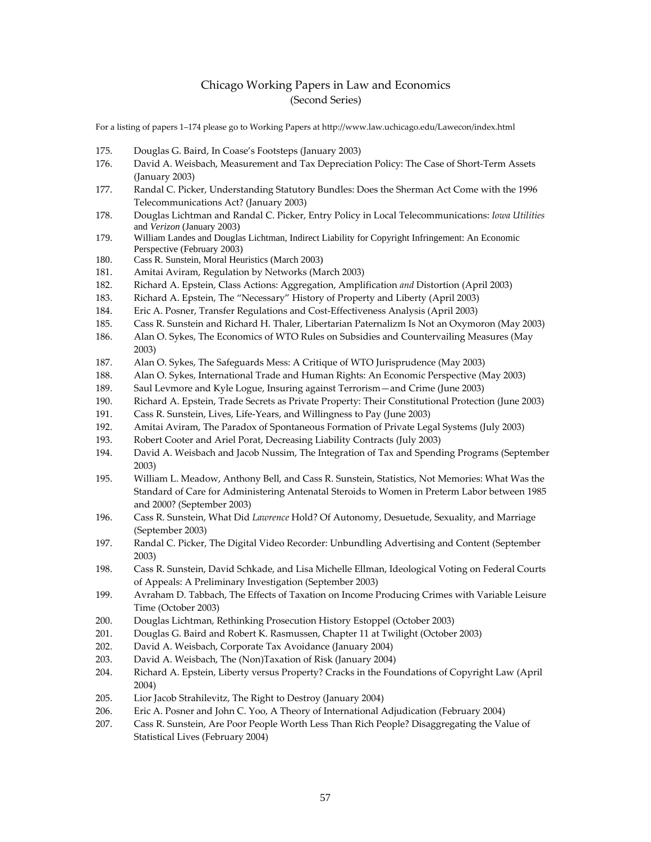#### Chicago Working Papers in Law and Economics (Second Series)

For a listing of papers 1–174 please go to Working Papers at http://www.law.uchicago.edu/Lawecon/index.html

- 175. Douglas G. Baird, In Coase's Footsteps (January 2003)
- 176. David A. Weisbach, Measurement and Tax Depreciation Policy: The Case of Short-Term Assets (January 2003)
- 177. Randal C. Picker, Understanding Statutory Bundles: Does the Sherman Act Come with the 1996 Telecommunications Act? (January 2003)
- 178. Douglas Lichtman and Randal C. Picker, Entry Policy in Local Telecommunications: *Iowa Utilities* and *Verizon* (January 2003)
- 179. William Landes and Douglas Lichtman, Indirect Liability for Copyright Infringement: An Economic Perspective (February 2003)
- 180. Cass R. Sunstein, Moral Heuristics (March 2003)
- 181. Amitai Aviram, Regulation by Networks (March 2003)
- 182. Richard A. Epstein, Class Actions: Aggregation, Amplification *and* Distortion (April 2003)
- 183. Richard A. Epstein, The "Necessary" History of Property and Liberty (April 2003)
- 184. Eric A. Posner, Transfer Regulations and Cost‐Effectiveness Analysis (April 2003)
- 185. Cass R. Sunstein and Richard H. Thaler, Libertarian Paternalizm Is Not an Oxymoron (May 2003)
- 186. Alan O. Sykes, The Economics of WTO Rules on Subsidies and Countervailing Measures (May 2003)
- 187. Alan O. Sykes, The Safeguards Mess: A Critique of WTO Jurisprudence (May 2003)
- 188. Alan O. Sykes, International Trade and Human Rights: An Economic Perspective (May 2003)
- 189. Saul Levmore and Kyle Logue, Insuring against Terrorism—and Crime (June 2003)
- 190. Richard A. Epstein, Trade Secrets as Private Property: Their Constitutional Protection (June 2003)
- 191. Cass R. Sunstein, Lives, Life-Years, and Willingness to Pay (June 2003)
- 192. Amitai Aviram, The Paradox of Spontaneous Formation of Private Legal Systems (July 2003)
- 193. Robert Cooter and Ariel Porat, Decreasing Liability Contracts (July 2003)
- 194. David A. Weisbach and Jacob Nussim, The Integration of Tax and Spending Programs (September 2003)
- 195. William L. Meadow, Anthony Bell, and Cass R. Sunstein, Statistics, Not Memories: What Was the Standard of Care for Administering Antenatal Steroids to Women in Preterm Labor between 1985 and 2000? (September 2003)
- 196. Cass R. Sunstein, What Did *Lawrence* Hold? Of Autonomy, Desuetude, Sexuality, and Marriage (September 2003)
- 197. Randal C. Picker, The Digital Video Recorder: Unbundling Advertising and Content (September 2003)
- 198. Cass R. Sunstein, David Schkade, and Lisa Michelle Ellman, Ideological Voting on Federal Courts of Appeals: A Preliminary Investigation (September 2003)
- 199. Avraham D. Tabbach, The Effects of Taxation on Income Producing Crimes with Variable Leisure Time (October 2003)
- 200. Douglas Lichtman, Rethinking Prosecution History Estoppel (October 2003)
- 201. Douglas G. Baird and Robert K. Rasmussen, Chapter 11 at Twilight (October 2003)
- 202. David A. Weisbach, Corporate Tax Avoidance (January 2004)
- 203. David A. Weisbach, The (Non)Taxation of Risk (January 2004)
- 204. Richard A. Epstein, Liberty versus Property? Cracks in the Foundations of Copyright Law (April 2004)
- 205. Lior Jacob Strahilevitz, The Right to Destroy (January 2004)
- 206. Eric A. Posner and John C. Yoo, A Theory of International Adjudication (February 2004)
- 207. Cass R. Sunstein, Are Poor People Worth Less Than Rich People? Disaggregating the Value of Statistical Lives (February 2004)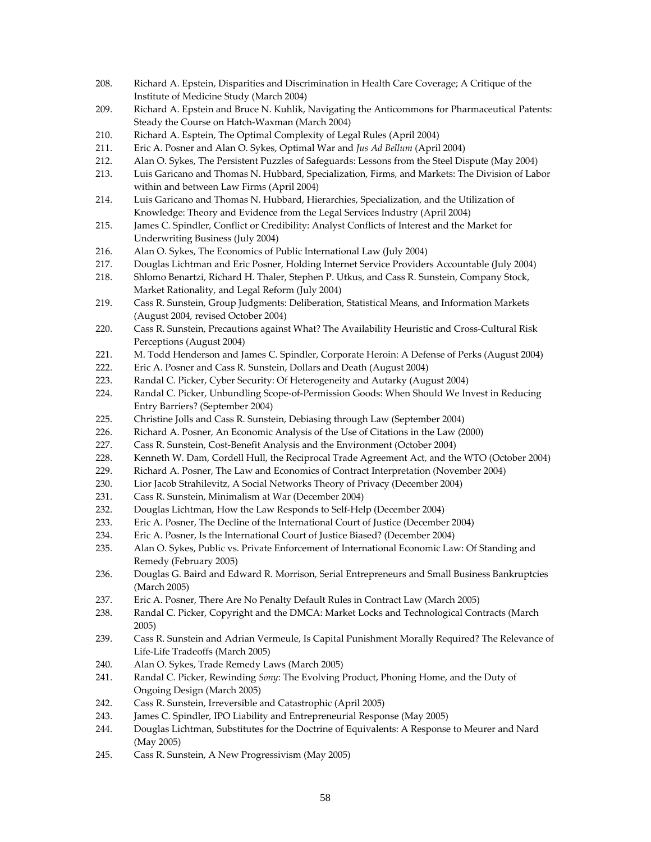- 208. Richard A. Epstein, Disparities and Discrimination in Health Care Coverage; A Critique of the Institute of Medicine Study (March 2004)
- 209. Richard A. Epstein and Bruce N. Kuhlik, Navigating the Anticommons for Pharmaceutical Patents: Steady the Course on Hatch‐Waxman (March 2004)
- 210. Richard A. Esptein, The Optimal Complexity of Legal Rules (April 2004)
- 211. Eric A. Posner and Alan O. Sykes, Optimal War and *Jus Ad Bellum* (April 2004)
- 212. Alan O. Sykes, The Persistent Puzzles of Safeguards: Lessons from the Steel Dispute (May 2004)
- 213. Luis Garicano and Thomas N. Hubbard, Specialization, Firms, and Markets: The Division of Labor within and between Law Firms (April 2004)
- 214. Luis Garicano and Thomas N. Hubbard, Hierarchies, Specialization, and the Utilization of Knowledge: Theory and Evidence from the Legal Services Industry (April 2004)
- 215. James C. Spindler, Conflict or Credibility: Analyst Conflicts of Interest and the Market for Underwriting Business (July 2004)
- 216. Alan O. Sykes, The Economics of Public International Law (July 2004)
- 217. Douglas Lichtman and Eric Posner, Holding Internet Service Providers Accountable (July 2004)
- 218. Shlomo Benartzi, Richard H. Thaler, Stephen P. Utkus, and Cass R. Sunstein, Company Stock, Market Rationality, and Legal Reform (July 2004)
- 219. Cass R. Sunstein, Group Judgments: Deliberation, Statistical Means, and Information Markets (August 2004, revised October 2004)
- 220. Cass R. Sunstein, Precautions against What? The Availability Heuristic and Cross-Cultural Risk Perceptions (August 2004)
- 221. M. Todd Henderson and James C. Spindler, Corporate Heroin: A Defense of Perks (August 2004)
- 222. Eric A. Posner and Cass R. Sunstein, Dollars and Death (August 2004)
- 223. Randal C. Picker, Cyber Security: Of Heterogeneity and Autarky (August 2004)
- 224. Randal C. Picker, Unbundling Scope-of-Permission Goods: When Should We Invest in Reducing Entry Barriers? (September 2004)
- 225. Christine Jolls and Cass R. Sunstein, Debiasing through Law (September 2004)
- 226. Richard A. Posner, An Economic Analysis of the Use of Citations in the Law (2000)
- 227. Cass R. Sunstein, Cost-Benefit Analysis and the Environment (October 2004)
- 228. Kenneth W. Dam, Cordell Hull, the Reciprocal Trade Agreement Act, and the WTO (October 2004)
- 229. Richard A. Posner, The Law and Economics of Contract Interpretation (November 2004)
- 230. Lior Jacob Strahilevitz, A Social Networks Theory of Privacy (December 2004)
- 231. Cass R. Sunstein, Minimalism at War (December 2004)
- 232. Douglas Lichtman, How the Law Responds to Self-Help (December 2004)
- 233. Eric A. Posner, The Decline of the International Court of Justice (December 2004)
- 234. Eric A. Posner, Is the International Court of Justice Biased? (December 2004)
- 235. Alan O. Sykes, Public vs. Private Enforcement of International Economic Law: Of Standing and Remedy (February 2005)
- 236. Douglas G. Baird and Edward R. Morrison, Serial Entrepreneurs and Small Business Bankruptcies (March 2005)
- 237. Eric A. Posner, There Are No Penalty Default Rules in Contract Law (March 2005)
- 238. Randal C. Picker, Copyright and the DMCA: Market Locks and Technological Contracts (March 2005)
- 239. Cass R. Sunstein and Adrian Vermeule, Is Capital Punishment Morally Required? The Relevance of Life‐Life Tradeoffs (March 2005)
- 240. Alan O. Sykes, Trade Remedy Laws (March 2005)
- 241. Randal C. Picker, Rewinding *Sony*: The Evolving Product, Phoning Home, and the Duty of Ongoing Design (March 2005)
- 242. Cass R. Sunstein, Irreversible and Catastrophic (April 2005)
- 243. James C. Spindler, IPO Liability and Entrepreneurial Response (May 2005)
- 244. Douglas Lichtman, Substitutes for the Doctrine of Equivalents: A Response to Meurer and Nard (May 2005)
- 245. Cass R. Sunstein, A New Progressivism (May 2005)